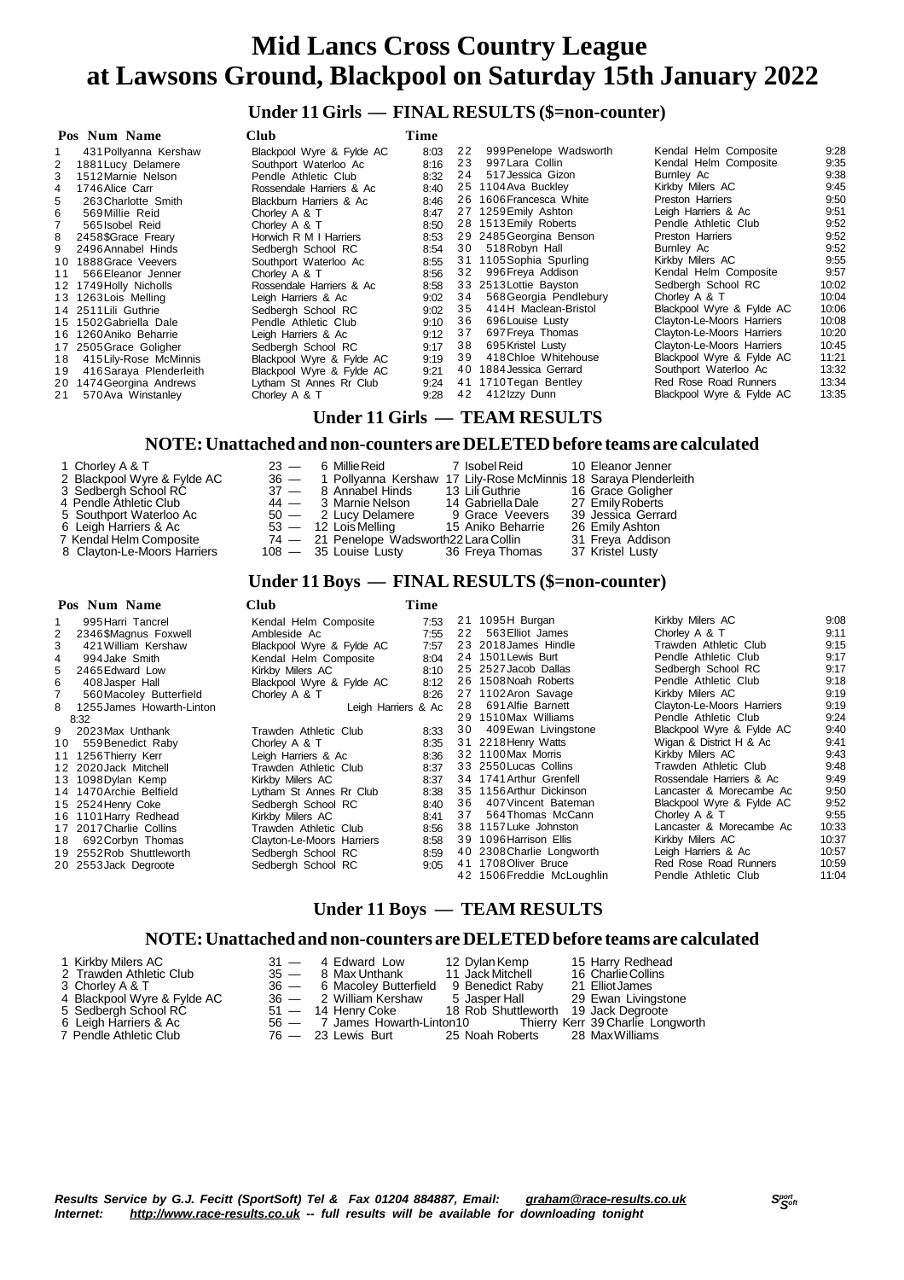## **Under 11 Girls — FINAL RESULTS (\$=non-counter)**

|    | Club<br>Pos Num Name    |                           | Time |    |                         |                           |       |
|----|-------------------------|---------------------------|------|----|-------------------------|---------------------------|-------|
|    | 431 Pollyanna Kershaw   | Blackpool Wyre & Fylde AC | 8:03 | 22 | 999 Penelope Wadsworth  | Kendal Helm Composite     | 9:28  |
|    | 1881 Lucy Delamere      | Southport Waterloo Ac     | 8:16 | 23 | 997 Lara Collin         | Kendal Helm Composite     | 9:35  |
| 3  | 1512 Marnie Nelson      | Pendle Athletic Club      | 8:32 | 24 | 517 Jessica Gizon       | Burnley Ac                | 9:38  |
| 4  | 1746 Alice Carr         | Rossendale Harriers & Ac  | 8:40 |    | 25 1104 Ava Buckley     | Kirkby Milers AC          | 9:45  |
| 5  | 263 Charlotte Smith     | Blackburn Harriers & Ac   | 8:46 |    | 26 1606 Francesca White | Preston Harriers          | 9:50  |
| 6  | 569 Millie Reid         | Chorley A & T             | 8:47 |    | 27 1259 Emily Ashton    | Leigh Harriers & Ac       | 9:51  |
|    | 565 Isobel Reid         | Chorley A & T             | 8:50 |    | 28 1513 Emily Roberts   | Pendle Athletic Club      | 9:52  |
| 8  | 2458\$Grace Freary      | Horwich R M I Harriers    | 8:53 |    | 29 2485 Georgina Benson | Preston Harriers          | 9:52  |
| 9  | 2496 Annabel Hinds      | Sedbergh School RC        | 8:54 | 30 | 518 Robyn Hall          | Burnley Ac                | 9:52  |
| 10 | 1888 Grace Veevers      | Southport Waterloo Ac     | 8:55 | 31 | 1105 Sophia Spurling    | Kirkby Milers AC          | 9:55  |
| 11 | 566 Eleanor Jenner      | Chorley A & T             | 8:56 | 32 | 996 Freya Addison       | Kendal Helm Composite     | 9:57  |
|    | 12 1749 Holly Nicholls  | Rossendale Harriers & Ac  | 8:58 |    | 33 2513 Lottie Bayston  | Sedbergh School RC        | 10:02 |
|    | 13 1263 Lois Melling    | Leigh Harriers & Ac       | 9:02 | 34 | 568 Georgia Pendlebury  | Chorley A & T             | 10:04 |
|    | 14 2511 Lili Guthrie    | Sedbergh School RC        | 9:02 | 35 | 414H Maclean-Bristol    | Blackpool Wyre & Fylde AC | 10:06 |
| 15 | 1502 Gabriella Dale     | Pendle Athletic Club      | 9:10 | 36 | 696 Louise Lusty        | Clayton-Le-Moors Harriers | 10:08 |
|    | 16 1260 Aniko Beharrie  | Leigh Harriers & Ac       | 9:12 | 37 | 697 Freya Thomas        | Clayton-Le-Moors Harriers | 10:20 |
|    | 17 2505 Grace Goligher  | Sedbergh School RC        | 9:17 | 38 | 695 Kristel Lusty       | Clayton-Le-Moors Harriers | 10:45 |
| 18 | 415 Lily-Rose McMinnis  | Blackpool Wyre & Fylde AC | 9:19 | 39 | 418 Chloe Whitehouse    | Blackpool Wyre & Fylde AC | 11:21 |
| 19 | 416 Saraya Plenderleith | Blackpool Wyre & Fylde AC | 9:21 | 40 | 1884 Jessica Gerrard    | Southport Waterloo Ac     | 13:32 |
| 20 | 1474 Georgina Andrews   | Lytham St Annes Rr Club   | 9:24 | 41 | 1710 Tegan Bentley      | Red Rose Road Runners     | 13:34 |
| 21 | 570 Ava Winstanley      | Chorley A & T             | 9:28 | 42 | 412 Izzy Dunn           | Blackpool Wyre & Fylde AC | 13:35 |

### **Under 11 Girls — TEAM RESULTS**

#### **NOTE:Unattached and non-counters are DELETEDbefore teams are calculated**

| 1 Chorley A & T<br>$23 -$<br>2 Blackpool Wyre & Fylde AC<br>3 Sedbergh School RC<br>4 Pendle Athletic Club<br>5 Southport Waterloo Ac<br>6 Leigh Harriers & Ac<br>7 Kendal Helm Composite<br>8 Clayton-Le-Moors Harriers | 6 Millie Reid<br>36 - 1 Pollyanna Kershaw 17 Lily-Rose McMinnis 18 Saraya Plenderleith<br>37 — 8 Annabel Hinds<br>44 — 3 Marnie Nelson<br>50 - 2 Lucy Delamere<br>53 - 12 Lois Melling 15 Aniko Beharrie<br>74 - 21 Penelope Wadsworth22 Lara Collin<br>$108 - 35$ Louise Lusty | 7 Isobel Reid<br>13 Lili Guthrie<br>14  Gabriella Dale<br>9 Grace Veevers<br>36 Freya Thomas |  | 10 Eleanor Jenner<br>16 Grace Goligher<br>27 Emily Roberts<br>39 Jessica Gerrard<br>26 Emily Ashton<br>31 Freya Addison<br>37 Kristel Lusty |
|--------------------------------------------------------------------------------------------------------------------------------------------------------------------------------------------------------------------------|---------------------------------------------------------------------------------------------------------------------------------------------------------------------------------------------------------------------------------------------------------------------------------|----------------------------------------------------------------------------------------------|--|---------------------------------------------------------------------------------------------------------------------------------------------|
|--------------------------------------------------------------------------------------------------------------------------------------------------------------------------------------------------------------------------|---------------------------------------------------------------------------------------------------------------------------------------------------------------------------------------------------------------------------------------------------------------------------------|----------------------------------------------------------------------------------------------|--|---------------------------------------------------------------------------------------------------------------------------------------------|

#### **Under 11 Boys — FINAL RESULTS (\$=non-counter)**

|    | Pos Num Name              | <b>Club</b>               | Time |    |                            |                           |       |
|----|---------------------------|---------------------------|------|----|----------------------------|---------------------------|-------|
|    | 995 Harri Tancrel         | Kendal Helm Composite     | 7:53 | 21 | 1095H Burgan               | Kirkby Milers AC          | 9:08  |
| 2  | 2346\$Magnus Foxwell      | Ambleside Ac              | 7:55 | 22 | 563 Elliot James           | Chorley A & T             | 9:11  |
| 3  | 421 William Kershaw       | Blackpool Wyre & Fylde AC | 7:57 |    | 23 2018 James Hindle       | Trawden Athletic Club     | 9:15  |
| 4  | 994 Jake Smith            | Kendal Helm Composite     | 8:04 |    | 24 1501 Lewis Burt         | Pendle Athletic Club      | 9:17  |
| 5. | 2465 Edward Low           | Kirkby Milers AC          | 8:10 |    | 25 2527 Jacob Dallas       | Sedbergh School RC        | 9:17  |
| 6  | 408 Jasper Hall           | Blackpool Wyre & Fylde AC | 8:12 |    | 26 1508 Noah Roberts       | Pendle Athletic Club      | 9:18  |
|    | 560 Macoley Butterfield   | Chorley A & T             | 8:26 |    | 27 1102 Aron Savage        | Kirkby Milers AC          | 9:19  |
| 8  | 1255 James Howarth-Linton | Leigh Harriers & Ac       |      | 28 | 691 Alfie Barnett          | Clayton-Le-Moors Harriers | 9:19  |
|    | 8:32                      |                           |      | 29 | 1510Max Williams           | Pendle Athletic Club      | 9:24  |
| 9  | 2023Max Unthank           | Trawden Athletic Club     | 8:33 | 30 | 409 Ewan Livingstone       | Blackpool Wyre & Fylde AC | 9:40  |
| 10 | 559 Benedict Raby         | Chorley A & T             | 8:35 |    | 31 2218 Henry Watts        | Wigan & District H & Ac   | 9:41  |
|    | 11 1256 Thierry Kerr      | Leigh Harriers & Ac       | 8:36 |    | 32 1100 Max Morris         | Kirkby Milers AC          | 9:43  |
|    | 12 2020 Jack Mitchell     | Trawden Athletic Club     | 8:37 |    | 33 2550 Lucas Collins      | Trawden Athletic Club     | 9:48  |
|    | 13 1098 Dylan Kemp        | Kirkby Milers AC          | 8:37 |    | 34 1741 Arthur Grenfell    | Rossendale Harriers & Ac  | 9:49  |
|    | 14 1470 Archie Belfield   | Lytham St Annes Rr Club   | 8:38 |    | 35 1156 Arthur Dickinson   | Lancaster & Morecambe Ac  | 9:50  |
|    | 15 2524 Henry Coke        | Sedbergh School RC        | 8:40 | 36 | 407 Vincent Bateman        | Blackpool Wyre & Fylde AC | 9:52  |
|    | 16 1101 Harry Redhead     | Kirkby Milers AC          | 8:41 | 37 | 564 Thomas McCann          | Chorley A & T             | 9:55  |
|    | 17 2017 Charlie Collins   | Trawden Athletic Club     | 8:56 |    | 38 1157 Luke Johnston      | Lancaster & Morecambe Ac  | 10:33 |
| 18 | 692 Corbyn Thomas         | Clayton-Le-Moors Harriers | 8:58 |    | 39 1096 Harrison Ellis     | Kirkby Milers AC          | 10:37 |
|    | 19 2552 Rob Shuttleworth  | Sedbergh School RC        | 8:59 |    | 40 2308 Charlie Longworth  | Leigh Harriers & Ac       | 10:57 |
|    | 20 2553 Jack Degroote     | Sedbergh School RC        | 9:05 |    | 41 1708 Oliver Bruce       | Red Rose Road Runners     | 10:59 |
|    |                           |                           |      |    | 42 1506 Freddie McLoughlin | Pendle Athletic Club      | 11:04 |

#### **Under 11 Boys — TEAM RESULTS**

#### **NOTE:Unattached and non-counters are DELETEDbefore teams are calculated**

| 1 Kirkby Milers AC          | 31 — 4 Edward Low                                       | 12 Dylan Kemp    | 15 Harry Redhead                                                |
|-----------------------------|---------------------------------------------------------|------------------|-----------------------------------------------------------------|
| 2 Trawden Athletic Club     | 35 — 8 Max Unthank                                      | 11 Jack Mitchell | 16 Charlie Collins                                              |
| 3 Chorley A & T             | 36 — 6 Macoley Butterfield 9 Benedict Raby              |                  | 21 Elliot James                                                 |
| 4 Blackpool Wyre & Fylde AC | 36 — 2 William Kershaw                                  |                  | 5 Jasper Hall 29 Ewan Livingstone                               |
| 5 Sedbergh School RC        | 51 - 14 Henry Coke 18 Rob Shuttleworth 19 Jack Degroote |                  |                                                                 |
| 6 Leigh Harriers & Ac       |                                                         |                  | 56 - 7 James Howarth-Linton10 Thierry Kerr 39 Charlie Longworth |
| 7 Pendle Athletic Club      | 76 - 23 Lewis Burt 25 Noah Roberts 28 Max Williams      |                  |                                                                 |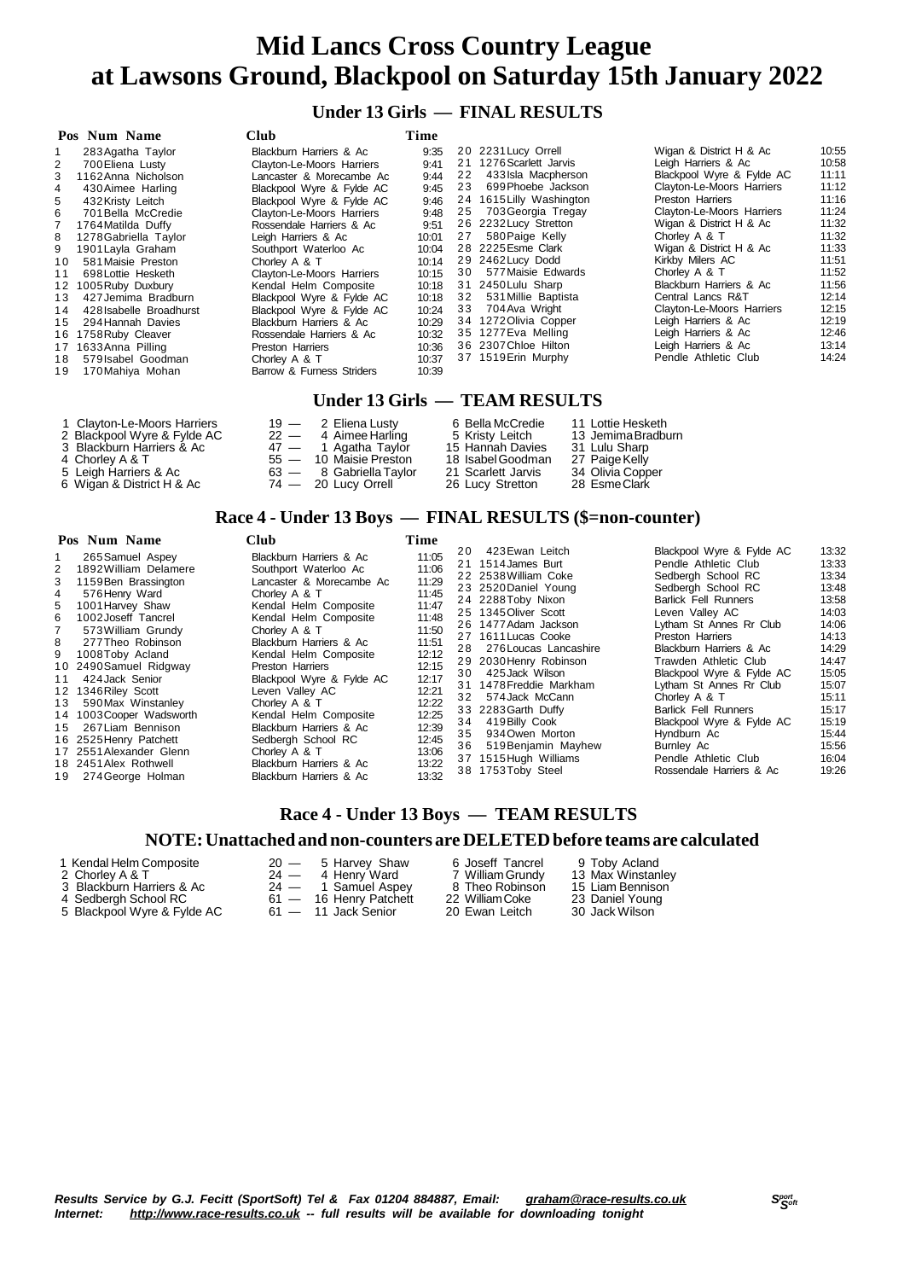### **Under 13 Girls — FINAL RESULTS**

|    | <b>Club</b><br>Pos Num Name |                                  | Time  |    |                          |                           |       |
|----|-----------------------------|----------------------------------|-------|----|--------------------------|---------------------------|-------|
|    | 283 Agatha Taylor           | Blackburn Harriers & Ac          | 9:35  |    | 20 2231 Lucy Orrell      | Wigan & District H & Ac   | 10:55 |
| 2  | 700 Eliena Lusty            | <b>Clayton-Le-Moors Harriers</b> | 9:41  |    | 21 1276 Scarlett Jarvis  | Leigh Harriers & Ac       | 10:58 |
| 3  | 1162 Anna Nicholson         | Lancaster & Morecambe Ac         | 9:44  | 22 | 433 Isla Macpherson      | Blackpool Wyre & Fylde AC | 11:11 |
| 4  | 430 Aimee Harling           | Blackpool Wyre & Fylde AC        | 9:45  | 23 | 699 Phoebe Jackson       | Clayton-Le-Moors Harriers | 11:12 |
| 5  | 432 Kristy Leitch           | Blackpool Wyre & Fylde AC        | 9:46  |    | 24 1615 Lilly Washington | Preston Harriers          | 11:16 |
| 6  | 701 Bella McCredie          | Clayton-Le-Moors Harriers        | 9:48  | 25 | 703 Georgia Tregay       | Clayton-Le-Moors Harriers | 11:24 |
| 7  | 1764 Matilda Duffy          | Rossendale Harriers & Ac         | 9:51  |    | 26 2232 Lucy Stretton    | Wigan & District H & Ac   | 11:32 |
| 8  | 1278 Gabriella Taylor       | Leigh Harriers & Ac              | 10:01 | 27 | 580 Paige Kelly          | Chorley A & T             | 11:32 |
| 9  | 1901 Lavla Graham           | Southport Waterloo Ac            | 10:04 |    | 28 2225 Esme Clark       | Wigan & District H & Ac   | 11:33 |
| 10 | 581 Maisie Preston          | Chorley A & T                    | 10:14 |    | 29 2462 Lucy Dodd        | Kirkby Milers AC          | 11:51 |
| 11 | 698 Lottie Hesketh          | Clayton-Le-Moors Harriers        | 10:15 | 30 | 577 Maisie Edwards       | Chorley A & T             | 11:52 |
|    | 12 1005 Ruby Duxbury        | Kendal Helm Composite            | 10:18 | 31 | 2450 Lulu Sharp          | Blackburn Harriers & Ac   | 11:56 |
| 13 | 427 Jemima Bradburn         | Blackpool Wyre & Fylde AC        | 10:18 |    | 32 531 Millie Baptista   | Central Lancs R&T         | 12:14 |
| 14 | 428 Isabelle Broadhurst     | Blackpool Wyre & Fylde AC        | 10:24 |    | 33 704 Ava Wright        | Clayton-Le-Moors Harriers | 12:15 |
| 15 | 294 Hannah Davies           | Blackburn Harriers & Ac          | 10:29 |    | 34 1272 Olivia Copper    | Leigh Harriers & Ac       | 12:19 |
|    | 16 1758 Ruby Cleaver        | Rossendale Harriers & Ac         | 10:32 |    | 35 1277 Eva Melling      | Leigh Harriers & Ac       | 12:46 |
|    | 17 1633 Anna Pilling        | <b>Preston Harriers</b>          | 10:36 |    | 36 2307 Chloe Hilton     | Leigh Harriers & Ac       | 13:14 |
| 18 | 579 Isabel Goodman          | Chorley A & T                    | 10:37 |    | 37 1519 Erin Murphy      | Pendle Athletic Club      | 14:24 |
| 19 | 170 Mahiya Mohan            | Barrow & Furness Striders        | 10:39 |    |                          |                           |       |
|    |                             |                                  |       |    |                          |                           |       |

#### **Under 13 Girls — TEAM RESULTS**

| 1 Clayton-Le-Moors Harriers | $19 - 2$ Eliena Lusty     | 6 Bella McCredie   | 11 Lottie Hesketh  |
|-----------------------------|---------------------------|--------------------|--------------------|
| 2 Blackpool Wyre & Fylde AC | $22 - 4$ Aimee Harling    | 5 Kristy Leitch    | 13 Jemima Bradburn |
| 3 Blackburn Harriers & Ac   | $47 - 1$ Agatha Taylor    | 15 Hannah Davies   | 31 Lulu Sharp      |
| 4  Chorlev A & T            | 55 - 10 Maisie Preston    | 18 Isabel Goodman  | 27 Paige Kelly     |
| 5 Leigh Harriers & Ac       | $63 - 8$ Gabriella Taylor | 21 Scarlett Jarvis | 34 Olivia Copper   |
| 6 Wigan & District H & Ac   | $74 - 20$ Lucy Orrell     | 26 Lucy Stretton   | 28 Esme Clark      |

#### **Race 4 - Under 13 Boys — FINAL RESULTS (\$=non-counter)**

| Pos Num Name                                                                                                                                                                                                                                                                                                                                                                                                                                                                                                | <b>Club</b>                                                                                                                                                                                                                                                                                                                                                                                                                                                |                                                                                                                                                                         | Time                 |                                                                                                                                                                                                                                                                                                                                                                                                                                                 |                                                                                                                                                                                                                                                                                                                                                                                                                                                                          |                                                                                                                                                                         |  |
|-------------------------------------------------------------------------------------------------------------------------------------------------------------------------------------------------------------------------------------------------------------------------------------------------------------------------------------------------------------------------------------------------------------------------------------------------------------------------------------------------------------|------------------------------------------------------------------------------------------------------------------------------------------------------------------------------------------------------------------------------------------------------------------------------------------------------------------------------------------------------------------------------------------------------------------------------------------------------------|-------------------------------------------------------------------------------------------------------------------------------------------------------------------------|----------------------|-------------------------------------------------------------------------------------------------------------------------------------------------------------------------------------------------------------------------------------------------------------------------------------------------------------------------------------------------------------------------------------------------------------------------------------------------|--------------------------------------------------------------------------------------------------------------------------------------------------------------------------------------------------------------------------------------------------------------------------------------------------------------------------------------------------------------------------------------------------------------------------------------------------------------------------|-------------------------------------------------------------------------------------------------------------------------------------------------------------------------|--|
| 265 Samuel Aspey<br>1892 William Delamere<br>$\overline{2}$<br>1159 Ben Brassington<br>3<br>576 Henry Ward<br>4<br>5<br>1001 Harvey Shaw<br>6<br>1002Joseff Tancrel<br>573 William Grundy<br>8<br>277 Theo Robinson<br>9 1008Toby Acland<br>10 2490 Samuel Ridgway<br>424 Jack Senior<br>11<br>12 1346 Riley Scott<br>590 Max Winstanley<br>13<br>14 1003 Cooper Wadsworth<br>267 Liam Bennison<br>15<br>16 2525 Henry Patchett<br>17 2551 Alexander Glenn<br>18 2451 Alex Rothwell<br>19 274 George Holman | Blackburn Harriers & Ac<br>Southport Waterloo Ac<br>Lancaster & Morecambe Ac<br>Chorley A & T<br>Kendal Helm Composite<br>Kendal Helm Composite<br>Chorley A & T<br>Blackburn Harriers & Ac<br>Kendal Helm Composite<br>Preston Harriers<br>Blackpool Wyre & Fylde AC<br>Leven Valley AC<br>Chorley A & T<br>Kendal Helm Composite<br>Blackburn Harriers & Ac<br>Sedberah School RC<br>Chorley A & T<br>Blackburn Harriers & Ac<br>Blackburn Harriers & Ac | 11:05<br>11:06<br>11:29<br>11:45<br>11:47<br>11:48<br>11:50<br>11:51<br>12:12<br>12:15<br>12:17<br>12:21<br>12:22<br>12:25<br>12:39<br>12:45<br>13:06<br>13:22<br>13:32 | 32<br>34<br>35<br>36 | 20 423 Ewan Leitch<br>21 1514 James Burt<br>22 2538 William Coke<br>23 2520 Daniel Young<br>24 2288Toby Nixon<br>25 1345 Oliver Scott<br>26 1477 Adam Jackson<br>27 1611 Lucas Cooke<br>28 276 Loucas Lancashire<br>29 2030 Henry Robinson<br>30 425 Jack Wilson<br>31 1478 Freddie Markham<br>574 Jack McCann<br>33 2283 Garth Duffy<br>419 Billy Cook<br>934 Owen Morton<br>519 Benjamin Mayhew<br>37 1515 Hugh Williams<br>38 1753Toby Steel | Blackpool Wyre & Fylde AC<br>Pendle Athletic Club<br>Sedbergh School RC<br>Sedbergh School RC<br><b>Barlick Fell Runners</b><br>Leven Valley AC<br>Lytham St Annes Rr Club<br>Preston Harriers<br>Blackburn Harriers & Ac<br>Trawden Athletic Club<br>Blackpool Wyre & Fylde AC<br>Lytham St Annes Rr Club<br>Chorley A & T<br><b>Barlick Fell Runners</b><br>Blackpool Wyre & Fylde AC<br>Hyndburn Ac<br>Burnley Ac<br>Pendle Athletic Club<br>Rossendale Harriers & Ac | 13:32<br>13:33<br>13:34<br>13:48<br>13:58<br>14:03<br>14:06<br>14:13<br>14:29<br>14:47<br>15:05<br>15:07<br>15:11<br>15:17<br>15:19<br>15:44<br>15:56<br>16:04<br>19:26 |  |
|                                                                                                                                                                                                                                                                                                                                                                                                                                                                                                             |                                                                                                                                                                                                                                                                                                                                                                                                                                                            |                                                                                                                                                                         |                      |                                                                                                                                                                                                                                                                                                                                                                                                                                                 |                                                                                                                                                                                                                                                                                                                                                                                                                                                                          |                                                                                                                                                                         |  |

## **Race 4 - Under 13 Boys — TEAM RESULTS**

#### **NOTE:Unattached and non-counters are DELETEDbefore teams are calculated**

- 
- 
- 
- 
- 3 Blackburn Harriers & Ac 24 1 Samuel Aspey 8 Theo Robinson 15 Liam Bennison 4 Sedbergh School RC 61 16 Henry Patchett 22 WilliamCoke 23 Daniel Young
	-

4 Sedbergh School RC<br>
5 Blackpool Wyre & Fylde AC 61 — 16 Henry Patchett 22 William Coke 23 Daniel Young<br>
5 Blackpool Wyre & Fylde AC 61 — 11 Jack Senior 20 Ewan Leitch 30 Jack Wilson

1 Kendal Helm Composite 20 - 5 Harvey Shaw 6 Joseff Tancrel 9 Toby Acland<br>
2 Chorley A & T 24 - 4 Henry Ward 7 William Grundy 13 Max Winstanley<br>
3 Blackburn Harriers & Ac 24 - 1 Samuel Aspey 8 Theo Robinson 15 Liam Benniso 2 Chorley A & T 24 — 4 Henry Ward 7 William Grundy 13 Max Winstanley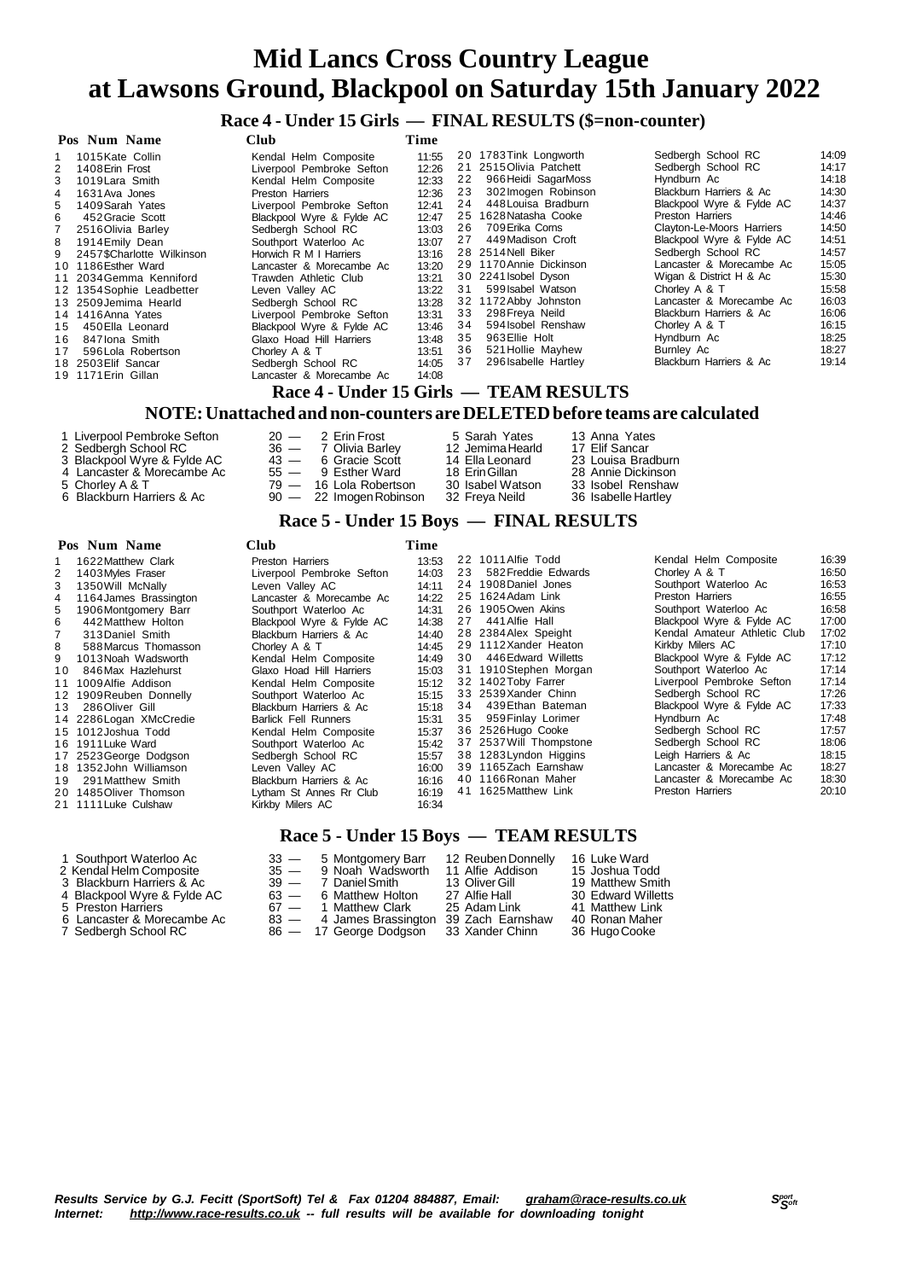## **Race 4 - Under 15 Girls — FINAL RESULTS (\$=non-counter)**

| Pos Num Name                     |                           | <b>Club</b>               | Time  |    |                                        |                           |       |
|----------------------------------|---------------------------|---------------------------|-------|----|----------------------------------------|---------------------------|-------|
| 1015 Kate Collin<br>$\mathbf{1}$ |                           | Kendal Helm Composite     | 11:55 |    | 20 1783 Tink Longworth                 | Sedbergh School RC        | 14:09 |
| 1408 Erin Frost<br>2             |                           | Liverpool Pembroke Sefton | 12:26 |    | 21 2515 Olivia Patchett                | Sedbergh School RC        | 14:17 |
| 3<br>1019 Lara Smith             |                           | Kendal Helm Composite     | 12:33 | 22 | 966 Heidi SagarMoss                    | Hyndburn Ac               | 14:18 |
| 1631 Ava Jones<br>4              |                           | Preston Harriers          | 12:36 | 23 | 302 Imogen Robinson                    | Blackburn Harriers & Ac   | 14:30 |
| 1409 Sarah Yates<br>5            |                           | Liverpool Pembroke Sefton | 12:41 | 24 | 448 Louisa Bradburn                    | Blackpool Wyre & Fylde AC | 14:37 |
| 6<br>452 Gracie Scott            |                           | Blackpool Wyre & Fylde AC | 12:47 |    | 25 1628 Natasha Cooke                  | Preston Harriers          | 14:46 |
| 2516 Olivia Barley               |                           | Sedbergh School RC        | 13:03 | 26 | 709 Erika Corns                        | Clayton-Le-Moors Harriers | 14:50 |
| 1914 Emily Dean<br>8             |                           | Southport Waterloo Ac     | 13:07 | 27 | 449 Madison Croft                      | Blackpool Wyre & Fylde AC | 14:51 |
| 9                                | 2457\$Charlotte Wilkinson | Horwich R M I Harriers    | 13:16 |    | 28 2514 Nell Biker                     | Sedberah School RC        | 14:57 |
| 10 1186 Esther Ward              |                           | Lancaster & Morecambe Ac  | 13:20 |    | 29 1170 Annie Dickinson                | Lancaster & Morecambe Ac  | 15:05 |
|                                  | 11 2034 Gemma Kenniford   | Trawden Athletic Club     | 13:21 |    | 30 2241 Isobel Dyson                   | Wigan & District H & Ac   | 15:30 |
|                                  | 12 1354 Sophie Leadbetter | Leven Vallev AC           | 13:22 | 31 | 599 Isabel Watson                      | Chorley A & T             | 15:58 |
| 13 2509 Jemima Hearld            |                           | Sedbergh School RC        | 13:28 |    | 32 1172 Abby Johnston                  | Lancaster & Morecambe Ac  | 16:03 |
| 14 1416 Anna Yates               |                           | Liverpool Pembroke Sefton | 13:31 | 33 | 298 Freya Neild                        | Blackburn Harriers & Ac   | 16:06 |
| 450 Ella Leonard<br>15           |                           | Blackpool Wyre & Fylde AC | 13:46 | 34 | 594 Isobel Renshaw                     | Chorley A & T             | 16:15 |
| 847 Iona Smith<br>16             |                           | Glaxo Hoad Hill Harriers  | 13:48 | 35 | 963 Ellie Holt                         | Hyndburn Ac               | 18:25 |
| 17                               | 596 Lola Robertson        | Chorley A & T             | 13:51 | 36 | 521 Hollie Mayhew                      | Burnley Ac                | 18:27 |
| 18 2503 Elif Sancar              |                           | Sedbergh School RC        | 14:05 | 37 | 296 Isabelle Hartley                   | Blackburn Harriers & Ac   | 19:14 |
| 19 1171 Erin Gillan              |                           | Lancaster & Morecambe Ac  | 14:08 |    |                                        |                           |       |
|                                  |                           |                           |       |    | Race 4 - Under 15 Girls — TEAM RESULTS |                           |       |
|                                  | <b>**^****</b> **         | .                         |       |    | <b>DET BERDE L.A.</b>                  | .                         |       |

#### **NOTE:Unattached and non-counters are DELETEDbefore teams are calculated**

| 1 Liverpool Pembroke Sefton | $20 - 2$ Erin Frost       | 5 Sarah Yates    | 13 Anna Yates       |
|-----------------------------|---------------------------|------------------|---------------------|
| 2 Sedbergh School RC        | 36 - 7 Olivia Barley      | 12 Jemima Hearld | 17 Elif Sancar      |
| 3 Blackpool Wyre & Fylde AC | $43 - 6$ Gracie Scott     | 14 Ella Leonard  | 23 Louisa Bradburn  |
| 4 Lancaster & Morecambe Ac  | $55 - 9$ Esther Ward      | 18 Erin Gillan   | 28. Annie Dickinson |
| 5 Chorley A & T             | 79 - 16 Lola Robertson    | 30 Isabel Watson | 33 Isobel Renshaw   |
| 6 Blackburn Harriers & Ac   | $90 - 22$ Imogen Robinson | 32 Freva Neild   | 36 Isabelle Hartley |

#### **Race 5 - Under 15 Boys — FINAL RESULTS**

#### **Pos Num Name Club Time**

| 3<br>4<br>5.<br>6.<br>8.<br>9<br>10 | 1622 Matthew Clark<br>1403 Myles Fraser<br>1350 Will McNally<br>1164 James Brassington<br>1906Montgomery Barr<br>442 Matthew Holton<br>313 Daniel Smith<br>588 Marcus Thomasson<br>1013 Noah Wadsworth<br>846 Max Hazlehurst<br>11 1009 Alfie Addison<br>12 1909 Reuben Donnelly<br>13 286 Oliver Gill<br>14 2286 Logan XMcCredie<br>15 1012 Joshua Todd<br>16 1911 Luke Ward<br>17 2523 George Dodgson<br>18 1352 John Williamson | Preston Harriers<br>Liverpool Pembroke Sefton<br>Leven Vallev AC<br>Lancaster & Morecambe Ac<br>Southport Waterloo Ac<br>Blackpool Wyre & Fylde AC<br>Blackburn Harriers & Ac<br>Chorley A & T<br>Kendal Helm Composite<br>Glaxo Hoad Hill Harriers<br>Kendal Helm Composite<br>Southport Waterloo Ac<br>Blackburn Harriers & Ac<br>Barlick Fell Runners<br>Kendal Helm Composite<br>Southport Waterloo Ac<br>Sedberah School RC<br>Leven Vallev AC | 13:53<br>14:03<br>14:11<br>14:22<br>14:31<br>14:38<br>14:40<br>14:45<br>14:49<br>15:03<br>15:12<br>15:15<br>15:18<br>15:31<br>15:37<br>15:42<br>15:57<br>16:00 | 23<br>27<br>30 | 22 1011 Alfie Todd<br>582 Freddie Edwards<br>24 1908 Daniel Jones<br>25 1624 Adam Link<br>26 1905 Owen Akins<br>441 Alfie Hall<br>28 2384 Alex Speight<br>29 1112Xander Heaton<br>446 Edward Willetts<br>31 1910Stephen Morgan<br>32 1402 Toby Farrer<br>33 2539 Xander Chinn<br>34 439 Ethan Bateman<br>35 959 Finlay Lorimer<br>36 2526 Hugo Cooke<br>37 2537 Will Thompstone<br>38 1283 Lyndon Higgins<br>39 1165Zach Earnshaw | Kendal Helm Composite<br>Chorley A & T<br>Southport Waterloo Ac<br>Preston Harriers<br>Southport Waterloo Ac<br>Blackpool Wyre & Fylde AC<br>Kendal Amateur Athletic Club<br>Kirkby Milers AC<br>Blackpool Wyre & Fylde AC<br>Southport Waterloo Ac<br>Liverpool Pembroke Sefton<br>Sedbergh School RC<br>Blackpool Wyre & Fylde AC<br>Hyndburn Ac<br>Sedbergh School RC<br>Sedbergh School RC<br>Leigh Harriers & Ac<br>Lancaster & Morecambe Ac | 16:39<br>16:50<br>16:53<br>16:55<br>16:58<br>17:00<br>17:02<br>17:10<br>17:12<br>17:14<br>17:14<br>17:26<br>17:33<br>17:48<br>17:57<br>18:06<br>18:15<br>18:27 |
|-------------------------------------|------------------------------------------------------------------------------------------------------------------------------------------------------------------------------------------------------------------------------------------------------------------------------------------------------------------------------------------------------------------------------------------------------------------------------------|-----------------------------------------------------------------------------------------------------------------------------------------------------------------------------------------------------------------------------------------------------------------------------------------------------------------------------------------------------------------------------------------------------------------------------------------------------|----------------------------------------------------------------------------------------------------------------------------------------------------------------|----------------|-----------------------------------------------------------------------------------------------------------------------------------------------------------------------------------------------------------------------------------------------------------------------------------------------------------------------------------------------------------------------------------------------------------------------------------|---------------------------------------------------------------------------------------------------------------------------------------------------------------------------------------------------------------------------------------------------------------------------------------------------------------------------------------------------------------------------------------------------------------------------------------------------|----------------------------------------------------------------------------------------------------------------------------------------------------------------|
| 19                                  | 291 Matthew Smith<br>20 1485Oliver Thomson<br>21 1111 Luke Culshaw                                                                                                                                                                                                                                                                                                                                                                 | Blackburn Harriers & Ac<br>Lytham St Annes Rr Club<br>Kirkby Milers AC                                                                                                                                                                                                                                                                                                                                                                              | 16:16<br>16:19<br>16:34                                                                                                                                        |                | 40 1166 Ronan Maher<br>41 1625 Matthew Link                                                                                                                                                                                                                                                                                                                                                                                       | Lancaster & Morecambe Ac<br>Preston Harriers                                                                                                                                                                                                                                                                                                                                                                                                      | 18:30<br>20:10                                                                                                                                                 |
|                                     |                                                                                                                                                                                                                                                                                                                                                                                                                                    |                                                                                                                                                                                                                                                                                                                                                                                                                                                     |                                                                                                                                                                |                |                                                                                                                                                                                                                                                                                                                                                                                                                                   |                                                                                                                                                                                                                                                                                                                                                                                                                                                   |                                                                                                                                                                |

#### **Race 5 - Under 15 Boys — TEAM RESULTS**

| 1 Southport Waterloo Ac<br>2 Kendal Helm Composite<br>3 Blackburn Harriers & Ac<br>4 Blackpool Wyre & Fylde AC<br>5 Preston Harriers<br>6 Lancaster & Morecambe Ac<br>7 Sedbergh School RC |  | 33 - 5 Montgomery Barr<br>35 - 9 Noah Wadsworth<br>39 — 7 Daniel Smith<br>$63 - 6$ Matthew Holton<br>67 - 1 Matthew Clark<br>83 - 4 James Brassington 39 Zach Earnshaw<br>86 - 17 George Dodgson | 12 Reuben Donnelly<br>11 Alfie Addison<br>13 Oliver Gill<br>27 Alfie Hall<br>25 Adam Link<br>33 Xander Chinn | 16 Luke Ward<br>15 Joshua Todd<br>19 Matthew Smith<br>30 Edward Willetts<br>41 Matthew Link<br>40 Ronan Maher<br>36 Hugo Cooke |
|--------------------------------------------------------------------------------------------------------------------------------------------------------------------------------------------|--|--------------------------------------------------------------------------------------------------------------------------------------------------------------------------------------------------|--------------------------------------------------------------------------------------------------------------|--------------------------------------------------------------------------------------------------------------------------------|
|--------------------------------------------------------------------------------------------------------------------------------------------------------------------------------------------|--|--------------------------------------------------------------------------------------------------------------------------------------------------------------------------------------------------|--------------------------------------------------------------------------------------------------------------|--------------------------------------------------------------------------------------------------------------------------------|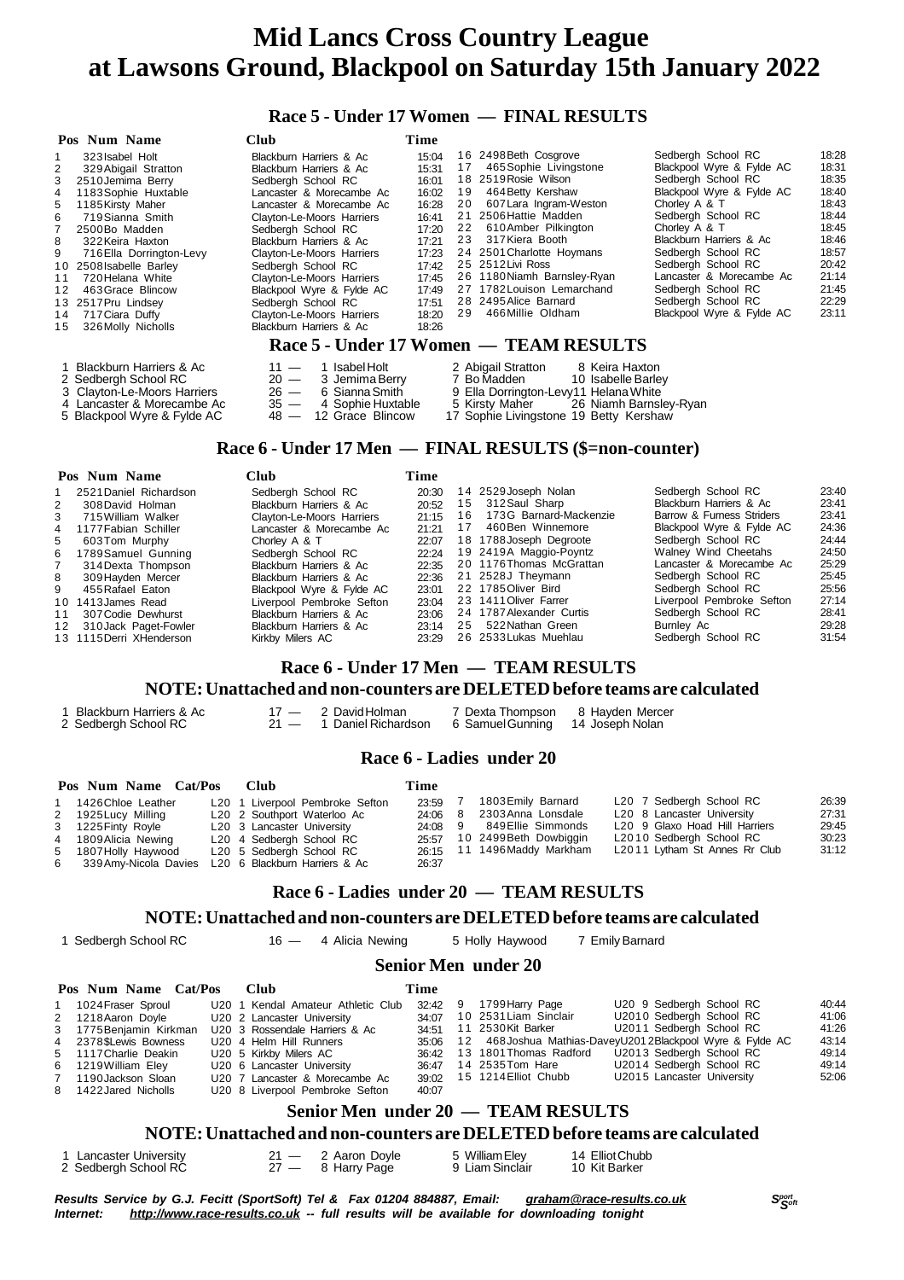#### **Race 5 - Under 17 Women — FINAL RESULTS**

| Pos Num Name                  | Club                        | Time  |    |                                          |                           |       |
|-------------------------------|-----------------------------|-------|----|------------------------------------------|---------------------------|-------|
| 323 Isabel Holt               | Blackburn Harriers & Ac     | 15:04 |    | 16 2498 Beth Cosgrove                    | Sedbergh School RC        | 18:28 |
| 329 Abigail Stratton          | Blackburn Harriers & Ac     | 15:31 | 17 | 465 Sophie Livingstone                   | Blackpool Wyre & Fylde AC | 18:31 |
| 3<br>2510 Jemima Berry        | Sedbergh School RC          | 16:01 |    | 18 2519 Rosie Wilson                     | Sedbergh School RC        | 18:35 |
| 1183 Sophie Huxtable<br>4     | Lancaster & Morecambe Ac    | 16:02 | 19 | 464 Betty Kershaw                        | Blackpool Wyre & Fylde AC | 18:40 |
| 5<br>1185 Kirsty Maher        | Lancaster & Morecambe Ac    | 16:28 | 20 | 607 Lara Ingram-Weston                   | Chorley A & T             | 18:43 |
| 6<br>719 Sianna Smith         | Clayton-Le-Moors Harriers   | 16:41 |    | 21 2506 Hattie Madden                    | Sedbergh School RC        | 18:44 |
| 2500Bo Madden                 | Sedbergh School RC          | 17:20 | 22 | 610 Amber Pilkington                     | Chorley A & T             | 18:45 |
| 8<br>322 Keira Haxton         | Blackburn Harriers & Ac     | 17:21 | 23 | 317 Kiera Booth                          | Blackburn Harriers & Ac   | 18:46 |
| 9<br>716 Ella Dorrington-Levy | Clayton-Le-Moors Harriers   | 17:23 |    | 24 2501 Charlotte Hoymans                | Sedbergh School RC        | 18:57 |
| 10 2508 Isabelle Barley       | Sedbergh School RC          | 17:42 |    | 25 2512 Livi Ross                        | Sedbergh School RC        | 20:42 |
| 720 Helana White<br>11        | Clayton-Le-Moors Harriers   | 17:45 |    | 26 1180 Niamh Barnsley-Ryan              | Lancaster & Morecambe Ac  | 21:14 |
| 463 Grace Blincow<br>12       | Blackpool Wyre & Fylde AC   | 17:49 |    | 27 1782 Louison Lemarchand               | Sedbergh School RC        | 21:45 |
| 13 2517 Pru Lindsey           | Sedbergh School RC          | 17:51 |    | 28 2495 Alice Barnard                    | Sedbergh School RC        | 22:29 |
| 717 Ciara Duffy<br>14         | Clayton-Le-Moors Harriers   | 18:20 | 29 | 466 Millie Oldham                        | Blackpool Wyre & Fylde AC | 23:11 |
| 326 Molly Nicholls<br>15      | Blackburn Harriers & Ac     | 18:26 |    |                                          |                           |       |
|                               |                             |       |    | Race 5 - Under 17 Women — TEAM RESULTS   |                           |       |
| 1 Blackburn Harriers & Ac     | 1 Isabel Holt<br>$11 -$     |       |    | 2 Abigail Stratton<br>8 Keira Haxton     |                           |       |
| 2 Sedbergh School RC          | $20 -$<br>3 Jemima Berry    |       |    | 7 Bo Madden<br>10 Isabelle Barley        |                           |       |
| 3 Clayton-Le-Moors Harriers   | $26 -$<br>6 Sianna Smith    |       |    | 9 Ella Dorrington-Levy11 Helana White    |                           |       |
| 4 Lancaster & Morecambe Ac    | $35 -$<br>4 Sophie Huxtable |       |    | 5 Kirsty Maher<br>26 Niamh Barnsley-Ryan |                           |       |
| 5 Blackpool Wyre & Fylde AC   | 12 Grace Blincow<br>$48 -$  |       |    | 17 Sophie Livingstone 19 Betty Kershaw   |                           |       |

#### **Race 6 - Under 17 Men — FINAL RESULTS (\$=non-counter)**

|                    | Club                                                                                                                                                                          | Time  |    |                        |                                                                                                                                                                                                                                                   |                    |
|--------------------|-------------------------------------------------------------------------------------------------------------------------------------------------------------------------------|-------|----|------------------------|---------------------------------------------------------------------------------------------------------------------------------------------------------------------------------------------------------------------------------------------------|--------------------|
|                    | Sedbergh School RC                                                                                                                                                            | 20:30 |    |                        | Sedbergh School RC                                                                                                                                                                                                                                | 23:40              |
| 308 David Holman   | Blackburn Harriers & Ac                                                                                                                                                       | 20:52 |    | 312 Saul Sharp         | Blackburn Harriers & Ac                                                                                                                                                                                                                           | 23:41              |
| 715 William Walker | Clayton-Le-Moors Harriers                                                                                                                                                     | 21:15 | 16 | 173G Barnard-Mackenzie | Barrow & Furness Striders                                                                                                                                                                                                                         | 23:41              |
|                    | Lancaster & Morecambe Ac                                                                                                                                                      | 21:21 |    | 460Ben Winnemore       | Blackpool Wyre & Fylde AC                                                                                                                                                                                                                         | 24:36              |
| 603Tom Murphy      | Chorley A & T                                                                                                                                                                 | 22:07 |    |                        | Sedbergh School RC                                                                                                                                                                                                                                | 24:44              |
|                    | Sedbergh School RC                                                                                                                                                            | 22:24 |    |                        | Walney Wind Cheetahs                                                                                                                                                                                                                              | 24:50              |
| 314 Dexta Thompson | Blackburn Harriers & Ac                                                                                                                                                       | 22:35 |    |                        | Lancaster & Morecambe Ac                                                                                                                                                                                                                          | 25:29              |
| 309 Havden Mercer  | Blackburn Harriers & Ac                                                                                                                                                       | 22:36 |    |                        | Sedbergh School RC                                                                                                                                                                                                                                | 25:45              |
| 455 Rafael Eaton   | Blackpool Wyre & Fylde AC                                                                                                                                                     | 23:01 |    |                        | Sedbergh School RC                                                                                                                                                                                                                                | 25:56              |
|                    | Liverpool Pembroke Sefton                                                                                                                                                     | 23:04 |    |                        | Liverpool Pembroke Sefton                                                                                                                                                                                                                         | 27:14              |
| 307 Codie Dewhurst | Blackburn Harriers & Ac                                                                                                                                                       | 23:06 |    |                        |                                                                                                                                                                                                                                                   | 28:41              |
|                    | Blackburn Harriers & Ac                                                                                                                                                       | 23:14 |    | 522 Nathan Green       | Burnley Ac                                                                                                                                                                                                                                        | 29:28              |
|                    | Kirkby Milers AC                                                                                                                                                              | 23:29 |    |                        | Sedbergh School RC                                                                                                                                                                                                                                | 31:54              |
|                    | Pos Num Name<br>2521 Daniel Richardson<br>4 1177 Fabian Schiller<br>6 1789 Samuel Gunning<br>10 1413 James Read<br>11<br>12 310 Jack Paget-Fowler<br>13 1115 Derri XHenderson |       |    |                        | 14 2529 Joseph Nolan<br>15<br>17<br>18 1788 Joseph Degroote<br>19 2419A Maggio-Poyntz<br>20 1176 Thomas McGrattan<br>21 2528J Theymann<br>22 1785 Oliver Bird<br>23 1411 Oliver Farrer<br>24 1787 Alexander Curtis<br>25<br>26 2533 Lukas Muehlau | Sedbergh School RC |

### **Race 6 - Under 17 Men — TEAM RESULTS**

#### **NOTE:Unattached and non-counters are DELETEDbefore teams are calculated**

| 1 Blackburn Harriers & Ac | 17 — 2 David Holman                                       | 7 Dexta Thompson 8 Hayden Mercer |  |
|---------------------------|-----------------------------------------------------------|----------------------------------|--|
| 2 Sedbergh School RC      | 21 — 1 Daniel Richardson 6 Samuel Gunning 14 Joseph Nolan |                                  |  |

#### **Race 6 - Ladies under 20**

| Pos Num Name Cat/Pos    | Club                       |                                 | Time    |                              |                                |       |
|-------------------------|----------------------------|---------------------------------|---------|------------------------------|--------------------------------|-------|
| 1 1426 Chloe Leather    |                            | L20 1 Liverpool Pembroke Sefton | 23:59   | 1803 Emily Barnard           | L20 7 Sedbergh School RC       | 26:39 |
| 2 1925 Lucy Milling     |                            | L20 2 Southport Waterloo Ac     | 24:06 8 | 2303Anna Lonsdale            | L20 8 Lancaster University     | 27:31 |
| 3 1225 Finty Royle      | L20 3 Lancaster University |                                 | 24:08 9 | 849Ellie Simmonds            | L20 9 Glaxo Hoad Hill Harriers | 29:45 |
| 4 1809 Alicia Newing    |                            | L20 4 Sedbergh School RC        |         | 25.57 10 2499 Beth Dowbiggin | L2010 Sedbergh School RC       | 30:23 |
| 5 1807 Holly Haywood    |                            | L20 5 Sedbergh School RC        |         | 26:15 11 1496 Maddy Markham  | L2011 Lytham St Annes Rr Club  | 31:12 |
| 6 339 Amy-Nicola Davies |                            | L20 6 Blackburn Harriers & Ac   | 26:37   |                              |                                |       |

#### **Race 6 - Ladies under 20 — TEAM RESULTS**

#### **NOTE:Unattached and non-counters are DELETEDbefore teams are calculated**

Sedbergh School RC 16 — 4 Alicia Newing 5 Holly Haywood 7 EmilyBarnard

#### **Senior Men under 20**

| Pos Num Name Cat/Pos    | - Club                             | Time    |                                                                   |  |                            |       |
|-------------------------|------------------------------------|---------|-------------------------------------------------------------------|--|----------------------------|-------|
| 1 1024 Fraser Sproul    | U20 1 Kendal Amateur Athletic Club | 32:42 9 | 1799 Harry Page                                                   |  | U20 9 Sedbergh School RC   | 40:44 |
| 2 1218 Aaron Doyle      | U20 2 Lancaster University         |         | 34:07 10 2531 Liam Sinclair                                       |  | U2010 Sedbergh School RC   | 41:06 |
| 3 1775 Benjamin Kirkman | U20 3 Rossendale Harriers & Ac     |         | 34:51 11 2530 Kit Barker                                          |  | U2011 Sedbergh School RC   | 41:26 |
| 4 2378 SLewis Bowness   | U20 4 Helm Hill Runners            |         | 35:06 12 468 Joshua Mathias-DaveyU201 2 Blackpool Wyre & Fylde AC |  |                            | 43:14 |
| 5 1117 Charlie Deakin   | U20 5 Kirkby Milers AC             |         | 36:42 13 1801 Thomas Radford                                      |  | U2013 Sedbergh School RC   | 49:14 |
| 6 1219 William Eley     | U20 6 Lancaster University         |         | 36:47 14 2535 Tom Hare                                            |  | U2014 Sedbergh School RC   | 49:14 |
| 7 1190 Jackson Sloan    | U20 7 Lancaster & Morecambe Ac     |         | 39:02 15 1214 Elliot Chubb                                        |  | U2015 Lancaster University | 52:06 |
| 8 1422 Jared Nicholls   | U20 8 Liverpool Pembroke Sefton    | 40:07   |                                                                   |  |                            |       |

#### **Senior Men under 20 — TEAM RESULTS**

#### **NOTE:Unattached and non-counters are DELETEDbefore teams are calculated**

1 Lancaster University 21 — 2 Aaron Doyle 5 WilliamEley 14 ElliotChubb Sedbergh School RC 27 — 8 Harry Page 9 Liam Sinclair 10 Kit Barker

- 
- 

Results Service by G.J. Fecitt (SportSoft) Tel & Fax 01204 884887, Email: [graham@race-results.co.uk](mailto:graham@race-results.co.uk)<br>Internet: http://www.race-results.co.uk -- full results will be available for downloading topight *Internet: <http://www.race-results.co.uk> -- full results will be available for downloading tonight*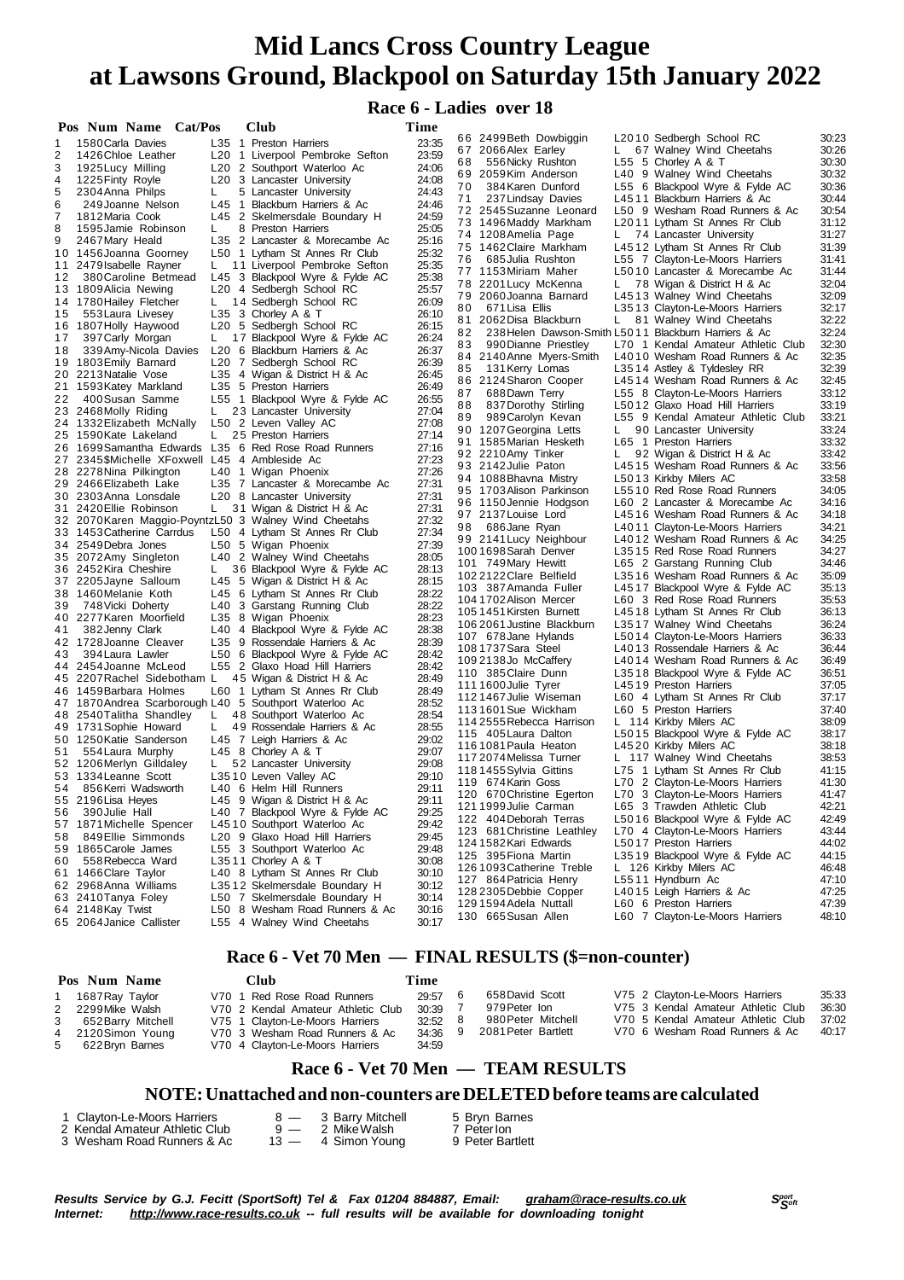#### **Race 6 - Ladies over 18**

|    | Pos Num Name Cat/Pos                                   |    | Club                                                              | Time  |                                                                  |       |
|----|--------------------------------------------------------|----|-------------------------------------------------------------------|-------|------------------------------------------------------------------|-------|
| 1  | 1580 Carla Davies                                      |    | L35 1 Preston Harriers                                            | 23:35 | L2010 Sedbergh School RC<br>66 2499 Beth Dowbiggin               | 30:23 |
| 2  | 1426 Chloe Leather                                     |    | L <sub>20</sub> 1 Liverpool Pembroke Sefton                       | 23:59 | 67 Walney Wind Cheetahs<br>67 2066 Alex Earley<br>L.             | 30:26 |
| 3  | 1925 Lucy Milling                                      |    | L20 2 Southport Waterloo Ac                                       | 24:06 | 556 Nicky Rushton<br>L55 5 Chorley A & T<br>68                   | 30:30 |
| 4  | 1225 Finty Royle                                       |    | L <sub>20</sub> 3 Lancaster University                            | 24:08 | 69 2059 Kim Anderson<br>L40 9 Walney Wind Cheetahs               | 30:32 |
| 5  | 2304 Anna Philps                                       | L. | 5 Lancaster University                                            | 24:43 | 70<br>384 Karen Dunford<br>L55 6 Blackpool Wyre & Fylde AC       | 30:36 |
| 6  | 249 Joanne Nelson                                      |    | L45 1 Blackburn Harriers & Ac                                     | 24:46 | L4511 Blackburn Harriers & Ac<br>71<br>237 Lindsay Davies        | 30:44 |
| 7  | 1812 Maria Cook                                        |    | L45 2 Skelmersdale Boundary H                                     | 24:59 | L50 9 Wesham Road Runners & Ac<br>72 2545 Suzanne Leonard        | 30:54 |
| 8  | 1595 Jamie Robinson                                    | L. | 8 Preston Harriers                                                | 25:05 | 73 1496 Maddy Markham<br>L2011 Lytham St Annes Rr Club           | 31:12 |
| 9  | 2467 Mary Heald                                        |    | L35 2 Lancaster & Morecambe Ac                                    | 25:16 | 74 1208 Amelia Page<br>L.<br>74 Lancaster University             | 31:27 |
|    | 10 1456 Joanna Goorney                                 |    | L50 1 Lytham St Annes Rr Club                                     | 25:32 | 75 1462 Claire Markham<br>L4512 Lytham St Annes Rr Club          | 31:39 |
|    | 11 2479 Isabelle Rayner                                | L. | 11 Liverpool Pembroke Sefton                                      | 25:35 | 76<br>685 Julia Rushton<br>L55 7 Clayton-Le-Moors Harriers       | 31:41 |
| 12 | 380 Caroline Betmead                                   |    | L45 3 Blackpool Wyre & Fylde AC                                   | 25:38 | 77 1153 Miriam Maher<br>L5010 Lancaster & Morecambe Ac           | 31:44 |
|    | 13 1809 Alicia Newing                                  |    | L <sub>20</sub> 4 Sedbergh School RC                              | 25:57 | 78 2201 Lucy McKenna<br>78 Wigan & District H & Ac<br>L.         | 32:04 |
|    | 14 1780 Hailey Fletcher                                | L. | 14 Sedbergh School RC                                             | 26:09 | 79 2060Joanna Barnard<br>L4513 Walney Wind Cheetahs              | 32:09 |
| 15 | 553 Laura Livesey                                      |    | L35 3 Chorley A & T                                               | 26:10 | 671 Lisa Ellis<br>80<br>L3513 Clayton-Le-Moors Harriers          | 32:17 |
|    | 16 1807 Holly Haywood                                  |    | L <sub>20</sub> 5 Sedbergh School RC                              | 26:15 | 81 2062 Disa Blackburn<br>L.<br>81 Walney Wind Cheetahs          | 32:22 |
| 17 | 397 Carly Morgan                                       | L. | 17 Blackpool Wyre & Fylde AC                                      | 26:24 | 238 Helen Dawson-Smith L5011 Blackburn Harriers & Ac<br>82       | 32:24 |
| 18 | 339 Amy-Nicola Davies                                  |    | L <sub>20</sub> 6 Blackburn Harriers & Ac                         | 26:37 | 990 Dianne Priestley<br>L70 1 Kendal Amateur Athletic Club<br>83 | 32:30 |
|    | 19 1803 Emily Barnard                                  |    | L20 7 Sedbergh School RC                                          | 26:39 | 84 2140 Anne Myers-Smith<br>L4010 Wesham Road Runners & Ac       | 32:35 |
|    | 20 2213 Natalie Vose                                   |    | L35 4 Wigan & District H & Ac                                     | 26:45 | 85<br>131 Kerry Lomas<br>L3514 Astley & Tyldesley RR             | 32:39 |
|    | 21 1593 Katey Markland                                 |    | L35 5 Preston Harriers                                            | 26:49 | 86 2124 Sharon Cooper<br>L4514 Wesham Road Runners & Ac          | 32:45 |
| 22 | 400 Susan Samme                                        |    | L55 1 Blackpool Wyre & Fylde AC                                   | 26:55 | 87<br>688Dawn Terry<br>L55 8 Clayton-Le-Moors Harriers           | 33:12 |
|    | 23 2468 Molly Riding                                   | L. | 23 Lancaster University                                           | 27:04 | 88<br>837 Dorothy Stirling<br>L5012 Glaxo Hoad Hill Harriers     | 33:19 |
|    | 24 1332 Elizabeth McNally                              |    | L50 2 Leven Valley AC                                             | 27:08 | 989 Carolyn Kevan<br>L55 9 Kendal Amateur Athletic Club<br>89    | 33:21 |
|    | 25 1590 Kate Lakeland                                  | L. | 25 Preston Harriers                                               | 27:14 | 90 1207 Georgina Letts<br>90 Lancaster University<br>L.          | 33:24 |
|    | 26 1699 Samantha Edwards                               |    | L35 6 Red Rose Road Runners                                       | 27:16 | 91 1585 Marian Hesketh<br>L65 1 Preston Harriers                 | 33:32 |
|    | 27 2345\$Michelle XFoxwell L45 4 Ambleside Ac          |    |                                                                   | 27:23 | 92 2210Amy Tinker<br>92 Wigan & District H & Ac<br>L             | 33:42 |
|    | 28 2278Nina Pilkington                                 |    | L40 1 Wigan Phoenix                                               | 27:26 | 93 2142 Julie Paton<br>L4515 Wesham Road Runners & Ac            | 33:56 |
|    | 29 2466 Elizabeth Lake                                 |    | L35 7 Lancaster & Morecambe Ac                                    | 27:31 | 94 1088Bhavna Mistry<br>L5013 Kirkby Milers AC                   | 33:58 |
|    | 30 2303 Anna Lonsdale                                  |    | L <sub>20</sub> 8 Lancaster University                            | 27:31 | L5510 Red Rose Road Runners<br>95 1703 Alison Parkinson          | 34:05 |
|    | 31 2420 Ellie Robinson                                 | L. | 31 Wigan & District H & Ac                                        | 27:31 | 96 1150 Jennie Hodgson<br>L60 2 Lancaster & Morecambe Ac         | 34:16 |
|    | 32 2070 Karen Maggio-PoyntzL50 3 Walney Wind Cheetahs  |    |                                                                   | 27:32 | 97 2137 Louise Lord<br>L4516 Wesham Road Runners & Ac            | 34:18 |
|    | 33 1453 Catherine Carrdus                              |    | L50 4 Lytham St Annes Rr Club                                     | 27:34 | 98<br>686Jane Ryan<br>L4011 Clayton-Le-Moors Harriers            | 34:21 |
|    | 34 2549 Debra Jones                                    |    | L50 5 Wigan Phoenix                                               | 27:39 | 99 2141 Lucy Neighbour<br>L4012 Wesham Road Runners & Ac         | 34:25 |
|    | 35 2072 Amy Singleton                                  |    | L40 2 Walney Wind Cheetahs                                        | 28:05 | L3515 Red Rose Road Runners<br>1001698 Sarah Denver              | 34:27 |
|    | 36 2452 Kira Cheshire                                  | L. | 36 Blackpool Wyre & Fylde AC                                      | 28:13 | 101 749 Mary Hewitt<br>L65 2 Garstang Running Club               | 34:46 |
|    | 37 2205 Jayne Salloum                                  |    | L45 5 Wigan & District H & Ac                                     | 28:15 | 1022122Clare Belfield<br>L3516 Wesham Road Runners & Ac          | 35:09 |
|    | 38 1460 Melanie Koth                                   |    | L45 6 Lytham St Annes Rr Club                                     | 28:22 | 103 387 Amanda Fuller<br>L4517 Blackpool Wyre & Fylde AC         | 35:13 |
| 39 | 748 Vicki Doherty                                      |    | L40 3 Garstang Running Club                                       | 28:22 | 104 1702 Alison Mercer<br>L60 3 Red Rose Road Runners            | 35:53 |
|    | 40 2277 Karen Moorfield                                |    | L35 8 Wigan Phoenix                                               | 28:23 | 1051451 Kirsten Burnett<br>L4518 Lytham St Annes Rr Club         | 36:13 |
| 41 | 382 Jenny Clark                                        |    | L40 4 Blackpool Wyre & Fylde AC                                   | 28:38 | 106 2061 Justine Blackburn<br>L3517 Walney Wind Cheetahs         | 36:24 |
|    | 42 1728 Joanne Cleaver                                 |    | L35 9 Rossendale Harriers & Ac                                    | 28:39 | 107 678 Jane Hylands<br>L5014 Clayton-Le-Moors Harriers          | 36:33 |
| 43 | 394 Laura Lawler                                       |    |                                                                   | 28:42 | 108 1737 Sara Steel<br>L4013 Rossendale Harriers & Ac            | 36:44 |
|    | 44 2454 Joanne McLeod                                  |    | L50 6 Blackpool Wyre & Fylde AC<br>L55 2 Glaxo Hoad Hill Harriers | 28:42 | 1092138Jo McCaffery<br>L4014 Wesham Road Runners & Ac            | 36:49 |
|    |                                                        |    |                                                                   | 28:49 | 110 385 Claire Dunn<br>L3518 Blackpool Wyre & Fylde AC           | 36:51 |
|    | 45 2207 Rachel Sidebotham L<br>46 1459 Barbara Holmes  |    | 45 Wigan & District H & Ac                                        | 28:49 | L4519 Preston Harriers<br>1111600 Julie Tyrer                    | 37:05 |
|    |                                                        |    | L60 1 Lytham St Annes Rr Club                                     | 28:52 | 1121467 Julie Wiseman<br>L60 4 Lytham St Annes Rr Club           | 37:17 |
|    | 47 1870 Andrea Scarborough L40 5 Southport Waterloo Ac |    |                                                                   | 28:54 | 113 1601 Sue Wickham<br>L60 5 Preston Harriers                   | 37:40 |
|    | 48 2540 Talitha Shandley                               | L. | 48 Southport Waterloo Ac                                          |       | 114 2555 Rebecca Harrison<br>L 114 Kirkby Milers AC              | 38:09 |
|    | 49 1731 Sophie Howard                                  | L. | 49 Rossendale Harriers & Ac                                       | 28:55 | 115 405 Laura Dalton<br>L5015 Blackpool Wyre & Fylde AC          | 38:17 |
|    | 50 1250 Katie Sanderson                                |    | L45 7 Leigh Harriers & Ac                                         | 29:02 | 116 1081 Paula Heaton<br>L4520 Kirkby Milers AC                  | 38:18 |
| 51 | 554 Laura Murphy                                       |    | L45 8 Chorley A & T                                               | 29:07 | 117 2074 Melissa Turner<br>L 117 Walney Wind Cheetahs            | 38:53 |
|    | 52 1206 Merlyn Gilldaley                               | L. | 52 Lancaster University                                           | 29:08 | 1181455 Sylvia Gittins<br>L75 1 Lytham St Annes Rr Club          | 41:15 |
|    | 53 1334 Leanne Scott                                   |    | L3510 Leven Valley AC                                             | 29:10 | 119 674 Karin Goss<br>L70 2 Clayton-Le-Moors Harriers            | 41:30 |
| 54 | 856 Kerri Wadsworth                                    |    | L40 6 Helm Hill Runners                                           | 29:11 | 120 670 Christine Egerton<br>L70 3 Clayton-Le-Moors Harriers     | 41:47 |
|    | 55 2196 Lisa Heyes                                     |    | L45 9 Wigan & District H & Ac                                     | 29:11 | 1211999Julie Carman<br>L65 3 Trawden Athletic Club               | 42:21 |
| 56 | 390 Julie Hall                                         |    | L40 7 Blackpool Wyre & Fylde AC                                   | 29:25 | L5016 Blackpool Wyre & Fylde AC<br>122 404 Deborah Terras        | 42:49 |
|    | 57 1871 Michelle Spencer                               |    | L4510 Southport Waterloo Ac                                       | 29:42 | 123 681 Christine Leathley<br>L70 4 Clayton-Le-Moors Harriers    | 43:44 |
| 58 | 849 Ellie Simmonds                                     |    | L20 9 Glaxo Hoad Hill Harriers                                    | 29:45 | 124 1582 Kari Edwards<br>L5017 Preston Harriers                  | 44:02 |
|    | 59 1865 Carole James                                   |    | L55 3 Southport Waterloo Ac                                       | 29:48 | 125 395 Fiona Martin<br>L3519 Blackpool Wyre & Fylde AC          | 44:15 |
| 60 | 558 Rebecca Ward                                       |    | L3511 Chorley A & T                                               | 30:08 | 126 1093 Catherine Treble<br>L 126 Kirkby Milers AC              | 46:48 |
|    | 61 1466 Clare Taylor                                   |    | L40 8 Lytham St Annes Rr Club                                     | 30:10 | 127 864 Patricia Henry<br>L5511 Hyndburn Ac                      | 47:10 |
|    | 62 2968 Anna Williams                                  |    | L3512 Skelmersdale Boundary H                                     | 30:12 | 128 2305 Debbie Copper<br>L4015 Leigh Harriers & Ac              | 47:25 |
|    | 63 2410 Tanya Foley                                    |    | L50 7 Skelmersdale Boundary H                                     | 30:14 | 129 1594 Adela Nuttall<br>L60 6 Preston Harriers                 | 47:39 |
|    | 64 2148 Kay Twist                                      |    | L50 8 Wesham Road Runners & Ac                                    | 30:16 | 130 665 Susan Allen<br>L60 7 Clayton-Le-Moors Harriers           | 48:10 |
|    | 65 2064 Janice Callister                               |    | L55 4 Walney Wind Cheetahs                                        | 30:17 |                                                                  |       |

## **Race 6 - Vet 70 Men — FINAL RESULTS (\$=non-counter)**

| Pos Num Name                                                                                                            | Club                                                                                                                                                                      | Time                                                |                                                                               |                                                                                                                                               |                                  |
|-------------------------------------------------------------------------------------------------------------------------|---------------------------------------------------------------------------------------------------------------------------------------------------------------------------|-----------------------------------------------------|-------------------------------------------------------------------------------|-----------------------------------------------------------------------------------------------------------------------------------------------|----------------------------------|
| 1687 Ray Taylor<br>2 2299 Mike Walsh<br>652 Barry Mitchell<br>$3^{\circ}$<br>4 2120 Simon Young<br>622 Bryn Barnes<br>5 | V70 1 Red Rose Road Runners<br>V70 2 Kendal Amateur Athletic Club<br>V75 1 Clayton-Le-Moors Harriers<br>V70 3 Wesham Road Runners & Ac<br>V70 4 Clayton-Le-Moors Harriers | 29:57<br>$30:39$ 7<br>$32:52$ 8<br>34:36 9<br>34:59 | 658 David Scott<br>979 Peter Ion<br>980 Peter Mitchell<br>2081 Peter Bartlett | V75 2 Clayton-Le-Moors Harriers<br>V75 3 Kendal Amateur Athletic Club<br>V70 5 Kendal Amateur Athletic Club<br>V70 6 Wesham Road Runners & Ac | 35:33<br>36:30<br>37:02<br>40:17 |
|                                                                                                                         |                                                                                                                                                                           |                                                     |                                                                               |                                                                                                                                               |                                  |

## **Race 6 - Vet 70 Men — TEAM RESULTS**

#### **NOTE:Unattached and non-counters are DELETEDbefore teams are calculated**

| 1 Clayton-Le-Moors Harriers<br>2 Kendal Amateur Athletic Club | $9 -$ | 8 - 3 Barry Mitchell<br>2 MikeWalsh | 5 Bryn Barnes<br>7 Peterlon |
|---------------------------------------------------------------|-------|-------------------------------------|-----------------------------|
| 3 Wesham Road Runners & Ac                                    |       | $13 - 4$ Simon Young                | 9 Peter Bartlett            |

Results Service by G.J. Fecitt (SportSoft) Tel & Fax 01204 884887, Email: [graham@race-results.co.uk](mailto:graham@race-results.co.uk)<br>Internet: http://www.race-results.co.uk -- full results will be available for downloading tonight *Internet: <http://www.race-results.co.uk> -- full results will be available for downloading tonight*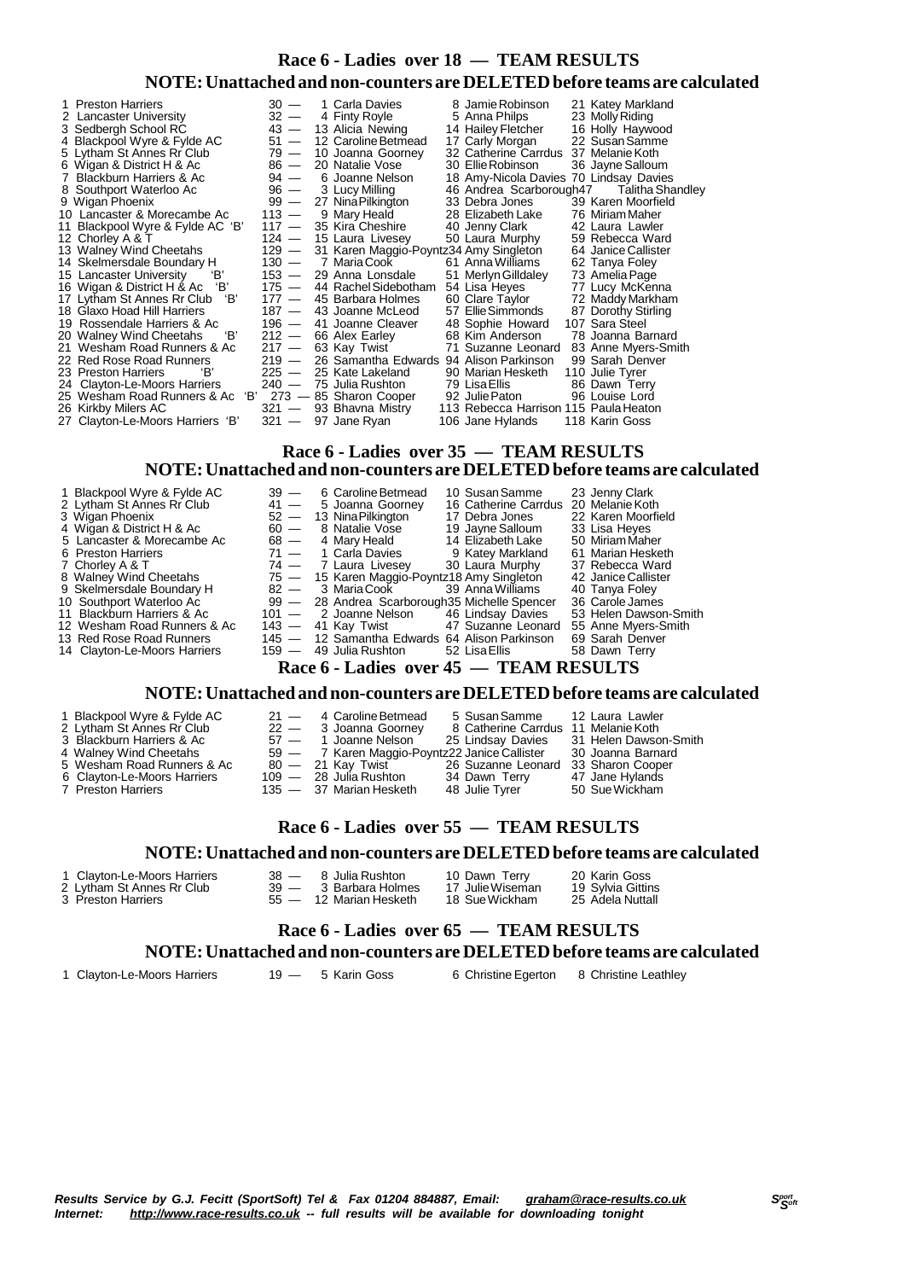#### **Race 6 - Ladies over 18 — TEAM RESULTS NOTE:Unattached and non-counters are DELETEDbefore teams are calculated**

| 1 Preston Harriers                 | $30 -$  | 1 Carla Davies                          | 8 Jamie Robinson                       | 21 Katey Markland       |
|------------------------------------|---------|-----------------------------------------|----------------------------------------|-------------------------|
| 2 Lancaster University             | $32 -$  | 4 Finty Royle                           | 5 Anna Philps                          | 23 Molly Riding         |
| 3 Sedbergh School RC               | $43 -$  | 13 Alicia Newing                        | 14 Hailey Fletcher                     | 16 Holly Haywood        |
| 4 Blackpool Wyre & Fylde AC        | $51 -$  | 12 Caroline Betmead                     | 17 Carly Morgan                        | 22 Susan Samme          |
| 5 Lytham St Annes Rr Club          | 79 —    | 10 Joanna Goorney                       | 32 Catherine Carrdus 37 Melanie Koth   |                         |
| 6 Wigan & District H & Ac          | $86 -$  | 20 Natalie Vose                         | 30 Ellie Robinson                      | 36 Jayne Salloum        |
| 7 Blackburn Harriers & Ac          | $94 -$  | 6 Joanne Nelson                         | 18 Amy-Nicola Davies 70 Lindsay Davies |                         |
| 8 Southport Waterloo Ac            | $96 -$  | 3 Lucy Milling                          | 46 Andrea Scarborough47                | <b>Talitha Shandley</b> |
| 9 Wigan Phoenix                    | $99 -$  | 27 Nina Pilkington                      | 33 Debra Jones                         | 39 Karen Moorfield      |
| 10 Lancaster & Morecambe Ac        | $113 -$ | 9 Mary Heald                            | 28 Elizabeth Lake                      | 76 Miriam Maher         |
| 11 Blackpool Wyre & Fylde AC 'B'   | $117 -$ | 35 Kira Cheshire                        | 40 Jenny Clark                         | 42 Laura Lawler         |
| 12 Chorley A & T                   | $124 -$ | 15 Laura Livesey                        | 50 Laura Murphy                        | 59 Rebecca Ward         |
| 13 Walney Wind Cheetahs            | 129 —   | 31 Karen Maggio-Poyntz34 Amy Singleton  |                                        | 64 Janice Callister     |
| 14 Skelmersdale Boundary H         |         | 130 — 7 Maria Cook                      | 61 Anna Williams                       | 62 Tanya Foley          |
| 'В'<br>15 Lancaster University     | 153 —   | 29 Anna Lonsdale                        | 51 Merlyn Gilldaley                    | 73 Amelia Page          |
| 16 Wigan & District H & Ac 'B'     | 175 —   | 44 Rachel Sidebotham                    | 54 Lisa Heyes                          | 77 Lucy McKenna         |
| 'В'<br>17 Lytham St Annes Rr Club  | $177 -$ | 45 Barbara Holmes                       | 60 Clare Taylor                        | 72 Maddy Markham        |
| 18 Glaxo Hoad Hill Harriers        |         | 187 — 43 Joanne McLeod                  | 57 Ellie Simmonds                      | 87 Dorothy Stirling     |
| 19 Rossendale Harriers & Ac        |         | 196 - 41 Joanne Cleaver                 | 48 Sophie Howard                       | 107 Sara Steel          |
| 20 Walney Wind Cheetahs<br>'В'     | $212 -$ | 66 Alex Earley                          | 68 Kim Anderson                        | 78 Joanna Barnard       |
| 21 Wesham Road Runners & Ac        | $217 -$ | 63 Kay Twist                            | 71 Suzanne Leonard                     | 83 Anne Myers-Smith     |
| 22 Red Rose Road Runners           | $219 -$ | 26 Samantha Edwards 94 Alison Parkinson |                                        | 99 Sarah Denver         |
| 'В'<br>23 Preston Harriers         | $225 -$ | 25 Kate Lakeland                        | 90 Marian Hesketh                      | 110 Julie Tyrer         |
| 24 Clayton-Le-Moors Harriers       | $240 -$ | 75  Julia Rushton                       | 79 Lisa Ellis                          | 86 Dawn Terry           |
| 25 Wesham Road Runners & Ac<br>'В' |         | 273 - 85 Sharon Cooper                  | 92 Julie Paton                         | 96 Louise Lord          |
| 26 Kirkby Milers AC                |         | 321 — 93 Bhavna Mistry                  | 113 Rebecca Harrison 115 Paula Heaton  |                         |
| 27 Clayton-Le-Moors Harriers 'B'   |         | 321 — 97 Jane Ryan                      | 106 Jane Hylands                       | 118 Karin Goss          |
|                                    |         |                                         |                                        |                         |

#### **Race 6 - Ladies over 35 — TEAM RESULTS NOTE:Unattached and non-counters are DELETEDbefore teams are calculated**

| 1 Blackpool Wyre & Fylde AC  | $39 -$  | 6 Caroline Betmead                             |               | 10 Susan Samme       | 23 Jenny Clark          |
|------------------------------|---------|------------------------------------------------|---------------|----------------------|-------------------------|
| 2 Lytham St Annes Rr Club    | $41 -$  | 5 Joanna Goorney                               |               | 16 Catherine Carrdus | 20 Melanie Koth         |
| 3 Wigan Phoenix              |         | $52 - 13$ Nina Pilkington                      |               | 17 Debra Jones       | 22 Karen Moorfield      |
| 4 Wigan & District H & Ac    | $60 -$  | 8 Natalie Vose                                 |               | 19 Jayne Salloum     | 33 Lisa Heyes           |
| 5 Lancaster & Morecambe Ac   | 68 —    | 4 Mary Heald                                   |               | 14 Elizabeth Lake    | 50 Miriam Maher         |
| 6 Preston Harriers           | $71 -$  | 1 Carla Davies                                 |               | 9 Katey Markland     | 61 Marian Hesketh       |
| 7 Chorley A & T              |         | 74 — 7 Laura Livesey                           |               | 30 Laura Murphy      | 37 Rebecca Ward         |
| 8 Walney Wind Cheetahs       |         | 75 - 15 Karen Maggio-Poyntz18 Amy Singleton    |               |                      | 42 Janice Callister     |
| 9 Skelmersdale Boundary H    |         | 82 — 3 Maria Cook                              |               | 39 Anna Williams     | 40 Tanya Foley          |
| 10 Southport Waterloo Ac     |         | 99 - 28 Andrea Scarborough 35 Michelle Spencer |               |                      | 36 Carole James         |
| 11 Blackburn Harriers & Ac   |         | 101 — 2 Joanne Nelson                          |               | 46 Lindsay Davies    | 53 Helen Dawson-Smith   |
| 12 Wesham Road Runners & Ac  | $143 -$ | 41 Kay Twist                                   |               | 47 Suzanne Leonard   | 55 Anne Myers-Smith     |
| 13 Red Rose Road Runners     |         | 145 — 12 Samantha Edwards 64 Alison Parkinson  |               |                      | 69 Sarah Denver         |
| 14 Clayton-Le-Moors Harriers | $159 -$ | 49  Julia Rushton                              |               | 52 Lisa Ellis        | 58 Dawn Terry           |
|                              |         | $\mathbf{r}$ $\mathbf{r}$ $\mathbf{r}$         | $\rightarrow$ |                      | <b>THE LAT DECIT HO</b> |

#### **Race 6 - Ladies over 45 — TEAM RESULTS**

#### **NOTE:Unattached and non-counters are DELETEDbefore teams are calculated**

- 1 Blackpool Wyre & Fylde AC 21 4 Caroline Betmead 5 Susan Samme 12 Laura Lawler<br>2 Lytham St Annes Rr Club 22 3 Joanna Goorney 8 Catherine Carrdus 11 Melanie Koth
- 
- 
- 
- 
- 6 Clayton-Le-Moors Harriers 109 28 Julia Rushton 34 Dawn Terry 47 Jane Hylands
- 2 Lytham St Annes Rr Club 22 3 Joanna Goorney 8 Catherine Carrdus 11 Melanie Koth<br>3 Blackburn Harriers & Ac 57 1 Joanne Nelson 25 Lindsay Davies 31 Helen Dawson-Smith<br>4 Walney Wind Cheetahs 59 7 Karen Maggio-Poyntz 2
- 3 Blackburn Harriers & Ac 57 1 Joanne Nelson 25 Lindsay Davies 31 Helen Dawson-Smith
- 4 Walney Wind Cheetahs 59 7 Karen Maggio-Poyntz22 Janice Callister 30 Joanna Barnard
	-
	-
- 7 Preston Harriers 135 37 Marian Hesketh 48 Julie Tyrer 50 SueWickham
- 4 Walney Wind Cheetahs  $59 7$  Karen Maggio-Poyntz22 Janice Callister 30 Joanna Barnard<br>
5 Wesham Road Runners & Ac  $80 21$  Kay Twist  $26$  Suzanne Leonard 33 Sharon Cooper<br>
6 Clayton-Le-Moors Harriers  $109 28$  Julia Rush
	-
- 

#### **Race 6 - Ladies over 55 — TEAM RESULTS**

#### **NOTE:Unattached and non-counters are DELETEDbefore teams are calculated**

1 Clayton-Le-Moors Harriers 38 - 8 Julia Rushton 10 Dawn Terry 20 Karin Goss<br>2 Lytham St Annes Rr Club 39 - 3 Barbara Holmes 17 Julie Wiseman 19 Sylvia Gittins

2 Lytham St Annes Rr Club 39 — 3 Barbara Holmes 17 JulieWiseman 19 Sylvia Gittins 3 Preston Harriers 55 — 12 Marian Hesketh 18 SueWickham 25 Adela Nuttall

# **Race 6 - Ladies over 65 — TEAM RESULTS**

**NOTE:Unattached and non-counters are DELETEDbefore teams are calculated**

1 Clayton-Le-Moors Harriers 19 — 5 Karin Goss 6 Christine Egerton 8 Christine Leathley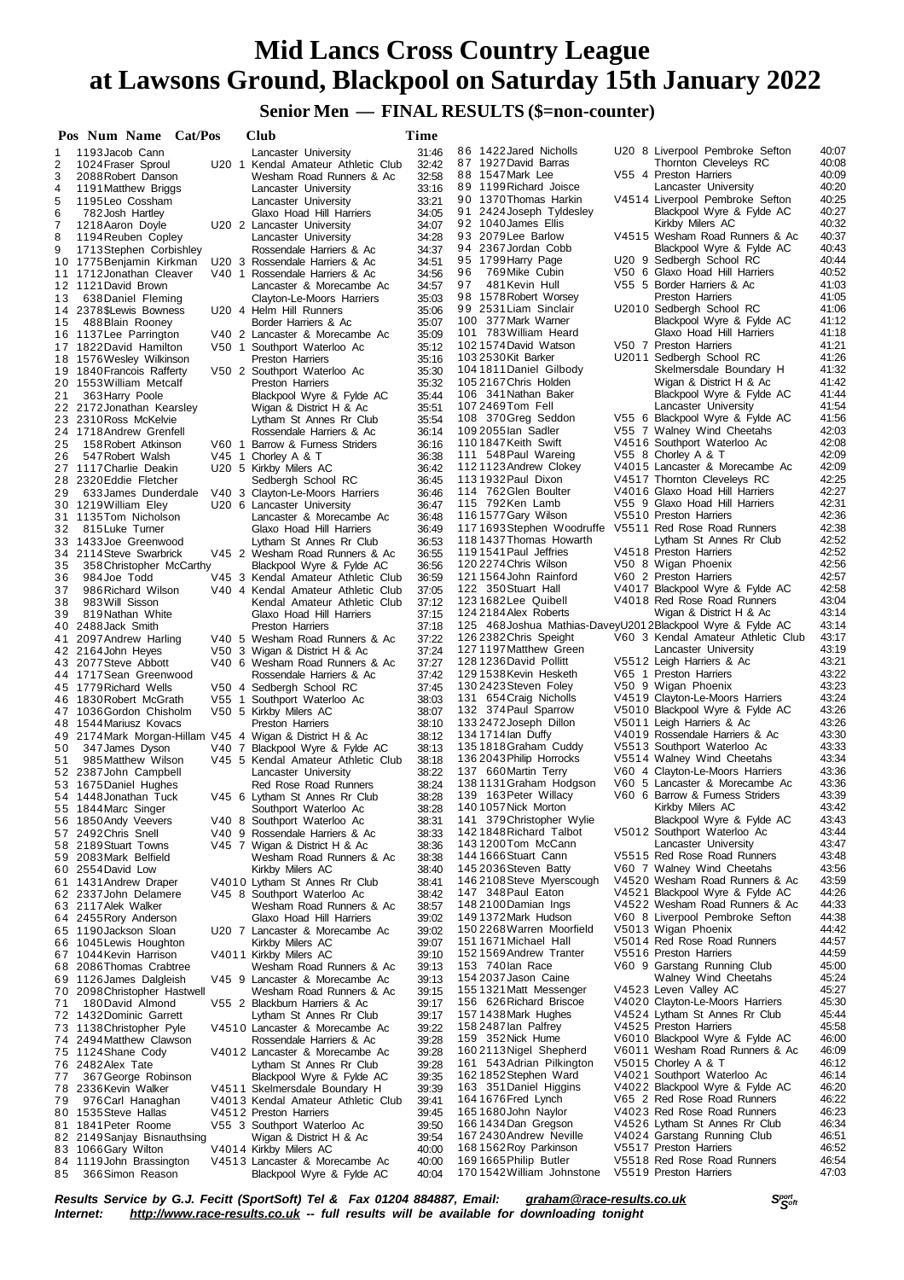## **Senior Men — FINAL RESULTS (\$=non-counter)**

| 40:07<br>86 1422 Jared Nicholls<br>U20 8 Liverpool Pembroke Sefton<br>1193 Jacob Cann<br>31:46<br>Lancaster University<br>1<br>87 1927 David Barras<br>Thornton Cleveleys RC<br>40:08<br>32:42<br>2<br>1024 Fraser Sproul<br>U20 1 Kendal Amateur Athletic Club<br>40:09<br>88 1547 Mark Lee<br>V55 4 Preston Harriers<br>3<br>32:58<br>2088 Robert Danson<br>Wesham Road Runners & Ac<br>40:20<br>89 1199 Richard Joisce<br>Lancaster University<br>4<br>33:16<br>Lancaster University<br>1191 Matthew Briggs<br>90 1370 Thomas Harkin<br>V4514 Liverpool Pembroke Sefton<br>40:25<br>33:21<br>5<br>1195 Leo Cossham<br>Lancaster University<br>40:27<br>Blackpool Wyre & Fylde AC<br>91 2424 Joseph Tyldesley<br>6<br>34:05<br>782 Josh Hartley<br>Glaxo Hoad Hill Harriers<br>40:32<br>92 1040 James Ellis<br>Kirkby Milers AC<br>7<br>34:07<br>1218 Aaron Doyle<br>U20 2 Lancaster University<br>93 2079 Lee Barlow<br>V4515 Wesham Road Runners & Ac<br>40:37<br>34:28<br>8<br>1194 Reuben Copley<br>Lancaster University<br>40:43<br>94 2367 Jordan Cobb<br>Blackpool Wyre & Fylde AC<br>9<br>1713 Stephen Corbishley<br>Rossendale Harriers & Ac<br>34:37<br>40:44<br>95 1799 Harry Page<br>U20 9 Sedbergh School RC<br>34:51<br>10 1775 Benjamin Kirkman<br>U20 3 Rossendale Harriers & Ac<br>96<br>769Mike Cubin<br>V50 6 Glaxo Hoad Hill Harriers<br>40:52<br>34.56<br>11 1712 Jonathan Cleaver<br>V40 1 Rossendale Harriers & Ac<br>41:03<br>97<br>481 Kevin Hull<br>V55 5 Border Harriers & Ac<br>12 1121 David Brown<br>Lancaster & Morecambe Ac<br>34:57<br>41:05<br>98 1578 Robert Worsey<br><b>Preston Harriers</b><br>35:03<br>638 Daniel Fleming<br>13<br>Clayton-Le-Moors Harriers<br>99 2531 Liam Sinclair<br>U2010 Sedbergh School RC<br>41:06<br>35:06<br>2378 \$Lewis Bowness<br>U20 4 Helm Hill Runners<br>14<br>41:12<br>100 377 Mark Warner<br>Blackpool Wyre & Fylde AC<br>35:07<br>488 Blain Rooney<br>Border Harriers & Ac<br>15<br>41:18<br>101 783 William Heard<br>Glaxo Hoad Hill Harriers<br>35:09<br>16 1137 Lee Parrington<br>V40 2 Lancaster & Morecambe Ac<br>1021574 David Watson<br>V50 7 Preston Harriers<br>41:21<br>35:12<br>17 1822 David Hamilton<br>V50 1 Southport Waterloo Ac<br>41:26<br>103 2530 Kit Barker<br>U2011 Sedbergh School RC<br>35:16<br>18 1576 Wesley Wilkinson<br>Preston Harriers<br>41:32<br>Skelmersdale Boundary H<br>104 1811 Daniel Gilbody<br>19 1840 Francois Rafferty<br>V50 2 Southport Waterloo Ac<br>35:30<br>1052167 Chris Holden<br>Wigan & District H & Ac<br>41:42<br>35:32<br>1553 William Metcalf<br><b>Preston Harriers</b><br>20<br>106 341 Nathan Baker<br>Blackpool Wyre & Fylde AC<br>41:44<br>35:44<br>21<br>363 Harry Poole<br>Blackpool Wyre & Fylde AC<br>41:54<br>107 2469 Tom Fell<br>Lancaster University<br>22 2172 Jonathan Kearsley<br>Wigan & District H & Ac<br>35:51<br>108 370 Greg Seddon<br>V55 6 Blackpool Wyre & Fylde AC<br>41:56<br>35:54<br>23 2310 Ross McKelvie<br>Lytham St Annes Rr Club<br>42:03<br>109 2055 lan Sadler<br>V55 7 Walney Wind Cheetahs<br>36:14<br>24 1718 Andrew Grenfell<br>Rossendale Harriers & Ac<br>42:08<br>1101847Keith Swift<br>V4516 Southport Waterloo Ac<br>25<br>158 Robert Atkinson<br>Barrow & Furness Striders<br>36:16<br>V60 1<br>42:09<br>111 548 Paul Wareing<br>V55 8 Chorley A & T<br>36:38<br>26<br>547 Robert Walsh<br>V45 1 Chorley A & T<br>42:09<br>1121123 Andrew Clokey<br>V4015 Lancaster & Morecambe Ac<br>36:42<br>27 1117 Charlie Deakin<br>U20 5 Kirkby Milers AC<br>42:25<br>1131932 Paul Dixon<br>V4517 Thornton Cleveleys RC<br>36:45<br>28 2320 Eddie Fletcher<br>Sedbergh School RC<br>42:27<br>114 762 Glen Boulter<br>V4016 Glaxo Hoad Hill Harriers<br>36:46<br>29<br>633 James Dunderdale<br>V40 3 Clayton-Le-Moors Harriers<br>42:31<br>115 792Ken Lamb<br>V55 9 Glaxo Hoad Hill Harriers<br>36:47<br>30 1219 William Eley<br>U20 6 Lancaster University<br>42:36<br>116 1577 Gary Wilson<br>V5510 Preston Harriers<br>31 1135 Tom Nicholson<br>Lancaster & Morecambe Ac<br>36:48<br>42:38<br>1171693Stephen Woodruffe<br>V5511 Red Rose Road Runners<br>36:49<br>32<br>815 Luke Turner<br>Glaxo Hoad Hill Harriers<br>42:52<br>118 1437 Thomas Howarth<br>Lytham St Annes Rr Club<br>33 1433 Joe Greenwood<br>Lytham St Annes Rr Club<br>36:53<br>42:52<br>119 1541 Paul Jeffries<br>V4518 Preston Harriers<br>34 2114 Steve Swarbrick<br>V45 2 Wesham Road Runners & Ac<br>36:55<br>42:56<br>120 2274 Chris Wilson<br>V50 8 Wigan Phoenix<br>36:56<br>358 Christopher McCarthy<br>Blackpool Wyre & Fylde AC<br>35<br>42:57<br>1211564 John Rainford<br>V60 2 Preston Harriers<br>36<br>984 Joe Todd<br>V45 3 Kendal Amateur Athletic Club<br>36.59<br>42:58<br>122 350 Stuart Hall<br>V4017 Blackpool Wyre & Fylde AC<br>37:05<br>37<br>986 Richard Wilson<br>V40 4 Kendal Amateur Athletic Club<br>43:04<br>1231682Lee Quibell<br>V4018 Red Rose Road Runners<br>983 Will Sisson<br>37:12<br>38<br>Kendal Amateur Athletic Club<br>43:14<br>124 2184 Alex Roberts<br>Wigan & District H & Ac<br>39<br>819 Nathan White<br>Glaxo Hoad Hill Harriers<br>37:15<br>125 468 Joshua Mathias-Davey U201 2 Blackpool Wyre & Fylde AC<br>43:14<br>40 2488 Jack Smith<br><b>Preston Harriers</b><br>37:18<br>126 2382 Chris Speight<br>V60 3 Kendal Amateur Athletic Club<br>43:17<br>37:22<br>V40 5 Wesham Road Runners & Ac<br>2097 Andrew Harling<br>41<br>43:19<br>1271197 Matthew Green<br>Lancaster University<br>37:24<br>42 2164 John Heyes<br>V50 3 Wigan & District H & Ac<br>128 1236 David Pollitt<br>43:21<br>V5512 Leigh Harriers & Ac<br>37:27<br>43 2077 Steve Abbott<br>V40 6 Wesham Road Runners & Ac<br>1291538 Kevin Hesketh<br>V65 1 Preston Harriers<br>43:22<br>44 1717 Sean Greenwood<br>37:42<br>Rossendale Harriers & Ac<br>43:23<br>130 2423 Steven Foley<br>V50 9 Wigan Phoenix<br>37:45<br>45 1779 Richard Wells<br>V50 4 Sedbergh School RC<br>43:24<br>131 654 Craig Nicholls<br>V4519 Clayton-Le-Moors Harriers<br>46 1830 Robert McGrath<br>V55 1 Southport Waterloo Ac<br>38:03<br>132 374 Paul Sparrow<br>V5010 Blackpool Wyre & Fylde AC<br>43:26<br>38:07<br>47 1036 Gordon Chisholm<br>V50 5 Kirkby Milers AC<br>43:26<br>1332472 Joseph Dillon<br>V5011 Leigh Harriers & Ac<br>48 1544 Mariusz Kovacs<br>Preston Harriers<br>38:10<br>43:30<br>134 1714 lan Duffy<br>V4019 Rossendale Harriers & Ac<br>38:12<br>49 2174 Mark Morgan-Hillam V45 4 Wigan & District H & Ac<br>1351818 Graham Cuddy<br>V5513 Southport Waterloo Ac<br>43:33<br>38:13<br>50<br>V40 7 Blackpool Wyre & Fylde AC<br>347 James Dyson<br>43:34<br>136 2043 Philip Horrocks<br>V5514 Walney Wind Cheetahs<br>985 Matthew Wilson<br>V45 5 Kendal Amateur Athletic Club<br>38:18<br>51<br>43:36<br>137 660 Martin Terry<br>V60 4 Clayton-Le-Moors Harriers<br>38:22<br>52 2387 John Campbell<br>Lancaster University<br>V60 5 Lancaster & Morecambe Ac<br>43:36<br>138 1131 Graham Hodgson<br>38:24<br>53 1675 Daniel Hughes<br>Red Rose Road Runners<br>43:39<br>V60 6 Barrow & Furness Striders<br>139 163 Peter Willacy<br>54 1448 Jonathan Tuck<br>V45 6 Lytham St Annes Rr Club<br>38:28<br>43:42<br>140 1057 Nick Morton<br>Kirkby Milers AC<br>38:28<br>55 1844 Marc Singer<br>Southport Waterloo Ac<br>43:43<br>141 379 Christopher Wylie<br>Blackpool Wyre & Fylde AC<br>38:31<br>56 1850 Andy Veevers<br>V40 8 Southport Waterloo Ac<br>43:44<br>1421848 Richard Talbot<br>V5012 Southport Waterloo Ac<br>57 2492 Chris Snell<br>V40 9 Rossendale Harriers & Ac<br>38:33<br>43:47<br>1431200Tom McCann<br>Lancaster University<br>58 2189 Stuart Towns<br>38:36<br>V45 7 Wigan & District H & Ac<br>144 1666 Stuart Cann<br>V5515 Red Rose Road Runners<br>43:48<br>38:38<br>Wesham Road Runners & Ac<br>59 2083 Mark Belfield<br>43:56<br>145 2036 Steven Batty<br>V60 7 Walney Wind Cheetahs<br>60 2554 David Low<br>Kirkby Milers AC<br>38:40<br>43:59<br>146 2108 Steve Myerscough<br>V4520 Wesham Road Runners & Ac<br>38:41<br>61 1431 Andrew Draper<br>V4010 Lytham St Annes Rr Club<br>44:26<br>147 348 Paul Eaton<br>V4521 Blackpool Wyre & Fylde AC<br>38:42<br>62 2337 John Delamere<br>V45 8 Southport Waterloo Ac<br>44:33<br>148 2100 Damian Ings<br>V4522 Wesham Road Runners & Ac<br>63 2117 Alek Walker<br>Wesham Road Runners & Ac<br>38:57<br>44:38<br>1491372 Mark Hudson<br>V60 8 Liverpool Pembroke Sefton<br>39:02<br>64 2455 Rory Anderson<br>Glaxo Hoad Hill Harriers<br>44:42<br>150 2268 Warren Moorfield<br>V5013 Wigan Phoenix<br>39:02<br>65 1190 Jackson Sloan<br>U20 7 Lancaster & Morecambe Ac<br>V5014 Red Rose Road Runners<br>44:57<br>151 1671 Michael Hall<br>66 1045 Lewis Houghton<br>Kirkby Milers AC<br>39:07<br>44:59<br>1521569 Andrew Tranter<br>V5516 Preston Harriers<br>39:10<br>67 1044 Kevin Harrison<br>V4011 Kirkby Milers AC<br>153 740 lan Race<br>V60 9 Garstang Running Club<br>45:00<br>39:13<br>68 2086 Thomas Crabtree<br>Wesham Road Runners & Ac<br>45:24<br>154 2037 Jason Caine<br>Walney Wind Cheetahs<br>69 1126 James Dalgleish<br>V45 9 Lancaster & Morecambe Ac<br>39:13<br>45:27<br>155 1321 Matt Messenger<br>V4523 Leven Valley AC<br>39:15<br>70 2098 Christopher Hastwell<br>Wesham Road Runners & Ac<br>156 626 Richard Briscoe<br>V4020 Clayton-Le-Moors Harriers<br>45:30<br>39:17<br>71<br>180 David Almond<br>V55 2 Blackburn Harriers & Ac<br>45:44<br>1571438 Mark Hughes<br>V4524 Lytham St Annes Rr Club<br>72 1432 Dominic Garrett<br>Lytham St Annes Rr Club<br>39:17<br>45:58<br>158 2487 lan Palfrey<br>V4525 Preston Harriers<br>1138 Christopher Pyle<br>39:22<br>V4510 Lancaster & Morecambe Ac<br>73<br>46:00<br>159 352 Nick Hume<br>V6010 Blackpool Wyre & Fylde AC<br>39:28<br>74 2494 Matthew Clawson<br>Rossendale Harriers & Ac<br>46:09<br>1602113Nigel Shepherd<br>V6011 Wesham Road Runners & Ac<br>75 1124 Shane Cody<br>V4012 Lancaster & Morecambe Ac<br>39:28<br>46:12<br>161 543 Adrian Pilkington<br>V5015 Chorley A & T<br>76 2482 Alex Tate<br>39:28<br>Lytham St Annes Rr Club<br>46:14<br>1621852 Stephen Ward<br>V4021 Southport Waterloo Ac<br>39:35<br>367 George Robinson<br>Blackpool Wyre & Fylde AC<br>77<br>46:20<br>163 351 Daniel Higgins<br>V4022 Blackpool Wyre & Fylde AC<br>2336 Kevin Walker<br>V4511 Skelmersdale Boundary H<br>39:39<br>78<br>46:22<br>1641676Fred Lynch<br>V65 2 Red Rose Road Runners<br>39:41<br>976 Carl Hanaghan<br>V4013 Kendal Amateur Athletic Club<br>79<br>1651680John Naylor<br>V4023 Red Rose Road Runners<br>46:23<br>39:45<br>1535 Steve Hallas<br>V4512 Preston Harriers<br>80<br>46:34<br>1661434Dan Gregson<br>V4526 Lytham St Annes Rr Club<br>1841 Peter Roome<br>V55 3 Southport Waterloo Ac<br>39:50<br>81<br>46:51<br>167 2430 Andrew Neville<br>V4024 Garstang Running Club<br>39:54<br>82 2149 Sanjay Bisnauthsing<br>Wigan & District H & Ac<br>1681562 Roy Parkinson<br>V5517 Preston Harriers<br>46:52<br>1066 Gary Wilton<br>V4014 Kirkby Milers AC<br>40:00<br>83<br>V5518 Red Rose Road Runners<br>46:54<br>1691665Philip Butler<br>84 1119 John Brassington<br>V4513 Lancaster & Morecambe Ac<br>40:00<br>47:03<br>1701542 William Johnstone<br>V5519 Preston Harriers<br>366 Simon Reason<br>Blackpool Wyre & Fylde AC<br>40:04<br>85 | Pos Num Name Cat/Pos |  | Club | Time |  |  |
|----------------------------------------------------------------------------------------------------------------------------------------------------------------------------------------------------------------------------------------------------------------------------------------------------------------------------------------------------------------------------------------------------------------------------------------------------------------------------------------------------------------------------------------------------------------------------------------------------------------------------------------------------------------------------------------------------------------------------------------------------------------------------------------------------------------------------------------------------------------------------------------------------------------------------------------------------------------------------------------------------------------------------------------------------------------------------------------------------------------------------------------------------------------------------------------------------------------------------------------------------------------------------------------------------------------------------------------------------------------------------------------------------------------------------------------------------------------------------------------------------------------------------------------------------------------------------------------------------------------------------------------------------------------------------------------------------------------------------------------------------------------------------------------------------------------------------------------------------------------------------------------------------------------------------------------------------------------------------------------------------------------------------------------------------------------------------------------------------------------------------------------------------------------------------------------------------------------------------------------------------------------------------------------------------------------------------------------------------------------------------------------------------------------------------------------------------------------------------------------------------------------------------------------------------------------------------------------------------------------------------------------------------------------------------------------------------------------------------------------------------------------------------------------------------------------------------------------------------------------------------------------------------------------------------------------------------------------------------------------------------------------------------------------------------------------------------------------------------------------------------------------------------------------------------------------------------------------------------------------------------------------------------------------------------------------------------------------------------------------------------------------------------------------------------------------------------------------------------------------------------------------------------------------------------------------------------------------------------------------------------------------------------------------------------------------------------------------------------------------------------------------------------------------------------------------------------------------------------------------------------------------------------------------------------------------------------------------------------------------------------------------------------------------------------------------------------------------------------------------------------------------------------------------------------------------------------------------------------------------------------------------------------------------------------------------------------------------------------------------------------------------------------------------------------------------------------------------------------------------------------------------------------------------------------------------------------------------------------------------------------------------------------------------------------------------------------------------------------------------------------------------------------------------------------------------------------------------------------------------------------------------------------------------------------------------------------------------------------------------------------------------------------------------------------------------------------------------------------------------------------------------------------------------------------------------------------------------------------------------------------------------------------------------------------------------------------------------------------------------------------------------------------------------------------------------------------------------------------------------------------------------------------------------------------------------------------------------------------------------------------------------------------------------------------------------------------------------------------------------------------------------------------------------------------------------------------------------------------------------------------------------------------------------------------------------------------------------------------------------------------------------------------------------------------------------------------------------------------------------------------------------------------------------------------------------------------------------------------------------------------------------------------------------------------------------------------------------------------------------------------------------------------------------------------------------------------------------------------------------------------------------------------------------------------------------------------------------------------------------------------------------------------------------------------------------------------------------------------------------------------------------------------------------------------------------------------------------------------------------------------------------------------------------------------------------------------------------------------------------------------------------------------------------------------------------------------------------------------------------------------------------------------------------------------------------------------------------------------------------------------------------------------------------------------------------------------------------------------------------------------------------------------------------------------------------------------------------------------------------------------------------------------------------------------------------------------------------------------------------------------------------------------------------------------------------------------------------------------------------------------------------------------------------------------------------------------------------------------------------------------------------------------------------------------------------------------------------------------------------------------------------------------------------------------------------------------------------------------------------------------------------------------------------------------------------------------------------------------------------------------------------------------------------------------------------------------------------------------------------------------------------------------------------------------------------------------------------------------------------------------------------------------------------------------------------------------------------------------------------------------------------------------------------------------------------------------------------------------------------------------------------------------------------------------------------------------------------------------------------------------------------------------------------------------------------------------------------------------------------------------------------------------------------------------------------------------------------------------------------------------------------------------------------------------------------------------------------------------------------------------------------------------------------------------------------------------------------------------------------------------------------------------------------------------------------------------------------------------------------------------------------------------------------------------------------------------------------------------------------------------------------------------------------------------------------------------------------------------------------------------------------------------------------------------------------------------------------------------------------------------------------------------------------------------------------------------------------------------------------------------------------------------------------------------------------------------------------------------------------------------------------------------------------------------------------------------------------------------------------------------------------------------------------------------------------------------------------------------------------------------------------------------------------------------------------------------------------------------------------------------------------------------------------------------------------------------------------------------------------------------------------------------------------------------------------------------------------------------------------------------------------------------------------------------------------------------------------------------------------------------------------------------------------------------------------------------------------------------------------------------------------------------------------------------------------------------------------------------------------------------------------------------------------------------------------------------------------------------------------------------------------------------------------------------------------|----------------------|--|------|------|--|--|
|                                                                                                                                                                                                                                                                                                                                                                                                                                                                                                                                                                                                                                                                                                                                                                                                                                                                                                                                                                                                                                                                                                                                                                                                                                                                                                                                                                                                                                                                                                                                                                                                                                                                                                                                                                                                                                                                                                                                                                                                                                                                                                                                                                                                                                                                                                                                                                                                                                                                                                                                                                                                                                                                                                                                                                                                                                                                                                                                                                                                                                                                                                                                                                                                                                                                                                                                                                                                                                                                                                                                                                                                                                                                                                                                                                                                                                                                                                                                                                                                                                                                                                                                                                                                                                                                                                                                                                                                                                                                                                                                                                                                                                                                                                                                                                                                                                                                                                                                                                                                                                                                                                                                                                                                                                                                                                                                                                                                                                                                                                                                                                                                                                                                                                                                                                                                                                                                                                                                                                                                                                                                                                                                                                                                                                                                                                                                                                                                                                                                                                                                                                                                                                                                                                                                                                                                                                                                                                                                                                                                                                                                                                                                                                                                                                                                                                                                                                                                                                                                                                                                                                                                                                                                                                                                                                                                                                                                                                                                                                                                                                                                                                                                                                                                                                                                                                                                                                                                                                                                                                                                                                                                                                                                                                                                                                                                                                                                                                                                                                                                                                                                                                                                                                                                                                                                                                                                                                                                                                                                                                                                                                                                                                                                                                                                                                                                                                                                                                                                                                                                                                                                                                                                                                                                                                                                                                                                                                                                                                                                                                                                                                                                                                                                                                                                                                                                                                                                                                                                                                                                                                                                                                                                                                                                                                                                                                                |                      |  |      |      |  |  |
|                                                                                                                                                                                                                                                                                                                                                                                                                                                                                                                                                                                                                                                                                                                                                                                                                                                                                                                                                                                                                                                                                                                                                                                                                                                                                                                                                                                                                                                                                                                                                                                                                                                                                                                                                                                                                                                                                                                                                                                                                                                                                                                                                                                                                                                                                                                                                                                                                                                                                                                                                                                                                                                                                                                                                                                                                                                                                                                                                                                                                                                                                                                                                                                                                                                                                                                                                                                                                                                                                                                                                                                                                                                                                                                                                                                                                                                                                                                                                                                                                                                                                                                                                                                                                                                                                                                                                                                                                                                                                                                                                                                                                                                                                                                                                                                                                                                                                                                                                                                                                                                                                                                                                                                                                                                                                                                                                                                                                                                                                                                                                                                                                                                                                                                                                                                                                                                                                                                                                                                                                                                                                                                                                                                                                                                                                                                                                                                                                                                                                                                                                                                                                                                                                                                                                                                                                                                                                                                                                                                                                                                                                                                                                                                                                                                                                                                                                                                                                                                                                                                                                                                                                                                                                                                                                                                                                                                                                                                                                                                                                                                                                                                                                                                                                                                                                                                                                                                                                                                                                                                                                                                                                                                                                                                                                                                                                                                                                                                                                                                                                                                                                                                                                                                                                                                                                                                                                                                                                                                                                                                                                                                                                                                                                                                                                                                                                                                                                                                                                                                                                                                                                                                                                                                                                                                                                                                                                                                                                                                                                                                                                                                                                                                                                                                                                                                                                                                                                                                                                                                                                                                                                                                                                                                                                                                                                                                |                      |  |      |      |  |  |
|                                                                                                                                                                                                                                                                                                                                                                                                                                                                                                                                                                                                                                                                                                                                                                                                                                                                                                                                                                                                                                                                                                                                                                                                                                                                                                                                                                                                                                                                                                                                                                                                                                                                                                                                                                                                                                                                                                                                                                                                                                                                                                                                                                                                                                                                                                                                                                                                                                                                                                                                                                                                                                                                                                                                                                                                                                                                                                                                                                                                                                                                                                                                                                                                                                                                                                                                                                                                                                                                                                                                                                                                                                                                                                                                                                                                                                                                                                                                                                                                                                                                                                                                                                                                                                                                                                                                                                                                                                                                                                                                                                                                                                                                                                                                                                                                                                                                                                                                                                                                                                                                                                                                                                                                                                                                                                                                                                                                                                                                                                                                                                                                                                                                                                                                                                                                                                                                                                                                                                                                                                                                                                                                                                                                                                                                                                                                                                                                                                                                                                                                                                                                                                                                                                                                                                                                                                                                                                                                                                                                                                                                                                                                                                                                                                                                                                                                                                                                                                                                                                                                                                                                                                                                                                                                                                                                                                                                                                                                                                                                                                                                                                                                                                                                                                                                                                                                                                                                                                                                                                                                                                                                                                                                                                                                                                                                                                                                                                                                                                                                                                                                                                                                                                                                                                                                                                                                                                                                                                                                                                                                                                                                                                                                                                                                                                                                                                                                                                                                                                                                                                                                                                                                                                                                                                                                                                                                                                                                                                                                                                                                                                                                                                                                                                                                                                                                                                                                                                                                                                                                                                                                                                                                                                                                                                                                                                                |                      |  |      |      |  |  |
|                                                                                                                                                                                                                                                                                                                                                                                                                                                                                                                                                                                                                                                                                                                                                                                                                                                                                                                                                                                                                                                                                                                                                                                                                                                                                                                                                                                                                                                                                                                                                                                                                                                                                                                                                                                                                                                                                                                                                                                                                                                                                                                                                                                                                                                                                                                                                                                                                                                                                                                                                                                                                                                                                                                                                                                                                                                                                                                                                                                                                                                                                                                                                                                                                                                                                                                                                                                                                                                                                                                                                                                                                                                                                                                                                                                                                                                                                                                                                                                                                                                                                                                                                                                                                                                                                                                                                                                                                                                                                                                                                                                                                                                                                                                                                                                                                                                                                                                                                                                                                                                                                                                                                                                                                                                                                                                                                                                                                                                                                                                                                                                                                                                                                                                                                                                                                                                                                                                                                                                                                                                                                                                                                                                                                                                                                                                                                                                                                                                                                                                                                                                                                                                                                                                                                                                                                                                                                                                                                                                                                                                                                                                                                                                                                                                                                                                                                                                                                                                                                                                                                                                                                                                                                                                                                                                                                                                                                                                                                                                                                                                                                                                                                                                                                                                                                                                                                                                                                                                                                                                                                                                                                                                                                                                                                                                                                                                                                                                                                                                                                                                                                                                                                                                                                                                                                                                                                                                                                                                                                                                                                                                                                                                                                                                                                                                                                                                                                                                                                                                                                                                                                                                                                                                                                                                                                                                                                                                                                                                                                                                                                                                                                                                                                                                                                                                                                                                                                                                                                                                                                                                                                                                                                                                                                                                                                                                |                      |  |      |      |  |  |
|                                                                                                                                                                                                                                                                                                                                                                                                                                                                                                                                                                                                                                                                                                                                                                                                                                                                                                                                                                                                                                                                                                                                                                                                                                                                                                                                                                                                                                                                                                                                                                                                                                                                                                                                                                                                                                                                                                                                                                                                                                                                                                                                                                                                                                                                                                                                                                                                                                                                                                                                                                                                                                                                                                                                                                                                                                                                                                                                                                                                                                                                                                                                                                                                                                                                                                                                                                                                                                                                                                                                                                                                                                                                                                                                                                                                                                                                                                                                                                                                                                                                                                                                                                                                                                                                                                                                                                                                                                                                                                                                                                                                                                                                                                                                                                                                                                                                                                                                                                                                                                                                                                                                                                                                                                                                                                                                                                                                                                                                                                                                                                                                                                                                                                                                                                                                                                                                                                                                                                                                                                                                                                                                                                                                                                                                                                                                                                                                                                                                                                                                                                                                                                                                                                                                                                                                                                                                                                                                                                                                                                                                                                                                                                                                                                                                                                                                                                                                                                                                                                                                                                                                                                                                                                                                                                                                                                                                                                                                                                                                                                                                                                                                                                                                                                                                                                                                                                                                                                                                                                                                                                                                                                                                                                                                                                                                                                                                                                                                                                                                                                                                                                                                                                                                                                                                                                                                                                                                                                                                                                                                                                                                                                                                                                                                                                                                                                                                                                                                                                                                                                                                                                                                                                                                                                                                                                                                                                                                                                                                                                                                                                                                                                                                                                                                                                                                                                                                                                                                                                                                                                                                                                                                                                                                                                                                                                                |                      |  |      |      |  |  |
|                                                                                                                                                                                                                                                                                                                                                                                                                                                                                                                                                                                                                                                                                                                                                                                                                                                                                                                                                                                                                                                                                                                                                                                                                                                                                                                                                                                                                                                                                                                                                                                                                                                                                                                                                                                                                                                                                                                                                                                                                                                                                                                                                                                                                                                                                                                                                                                                                                                                                                                                                                                                                                                                                                                                                                                                                                                                                                                                                                                                                                                                                                                                                                                                                                                                                                                                                                                                                                                                                                                                                                                                                                                                                                                                                                                                                                                                                                                                                                                                                                                                                                                                                                                                                                                                                                                                                                                                                                                                                                                                                                                                                                                                                                                                                                                                                                                                                                                                                                                                                                                                                                                                                                                                                                                                                                                                                                                                                                                                                                                                                                                                                                                                                                                                                                                                                                                                                                                                                                                                                                                                                                                                                                                                                                                                                                                                                                                                                                                                                                                                                                                                                                                                                                                                                                                                                                                                                                                                                                                                                                                                                                                                                                                                                                                                                                                                                                                                                                                                                                                                                                                                                                                                                                                                                                                                                                                                                                                                                                                                                                                                                                                                                                                                                                                                                                                                                                                                                                                                                                                                                                                                                                                                                                                                                                                                                                                                                                                                                                                                                                                                                                                                                                                                                                                                                                                                                                                                                                                                                                                                                                                                                                                                                                                                                                                                                                                                                                                                                                                                                                                                                                                                                                                                                                                                                                                                                                                                                                                                                                                                                                                                                                                                                                                                                                                                                                                                                                                                                                                                                                                                                                                                                                                                                                                                                                                |                      |  |      |      |  |  |
|                                                                                                                                                                                                                                                                                                                                                                                                                                                                                                                                                                                                                                                                                                                                                                                                                                                                                                                                                                                                                                                                                                                                                                                                                                                                                                                                                                                                                                                                                                                                                                                                                                                                                                                                                                                                                                                                                                                                                                                                                                                                                                                                                                                                                                                                                                                                                                                                                                                                                                                                                                                                                                                                                                                                                                                                                                                                                                                                                                                                                                                                                                                                                                                                                                                                                                                                                                                                                                                                                                                                                                                                                                                                                                                                                                                                                                                                                                                                                                                                                                                                                                                                                                                                                                                                                                                                                                                                                                                                                                                                                                                                                                                                                                                                                                                                                                                                                                                                                                                                                                                                                                                                                                                                                                                                                                                                                                                                                                                                                                                                                                                                                                                                                                                                                                                                                                                                                                                                                                                                                                                                                                                                                                                                                                                                                                                                                                                                                                                                                                                                                                                                                                                                                                                                                                                                                                                                                                                                                                                                                                                                                                                                                                                                                                                                                                                                                                                                                                                                                                                                                                                                                                                                                                                                                                                                                                                                                                                                                                                                                                                                                                                                                                                                                                                                                                                                                                                                                                                                                                                                                                                                                                                                                                                                                                                                                                                                                                                                                                                                                                                                                                                                                                                                                                                                                                                                                                                                                                                                                                                                                                                                                                                                                                                                                                                                                                                                                                                                                                                                                                                                                                                                                                                                                                                                                                                                                                                                                                                                                                                                                                                                                                                                                                                                                                                                                                                                                                                                                                                                                                                                                                                                                                                                                                                                                                                |                      |  |      |      |  |  |
|                                                                                                                                                                                                                                                                                                                                                                                                                                                                                                                                                                                                                                                                                                                                                                                                                                                                                                                                                                                                                                                                                                                                                                                                                                                                                                                                                                                                                                                                                                                                                                                                                                                                                                                                                                                                                                                                                                                                                                                                                                                                                                                                                                                                                                                                                                                                                                                                                                                                                                                                                                                                                                                                                                                                                                                                                                                                                                                                                                                                                                                                                                                                                                                                                                                                                                                                                                                                                                                                                                                                                                                                                                                                                                                                                                                                                                                                                                                                                                                                                                                                                                                                                                                                                                                                                                                                                                                                                                                                                                                                                                                                                                                                                                                                                                                                                                                                                                                                                                                                                                                                                                                                                                                                                                                                                                                                                                                                                                                                                                                                                                                                                                                                                                                                                                                                                                                                                                                                                                                                                                                                                                                                                                                                                                                                                                                                                                                                                                                                                                                                                                                                                                                                                                                                                                                                                                                                                                                                                                                                                                                                                                                                                                                                                                                                                                                                                                                                                                                                                                                                                                                                                                                                                                                                                                                                                                                                                                                                                                                                                                                                                                                                                                                                                                                                                                                                                                                                                                                                                                                                                                                                                                                                                                                                                                                                                                                                                                                                                                                                                                                                                                                                                                                                                                                                                                                                                                                                                                                                                                                                                                                                                                                                                                                                                                                                                                                                                                                                                                                                                                                                                                                                                                                                                                                                                                                                                                                                                                                                                                                                                                                                                                                                                                                                                                                                                                                                                                                                                                                                                                                                                                                                                                                                                                                                                                                |                      |  |      |      |  |  |
|                                                                                                                                                                                                                                                                                                                                                                                                                                                                                                                                                                                                                                                                                                                                                                                                                                                                                                                                                                                                                                                                                                                                                                                                                                                                                                                                                                                                                                                                                                                                                                                                                                                                                                                                                                                                                                                                                                                                                                                                                                                                                                                                                                                                                                                                                                                                                                                                                                                                                                                                                                                                                                                                                                                                                                                                                                                                                                                                                                                                                                                                                                                                                                                                                                                                                                                                                                                                                                                                                                                                                                                                                                                                                                                                                                                                                                                                                                                                                                                                                                                                                                                                                                                                                                                                                                                                                                                                                                                                                                                                                                                                                                                                                                                                                                                                                                                                                                                                                                                                                                                                                                                                                                                                                                                                                                                                                                                                                                                                                                                                                                                                                                                                                                                                                                                                                                                                                                                                                                                                                                                                                                                                                                                                                                                                                                                                                                                                                                                                                                                                                                                                                                                                                                                                                                                                                                                                                                                                                                                                                                                                                                                                                                                                                                                                                                                                                                                                                                                                                                                                                                                                                                                                                                                                                                                                                                                                                                                                                                                                                                                                                                                                                                                                                                                                                                                                                                                                                                                                                                                                                                                                                                                                                                                                                                                                                                                                                                                                                                                                                                                                                                                                                                                                                                                                                                                                                                                                                                                                                                                                                                                                                                                                                                                                                                                                                                                                                                                                                                                                                                                                                                                                                                                                                                                                                                                                                                                                                                                                                                                                                                                                                                                                                                                                                                                                                                                                                                                                                                                                                                                                                                                                                                                                                                                                                                                |                      |  |      |      |  |  |
|                                                                                                                                                                                                                                                                                                                                                                                                                                                                                                                                                                                                                                                                                                                                                                                                                                                                                                                                                                                                                                                                                                                                                                                                                                                                                                                                                                                                                                                                                                                                                                                                                                                                                                                                                                                                                                                                                                                                                                                                                                                                                                                                                                                                                                                                                                                                                                                                                                                                                                                                                                                                                                                                                                                                                                                                                                                                                                                                                                                                                                                                                                                                                                                                                                                                                                                                                                                                                                                                                                                                                                                                                                                                                                                                                                                                                                                                                                                                                                                                                                                                                                                                                                                                                                                                                                                                                                                                                                                                                                                                                                                                                                                                                                                                                                                                                                                                                                                                                                                                                                                                                                                                                                                                                                                                                                                                                                                                                                                                                                                                                                                                                                                                                                                                                                                                                                                                                                                                                                                                                                                                                                                                                                                                                                                                                                                                                                                                                                                                                                                                                                                                                                                                                                                                                                                                                                                                                                                                                                                                                                                                                                                                                                                                                                                                                                                                                                                                                                                                                                                                                                                                                                                                                                                                                                                                                                                                                                                                                                                                                                                                                                                                                                                                                                                                                                                                                                                                                                                                                                                                                                                                                                                                                                                                                                                                                                                                                                                                                                                                                                                                                                                                                                                                                                                                                                                                                                                                                                                                                                                                                                                                                                                                                                                                                                                                                                                                                                                                                                                                                                                                                                                                                                                                                                                                                                                                                                                                                                                                                                                                                                                                                                                                                                                                                                                                                                                                                                                                                                                                                                                                                                                                                                                                                                                                                                                |                      |  |      |      |  |  |
|                                                                                                                                                                                                                                                                                                                                                                                                                                                                                                                                                                                                                                                                                                                                                                                                                                                                                                                                                                                                                                                                                                                                                                                                                                                                                                                                                                                                                                                                                                                                                                                                                                                                                                                                                                                                                                                                                                                                                                                                                                                                                                                                                                                                                                                                                                                                                                                                                                                                                                                                                                                                                                                                                                                                                                                                                                                                                                                                                                                                                                                                                                                                                                                                                                                                                                                                                                                                                                                                                                                                                                                                                                                                                                                                                                                                                                                                                                                                                                                                                                                                                                                                                                                                                                                                                                                                                                                                                                                                                                                                                                                                                                                                                                                                                                                                                                                                                                                                                                                                                                                                                                                                                                                                                                                                                                                                                                                                                                                                                                                                                                                                                                                                                                                                                                                                                                                                                                                                                                                                                                                                                                                                                                                                                                                                                                                                                                                                                                                                                                                                                                                                                                                                                                                                                                                                                                                                                                                                                                                                                                                                                                                                                                                                                                                                                                                                                                                                                                                                                                                                                                                                                                                                                                                                                                                                                                                                                                                                                                                                                                                                                                                                                                                                                                                                                                                                                                                                                                                                                                                                                                                                                                                                                                                                                                                                                                                                                                                                                                                                                                                                                                                                                                                                                                                                                                                                                                                                                                                                                                                                                                                                                                                                                                                                                                                                                                                                                                                                                                                                                                                                                                                                                                                                                                                                                                                                                                                                                                                                                                                                                                                                                                                                                                                                                                                                                                                                                                                                                                                                                                                                                                                                                                                                                                                                                                                |                      |  |      |      |  |  |
|                                                                                                                                                                                                                                                                                                                                                                                                                                                                                                                                                                                                                                                                                                                                                                                                                                                                                                                                                                                                                                                                                                                                                                                                                                                                                                                                                                                                                                                                                                                                                                                                                                                                                                                                                                                                                                                                                                                                                                                                                                                                                                                                                                                                                                                                                                                                                                                                                                                                                                                                                                                                                                                                                                                                                                                                                                                                                                                                                                                                                                                                                                                                                                                                                                                                                                                                                                                                                                                                                                                                                                                                                                                                                                                                                                                                                                                                                                                                                                                                                                                                                                                                                                                                                                                                                                                                                                                                                                                                                                                                                                                                                                                                                                                                                                                                                                                                                                                                                                                                                                                                                                                                                                                                                                                                                                                                                                                                                                                                                                                                                                                                                                                                                                                                                                                                                                                                                                                                                                                                                                                                                                                                                                                                                                                                                                                                                                                                                                                                                                                                                                                                                                                                                                                                                                                                                                                                                                                                                                                                                                                                                                                                                                                                                                                                                                                                                                                                                                                                                                                                                                                                                                                                                                                                                                                                                                                                                                                                                                                                                                                                                                                                                                                                                                                                                                                                                                                                                                                                                                                                                                                                                                                                                                                                                                                                                                                                                                                                                                                                                                                                                                                                                                                                                                                                                                                                                                                                                                                                                                                                                                                                                                                                                                                                                                                                                                                                                                                                                                                                                                                                                                                                                                                                                                                                                                                                                                                                                                                                                                                                                                                                                                                                                                                                                                                                                                                                                                                                                                                                                                                                                                                                                                                                                                                                                                                |                      |  |      |      |  |  |
|                                                                                                                                                                                                                                                                                                                                                                                                                                                                                                                                                                                                                                                                                                                                                                                                                                                                                                                                                                                                                                                                                                                                                                                                                                                                                                                                                                                                                                                                                                                                                                                                                                                                                                                                                                                                                                                                                                                                                                                                                                                                                                                                                                                                                                                                                                                                                                                                                                                                                                                                                                                                                                                                                                                                                                                                                                                                                                                                                                                                                                                                                                                                                                                                                                                                                                                                                                                                                                                                                                                                                                                                                                                                                                                                                                                                                                                                                                                                                                                                                                                                                                                                                                                                                                                                                                                                                                                                                                                                                                                                                                                                                                                                                                                                                                                                                                                                                                                                                                                                                                                                                                                                                                                                                                                                                                                                                                                                                                                                                                                                                                                                                                                                                                                                                                                                                                                                                                                                                                                                                                                                                                                                                                                                                                                                                                                                                                                                                                                                                                                                                                                                                                                                                                                                                                                                                                                                                                                                                                                                                                                                                                                                                                                                                                                                                                                                                                                                                                                                                                                                                                                                                                                                                                                                                                                                                                                                                                                                                                                                                                                                                                                                                                                                                                                                                                                                                                                                                                                                                                                                                                                                                                                                                                                                                                                                                                                                                                                                                                                                                                                                                                                                                                                                                                                                                                                                                                                                                                                                                                                                                                                                                                                                                                                                                                                                                                                                                                                                                                                                                                                                                                                                                                                                                                                                                                                                                                                                                                                                                                                                                                                                                                                                                                                                                                                                                                                                                                                                                                                                                                                                                                                                                                                                                                                                                                                |                      |  |      |      |  |  |
|                                                                                                                                                                                                                                                                                                                                                                                                                                                                                                                                                                                                                                                                                                                                                                                                                                                                                                                                                                                                                                                                                                                                                                                                                                                                                                                                                                                                                                                                                                                                                                                                                                                                                                                                                                                                                                                                                                                                                                                                                                                                                                                                                                                                                                                                                                                                                                                                                                                                                                                                                                                                                                                                                                                                                                                                                                                                                                                                                                                                                                                                                                                                                                                                                                                                                                                                                                                                                                                                                                                                                                                                                                                                                                                                                                                                                                                                                                                                                                                                                                                                                                                                                                                                                                                                                                                                                                                                                                                                                                                                                                                                                                                                                                                                                                                                                                                                                                                                                                                                                                                                                                                                                                                                                                                                                                                                                                                                                                                                                                                                                                                                                                                                                                                                                                                                                                                                                                                                                                                                                                                                                                                                                                                                                                                                                                                                                                                                                                                                                                                                                                                                                                                                                                                                                                                                                                                                                                                                                                                                                                                                                                                                                                                                                                                                                                                                                                                                                                                                                                                                                                                                                                                                                                                                                                                                                                                                                                                                                                                                                                                                                                                                                                                                                                                                                                                                                                                                                                                                                                                                                                                                                                                                                                                                                                                                                                                                                                                                                                                                                                                                                                                                                                                                                                                                                                                                                                                                                                                                                                                                                                                                                                                                                                                                                                                                                                                                                                                                                                                                                                                                                                                                                                                                                                                                                                                                                                                                                                                                                                                                                                                                                                                                                                                                                                                                                                                                                                                                                                                                                                                                                                                                                                                                                                                                                                                |                      |  |      |      |  |  |
|                                                                                                                                                                                                                                                                                                                                                                                                                                                                                                                                                                                                                                                                                                                                                                                                                                                                                                                                                                                                                                                                                                                                                                                                                                                                                                                                                                                                                                                                                                                                                                                                                                                                                                                                                                                                                                                                                                                                                                                                                                                                                                                                                                                                                                                                                                                                                                                                                                                                                                                                                                                                                                                                                                                                                                                                                                                                                                                                                                                                                                                                                                                                                                                                                                                                                                                                                                                                                                                                                                                                                                                                                                                                                                                                                                                                                                                                                                                                                                                                                                                                                                                                                                                                                                                                                                                                                                                                                                                                                                                                                                                                                                                                                                                                                                                                                                                                                                                                                                                                                                                                                                                                                                                                                                                                                                                                                                                                                                                                                                                                                                                                                                                                                                                                                                                                                                                                                                                                                                                                                                                                                                                                                                                                                                                                                                                                                                                                                                                                                                                                                                                                                                                                                                                                                                                                                                                                                                                                                                                                                                                                                                                                                                                                                                                                                                                                                                                                                                                                                                                                                                                                                                                                                                                                                                                                                                                                                                                                                                                                                                                                                                                                                                                                                                                                                                                                                                                                                                                                                                                                                                                                                                                                                                                                                                                                                                                                                                                                                                                                                                                                                                                                                                                                                                                                                                                                                                                                                                                                                                                                                                                                                                                                                                                                                                                                                                                                                                                                                                                                                                                                                                                                                                                                                                                                                                                                                                                                                                                                                                                                                                                                                                                                                                                                                                                                                                                                                                                                                                                                                                                                                                                                                                                                                                                                                                                |                      |  |      |      |  |  |
|                                                                                                                                                                                                                                                                                                                                                                                                                                                                                                                                                                                                                                                                                                                                                                                                                                                                                                                                                                                                                                                                                                                                                                                                                                                                                                                                                                                                                                                                                                                                                                                                                                                                                                                                                                                                                                                                                                                                                                                                                                                                                                                                                                                                                                                                                                                                                                                                                                                                                                                                                                                                                                                                                                                                                                                                                                                                                                                                                                                                                                                                                                                                                                                                                                                                                                                                                                                                                                                                                                                                                                                                                                                                                                                                                                                                                                                                                                                                                                                                                                                                                                                                                                                                                                                                                                                                                                                                                                                                                                                                                                                                                                                                                                                                                                                                                                                                                                                                                                                                                                                                                                                                                                                                                                                                                                                                                                                                                                                                                                                                                                                                                                                                                                                                                                                                                                                                                                                                                                                                                                                                                                                                                                                                                                                                                                                                                                                                                                                                                                                                                                                                                                                                                                                                                                                                                                                                                                                                                                                                                                                                                                                                                                                                                                                                                                                                                                                                                                                                                                                                                                                                                                                                                                                                                                                                                                                                                                                                                                                                                                                                                                                                                                                                                                                                                                                                                                                                                                                                                                                                                                                                                                                                                                                                                                                                                                                                                                                                                                                                                                                                                                                                                                                                                                                                                                                                                                                                                                                                                                                                                                                                                                                                                                                                                                                                                                                                                                                                                                                                                                                                                                                                                                                                                                                                                                                                                                                                                                                                                                                                                                                                                                                                                                                                                                                                                                                                                                                                                                                                                                                                                                                                                                                                                                                                                                                |                      |  |      |      |  |  |
|                                                                                                                                                                                                                                                                                                                                                                                                                                                                                                                                                                                                                                                                                                                                                                                                                                                                                                                                                                                                                                                                                                                                                                                                                                                                                                                                                                                                                                                                                                                                                                                                                                                                                                                                                                                                                                                                                                                                                                                                                                                                                                                                                                                                                                                                                                                                                                                                                                                                                                                                                                                                                                                                                                                                                                                                                                                                                                                                                                                                                                                                                                                                                                                                                                                                                                                                                                                                                                                                                                                                                                                                                                                                                                                                                                                                                                                                                                                                                                                                                                                                                                                                                                                                                                                                                                                                                                                                                                                                                                                                                                                                                                                                                                                                                                                                                                                                                                                                                                                                                                                                                                                                                                                                                                                                                                                                                                                                                                                                                                                                                                                                                                                                                                                                                                                                                                                                                                                                                                                                                                                                                                                                                                                                                                                                                                                                                                                                                                                                                                                                                                                                                                                                                                                                                                                                                                                                                                                                                                                                                                                                                                                                                                                                                                                                                                                                                                                                                                                                                                                                                                                                                                                                                                                                                                                                                                                                                                                                                                                                                                                                                                                                                                                                                                                                                                                                                                                                                                                                                                                                                                                                                                                                                                                                                                                                                                                                                                                                                                                                                                                                                                                                                                                                                                                                                                                                                                                                                                                                                                                                                                                                                                                                                                                                                                                                                                                                                                                                                                                                                                                                                                                                                                                                                                                                                                                                                                                                                                                                                                                                                                                                                                                                                                                                                                                                                                                                                                                                                                                                                                                                                                                                                                                                                                                                                                                |                      |  |      |      |  |  |
|                                                                                                                                                                                                                                                                                                                                                                                                                                                                                                                                                                                                                                                                                                                                                                                                                                                                                                                                                                                                                                                                                                                                                                                                                                                                                                                                                                                                                                                                                                                                                                                                                                                                                                                                                                                                                                                                                                                                                                                                                                                                                                                                                                                                                                                                                                                                                                                                                                                                                                                                                                                                                                                                                                                                                                                                                                                                                                                                                                                                                                                                                                                                                                                                                                                                                                                                                                                                                                                                                                                                                                                                                                                                                                                                                                                                                                                                                                                                                                                                                                                                                                                                                                                                                                                                                                                                                                                                                                                                                                                                                                                                                                                                                                                                                                                                                                                                                                                                                                                                                                                                                                                                                                                                                                                                                                                                                                                                                                                                                                                                                                                                                                                                                                                                                                                                                                                                                                                                                                                                                                                                                                                                                                                                                                                                                                                                                                                                                                                                                                                                                                                                                                                                                                                                                                                                                                                                                                                                                                                                                                                                                                                                                                                                                                                                                                                                                                                                                                                                                                                                                                                                                                                                                                                                                                                                                                                                                                                                                                                                                                                                                                                                                                                                                                                                                                                                                                                                                                                                                                                                                                                                                                                                                                                                                                                                                                                                                                                                                                                                                                                                                                                                                                                                                                                                                                                                                                                                                                                                                                                                                                                                                                                                                                                                                                                                                                                                                                                                                                                                                                                                                                                                                                                                                                                                                                                                                                                                                                                                                                                                                                                                                                                                                                                                                                                                                                                                                                                                                                                                                                                                                                                                                                                                                                                                                                                |                      |  |      |      |  |  |
|                                                                                                                                                                                                                                                                                                                                                                                                                                                                                                                                                                                                                                                                                                                                                                                                                                                                                                                                                                                                                                                                                                                                                                                                                                                                                                                                                                                                                                                                                                                                                                                                                                                                                                                                                                                                                                                                                                                                                                                                                                                                                                                                                                                                                                                                                                                                                                                                                                                                                                                                                                                                                                                                                                                                                                                                                                                                                                                                                                                                                                                                                                                                                                                                                                                                                                                                                                                                                                                                                                                                                                                                                                                                                                                                                                                                                                                                                                                                                                                                                                                                                                                                                                                                                                                                                                                                                                                                                                                                                                                                                                                                                                                                                                                                                                                                                                                                                                                                                                                                                                                                                                                                                                                                                                                                                                                                                                                                                                                                                                                                                                                                                                                                                                                                                                                                                                                                                                                                                                                                                                                                                                                                                                                                                                                                                                                                                                                                                                                                                                                                                                                                                                                                                                                                                                                                                                                                                                                                                                                                                                                                                                                                                                                                                                                                                                                                                                                                                                                                                                                                                                                                                                                                                                                                                                                                                                                                                                                                                                                                                                                                                                                                                                                                                                                                                                                                                                                                                                                                                                                                                                                                                                                                                                                                                                                                                                                                                                                                                                                                                                                                                                                                                                                                                                                                                                                                                                                                                                                                                                                                                                                                                                                                                                                                                                                                                                                                                                                                                                                                                                                                                                                                                                                                                                                                                                                                                                                                                                                                                                                                                                                                                                                                                                                                                                                                                                                                                                                                                                                                                                                                                                                                                                                                                                                                                                                |                      |  |      |      |  |  |
|                                                                                                                                                                                                                                                                                                                                                                                                                                                                                                                                                                                                                                                                                                                                                                                                                                                                                                                                                                                                                                                                                                                                                                                                                                                                                                                                                                                                                                                                                                                                                                                                                                                                                                                                                                                                                                                                                                                                                                                                                                                                                                                                                                                                                                                                                                                                                                                                                                                                                                                                                                                                                                                                                                                                                                                                                                                                                                                                                                                                                                                                                                                                                                                                                                                                                                                                                                                                                                                                                                                                                                                                                                                                                                                                                                                                                                                                                                                                                                                                                                                                                                                                                                                                                                                                                                                                                                                                                                                                                                                                                                                                                                                                                                                                                                                                                                                                                                                                                                                                                                                                                                                                                                                                                                                                                                                                                                                                                                                                                                                                                                                                                                                                                                                                                                                                                                                                                                                                                                                                                                                                                                                                                                                                                                                                                                                                                                                                                                                                                                                                                                                                                                                                                                                                                                                                                                                                                                                                                                                                                                                                                                                                                                                                                                                                                                                                                                                                                                                                                                                                                                                                                                                                                                                                                                                                                                                                                                                                                                                                                                                                                                                                                                                                                                                                                                                                                                                                                                                                                                                                                                                                                                                                                                                                                                                                                                                                                                                                                                                                                                                                                                                                                                                                                                                                                                                                                                                                                                                                                                                                                                                                                                                                                                                                                                                                                                                                                                                                                                                                                                                                                                                                                                                                                                                                                                                                                                                                                                                                                                                                                                                                                                                                                                                                                                                                                                                                                                                                                                                                                                                                                                                                                                                                                                                                                                                |                      |  |      |      |  |  |
|                                                                                                                                                                                                                                                                                                                                                                                                                                                                                                                                                                                                                                                                                                                                                                                                                                                                                                                                                                                                                                                                                                                                                                                                                                                                                                                                                                                                                                                                                                                                                                                                                                                                                                                                                                                                                                                                                                                                                                                                                                                                                                                                                                                                                                                                                                                                                                                                                                                                                                                                                                                                                                                                                                                                                                                                                                                                                                                                                                                                                                                                                                                                                                                                                                                                                                                                                                                                                                                                                                                                                                                                                                                                                                                                                                                                                                                                                                                                                                                                                                                                                                                                                                                                                                                                                                                                                                                                                                                                                                                                                                                                                                                                                                                                                                                                                                                                                                                                                                                                                                                                                                                                                                                                                                                                                                                                                                                                                                                                                                                                                                                                                                                                                                                                                                                                                                                                                                                                                                                                                                                                                                                                                                                                                                                                                                                                                                                                                                                                                                                                                                                                                                                                                                                                                                                                                                                                                                                                                                                                                                                                                                                                                                                                                                                                                                                                                                                                                                                                                                                                                                                                                                                                                                                                                                                                                                                                                                                                                                                                                                                                                                                                                                                                                                                                                                                                                                                                                                                                                                                                                                                                                                                                                                                                                                                                                                                                                                                                                                                                                                                                                                                                                                                                                                                                                                                                                                                                                                                                                                                                                                                                                                                                                                                                                                                                                                                                                                                                                                                                                                                                                                                                                                                                                                                                                                                                                                                                                                                                                                                                                                                                                                                                                                                                                                                                                                                                                                                                                                                                                                                                                                                                                                                                                                                                                                                |                      |  |      |      |  |  |
|                                                                                                                                                                                                                                                                                                                                                                                                                                                                                                                                                                                                                                                                                                                                                                                                                                                                                                                                                                                                                                                                                                                                                                                                                                                                                                                                                                                                                                                                                                                                                                                                                                                                                                                                                                                                                                                                                                                                                                                                                                                                                                                                                                                                                                                                                                                                                                                                                                                                                                                                                                                                                                                                                                                                                                                                                                                                                                                                                                                                                                                                                                                                                                                                                                                                                                                                                                                                                                                                                                                                                                                                                                                                                                                                                                                                                                                                                                                                                                                                                                                                                                                                                                                                                                                                                                                                                                                                                                                                                                                                                                                                                                                                                                                                                                                                                                                                                                                                                                                                                                                                                                                                                                                                                                                                                                                                                                                                                                                                                                                                                                                                                                                                                                                                                                                                                                                                                                                                                                                                                                                                                                                                                                                                                                                                                                                                                                                                                                                                                                                                                                                                                                                                                                                                                                                                                                                                                                                                                                                                                                                                                                                                                                                                                                                                                                                                                                                                                                                                                                                                                                                                                                                                                                                                                                                                                                                                                                                                                                                                                                                                                                                                                                                                                                                                                                                                                                                                                                                                                                                                                                                                                                                                                                                                                                                                                                                                                                                                                                                                                                                                                                                                                                                                                                                                                                                                                                                                                                                                                                                                                                                                                                                                                                                                                                                                                                                                                                                                                                                                                                                                                                                                                                                                                                                                                                                                                                                                                                                                                                                                                                                                                                                                                                                                                                                                                                                                                                                                                                                                                                                                                                                                                                                                                                                                                                                |                      |  |      |      |  |  |
|                                                                                                                                                                                                                                                                                                                                                                                                                                                                                                                                                                                                                                                                                                                                                                                                                                                                                                                                                                                                                                                                                                                                                                                                                                                                                                                                                                                                                                                                                                                                                                                                                                                                                                                                                                                                                                                                                                                                                                                                                                                                                                                                                                                                                                                                                                                                                                                                                                                                                                                                                                                                                                                                                                                                                                                                                                                                                                                                                                                                                                                                                                                                                                                                                                                                                                                                                                                                                                                                                                                                                                                                                                                                                                                                                                                                                                                                                                                                                                                                                                                                                                                                                                                                                                                                                                                                                                                                                                                                                                                                                                                                                                                                                                                                                                                                                                                                                                                                                                                                                                                                                                                                                                                                                                                                                                                                                                                                                                                                                                                                                                                                                                                                                                                                                                                                                                                                                                                                                                                                                                                                                                                                                                                                                                                                                                                                                                                                                                                                                                                                                                                                                                                                                                                                                                                                                                                                                                                                                                                                                                                                                                                                                                                                                                                                                                                                                                                                                                                                                                                                                                                                                                                                                                                                                                                                                                                                                                                                                                                                                                                                                                                                                                                                                                                                                                                                                                                                                                                                                                                                                                                                                                                                                                                                                                                                                                                                                                                                                                                                                                                                                                                                                                                                                                                                                                                                                                                                                                                                                                                                                                                                                                                                                                                                                                                                                                                                                                                                                                                                                                                                                                                                                                                                                                                                                                                                                                                                                                                                                                                                                                                                                                                                                                                                                                                                                                                                                                                                                                                                                                                                                                                                                                                                                                                                                                                |                      |  |      |      |  |  |
|                                                                                                                                                                                                                                                                                                                                                                                                                                                                                                                                                                                                                                                                                                                                                                                                                                                                                                                                                                                                                                                                                                                                                                                                                                                                                                                                                                                                                                                                                                                                                                                                                                                                                                                                                                                                                                                                                                                                                                                                                                                                                                                                                                                                                                                                                                                                                                                                                                                                                                                                                                                                                                                                                                                                                                                                                                                                                                                                                                                                                                                                                                                                                                                                                                                                                                                                                                                                                                                                                                                                                                                                                                                                                                                                                                                                                                                                                                                                                                                                                                                                                                                                                                                                                                                                                                                                                                                                                                                                                                                                                                                                                                                                                                                                                                                                                                                                                                                                                                                                                                                                                                                                                                                                                                                                                                                                                                                                                                                                                                                                                                                                                                                                                                                                                                                                                                                                                                                                                                                                                                                                                                                                                                                                                                                                                                                                                                                                                                                                                                                                                                                                                                                                                                                                                                                                                                                                                                                                                                                                                                                                                                                                                                                                                                                                                                                                                                                                                                                                                                                                                                                                                                                                                                                                                                                                                                                                                                                                                                                                                                                                                                                                                                                                                                                                                                                                                                                                                                                                                                                                                                                                                                                                                                                                                                                                                                                                                                                                                                                                                                                                                                                                                                                                                                                                                                                                                                                                                                                                                                                                                                                                                                                                                                                                                                                                                                                                                                                                                                                                                                                                                                                                                                                                                                                                                                                                                                                                                                                                                                                                                                                                                                                                                                                                                                                                                                                                                                                                                                                                                                                                                                                                                                                                                                                                                                                |                      |  |      |      |  |  |
|                                                                                                                                                                                                                                                                                                                                                                                                                                                                                                                                                                                                                                                                                                                                                                                                                                                                                                                                                                                                                                                                                                                                                                                                                                                                                                                                                                                                                                                                                                                                                                                                                                                                                                                                                                                                                                                                                                                                                                                                                                                                                                                                                                                                                                                                                                                                                                                                                                                                                                                                                                                                                                                                                                                                                                                                                                                                                                                                                                                                                                                                                                                                                                                                                                                                                                                                                                                                                                                                                                                                                                                                                                                                                                                                                                                                                                                                                                                                                                                                                                                                                                                                                                                                                                                                                                                                                                                                                                                                                                                                                                                                                                                                                                                                                                                                                                                                                                                                                                                                                                                                                                                                                                                                                                                                                                                                                                                                                                                                                                                                                                                                                                                                                                                                                                                                                                                                                                                                                                                                                                                                                                                                                                                                                                                                                                                                                                                                                                                                                                                                                                                                                                                                                                                                                                                                                                                                                                                                                                                                                                                                                                                                                                                                                                                                                                                                                                                                                                                                                                                                                                                                                                                                                                                                                                                                                                                                                                                                                                                                                                                                                                                                                                                                                                                                                                                                                                                                                                                                                                                                                                                                                                                                                                                                                                                                                                                                                                                                                                                                                                                                                                                                                                                                                                                                                                                                                                                                                                                                                                                                                                                                                                                                                                                                                                                                                                                                                                                                                                                                                                                                                                                                                                                                                                                                                                                                                                                                                                                                                                                                                                                                                                                                                                                                                                                                                                                                                                                                                                                                                                                                                                                                                                                                                                                                                                                |                      |  |      |      |  |  |
|                                                                                                                                                                                                                                                                                                                                                                                                                                                                                                                                                                                                                                                                                                                                                                                                                                                                                                                                                                                                                                                                                                                                                                                                                                                                                                                                                                                                                                                                                                                                                                                                                                                                                                                                                                                                                                                                                                                                                                                                                                                                                                                                                                                                                                                                                                                                                                                                                                                                                                                                                                                                                                                                                                                                                                                                                                                                                                                                                                                                                                                                                                                                                                                                                                                                                                                                                                                                                                                                                                                                                                                                                                                                                                                                                                                                                                                                                                                                                                                                                                                                                                                                                                                                                                                                                                                                                                                                                                                                                                                                                                                                                                                                                                                                                                                                                                                                                                                                                                                                                                                                                                                                                                                                                                                                                                                                                                                                                                                                                                                                                                                                                                                                                                                                                                                                                                                                                                                                                                                                                                                                                                                                                                                                                                                                                                                                                                                                                                                                                                                                                                                                                                                                                                                                                                                                                                                                                                                                                                                                                                                                                                                                                                                                                                                                                                                                                                                                                                                                                                                                                                                                                                                                                                                                                                                                                                                                                                                                                                                                                                                                                                                                                                                                                                                                                                                                                                                                                                                                                                                                                                                                                                                                                                                                                                                                                                                                                                                                                                                                                                                                                                                                                                                                                                                                                                                                                                                                                                                                                                                                                                                                                                                                                                                                                                                                                                                                                                                                                                                                                                                                                                                                                                                                                                                                                                                                                                                                                                                                                                                                                                                                                                                                                                                                                                                                                                                                                                                                                                                                                                                                                                                                                                                                                                                                                                                |                      |  |      |      |  |  |
|                                                                                                                                                                                                                                                                                                                                                                                                                                                                                                                                                                                                                                                                                                                                                                                                                                                                                                                                                                                                                                                                                                                                                                                                                                                                                                                                                                                                                                                                                                                                                                                                                                                                                                                                                                                                                                                                                                                                                                                                                                                                                                                                                                                                                                                                                                                                                                                                                                                                                                                                                                                                                                                                                                                                                                                                                                                                                                                                                                                                                                                                                                                                                                                                                                                                                                                                                                                                                                                                                                                                                                                                                                                                                                                                                                                                                                                                                                                                                                                                                                                                                                                                                                                                                                                                                                                                                                                                                                                                                                                                                                                                                                                                                                                                                                                                                                                                                                                                                                                                                                                                                                                                                                                                                                                                                                                                                                                                                                                                                                                                                                                                                                                                                                                                                                                                                                                                                                                                                                                                                                                                                                                                                                                                                                                                                                                                                                                                                                                                                                                                                                                                                                                                                                                                                                                                                                                                                                                                                                                                                                                                                                                                                                                                                                                                                                                                                                                                                                                                                                                                                                                                                                                                                                                                                                                                                                                                                                                                                                                                                                                                                                                                                                                                                                                                                                                                                                                                                                                                                                                                                                                                                                                                                                                                                                                                                                                                                                                                                                                                                                                                                                                                                                                                                                                                                                                                                                                                                                                                                                                                                                                                                                                                                                                                                                                                                                                                                                                                                                                                                                                                                                                                                                                                                                                                                                                                                                                                                                                                                                                                                                                                                                                                                                                                                                                                                                                                                                                                                                                                                                                                                                                                                                                                                                                                                                                |                      |  |      |      |  |  |
|                                                                                                                                                                                                                                                                                                                                                                                                                                                                                                                                                                                                                                                                                                                                                                                                                                                                                                                                                                                                                                                                                                                                                                                                                                                                                                                                                                                                                                                                                                                                                                                                                                                                                                                                                                                                                                                                                                                                                                                                                                                                                                                                                                                                                                                                                                                                                                                                                                                                                                                                                                                                                                                                                                                                                                                                                                                                                                                                                                                                                                                                                                                                                                                                                                                                                                                                                                                                                                                                                                                                                                                                                                                                                                                                                                                                                                                                                                                                                                                                                                                                                                                                                                                                                                                                                                                                                                                                                                                                                                                                                                                                                                                                                                                                                                                                                                                                                                                                                                                                                                                                                                                                                                                                                                                                                                                                                                                                                                                                                                                                                                                                                                                                                                                                                                                                                                                                                                                                                                                                                                                                                                                                                                                                                                                                                                                                                                                                                                                                                                                                                                                                                                                                                                                                                                                                                                                                                                                                                                                                                                                                                                                                                                                                                                                                                                                                                                                                                                                                                                                                                                                                                                                                                                                                                                                                                                                                                                                                                                                                                                                                                                                                                                                                                                                                                                                                                                                                                                                                                                                                                                                                                                                                                                                                                                                                                                                                                                                                                                                                                                                                                                                                                                                                                                                                                                                                                                                                                                                                                                                                                                                                                                                                                                                                                                                                                                                                                                                                                                                                                                                                                                                                                                                                                                                                                                                                                                                                                                                                                                                                                                                                                                                                                                                                                                                                                                                                                                                                                                                                                                                                                                                                                                                                                                                                                                                |                      |  |      |      |  |  |
|                                                                                                                                                                                                                                                                                                                                                                                                                                                                                                                                                                                                                                                                                                                                                                                                                                                                                                                                                                                                                                                                                                                                                                                                                                                                                                                                                                                                                                                                                                                                                                                                                                                                                                                                                                                                                                                                                                                                                                                                                                                                                                                                                                                                                                                                                                                                                                                                                                                                                                                                                                                                                                                                                                                                                                                                                                                                                                                                                                                                                                                                                                                                                                                                                                                                                                                                                                                                                                                                                                                                                                                                                                                                                                                                                                                                                                                                                                                                                                                                                                                                                                                                                                                                                                                                                                                                                                                                                                                                                                                                                                                                                                                                                                                                                                                                                                                                                                                                                                                                                                                                                                                                                                                                                                                                                                                                                                                                                                                                                                                                                                                                                                                                                                                                                                                                                                                                                                                                                                                                                                                                                                                                                                                                                                                                                                                                                                                                                                                                                                                                                                                                                                                                                                                                                                                                                                                                                                                                                                                                                                                                                                                                                                                                                                                                                                                                                                                                                                                                                                                                                                                                                                                                                                                                                                                                                                                                                                                                                                                                                                                                                                                                                                                                                                                                                                                                                                                                                                                                                                                                                                                                                                                                                                                                                                                                                                                                                                                                                                                                                                                                                                                                                                                                                                                                                                                                                                                                                                                                                                                                                                                                                                                                                                                                                                                                                                                                                                                                                                                                                                                                                                                                                                                                                                                                                                                                                                                                                                                                                                                                                                                                                                                                                                                                                                                                                                                                                                                                                                                                                                                                                                                                                                                                                                                                                                                |                      |  |      |      |  |  |
|                                                                                                                                                                                                                                                                                                                                                                                                                                                                                                                                                                                                                                                                                                                                                                                                                                                                                                                                                                                                                                                                                                                                                                                                                                                                                                                                                                                                                                                                                                                                                                                                                                                                                                                                                                                                                                                                                                                                                                                                                                                                                                                                                                                                                                                                                                                                                                                                                                                                                                                                                                                                                                                                                                                                                                                                                                                                                                                                                                                                                                                                                                                                                                                                                                                                                                                                                                                                                                                                                                                                                                                                                                                                                                                                                                                                                                                                                                                                                                                                                                                                                                                                                                                                                                                                                                                                                                                                                                                                                                                                                                                                                                                                                                                                                                                                                                                                                                                                                                                                                                                                                                                                                                                                                                                                                                                                                                                                                                                                                                                                                                                                                                                                                                                                                                                                                                                                                                                                                                                                                                                                                                                                                                                                                                                                                                                                                                                                                                                                                                                                                                                                                                                                                                                                                                                                                                                                                                                                                                                                                                                                                                                                                                                                                                                                                                                                                                                                                                                                                                                                                                                                                                                                                                                                                                                                                                                                                                                                                                                                                                                                                                                                                                                                                                                                                                                                                                                                                                                                                                                                                                                                                                                                                                                                                                                                                                                                                                                                                                                                                                                                                                                                                                                                                                                                                                                                                                                                                                                                                                                                                                                                                                                                                                                                                                                                                                                                                                                                                                                                                                                                                                                                                                                                                                                                                                                                                                                                                                                                                                                                                                                                                                                                                                                                                                                                                                                                                                                                                                                                                                                                                                                                                                                                                                                                                                                |                      |  |      |      |  |  |
|                                                                                                                                                                                                                                                                                                                                                                                                                                                                                                                                                                                                                                                                                                                                                                                                                                                                                                                                                                                                                                                                                                                                                                                                                                                                                                                                                                                                                                                                                                                                                                                                                                                                                                                                                                                                                                                                                                                                                                                                                                                                                                                                                                                                                                                                                                                                                                                                                                                                                                                                                                                                                                                                                                                                                                                                                                                                                                                                                                                                                                                                                                                                                                                                                                                                                                                                                                                                                                                                                                                                                                                                                                                                                                                                                                                                                                                                                                                                                                                                                                                                                                                                                                                                                                                                                                                                                                                                                                                                                                                                                                                                                                                                                                                                                                                                                                                                                                                                                                                                                                                                                                                                                                                                                                                                                                                                                                                                                                                                                                                                                                                                                                                                                                                                                                                                                                                                                                                                                                                                                                                                                                                                                                                                                                                                                                                                                                                                                                                                                                                                                                                                                                                                                                                                                                                                                                                                                                                                                                                                                                                                                                                                                                                                                                                                                                                                                                                                                                                                                                                                                                                                                                                                                                                                                                                                                                                                                                                                                                                                                                                                                                                                                                                                                                                                                                                                                                                                                                                                                                                                                                                                                                                                                                                                                                                                                                                                                                                                                                                                                                                                                                                                                                                                                                                                                                                                                                                                                                                                                                                                                                                                                                                                                                                                                                                                                                                                                                                                                                                                                                                                                                                                                                                                                                                                                                                                                                                                                                                                                                                                                                                                                                                                                                                                                                                                                                                                                                                                                                                                                                                                                                                                                                                                                                                                                                                |                      |  |      |      |  |  |
|                                                                                                                                                                                                                                                                                                                                                                                                                                                                                                                                                                                                                                                                                                                                                                                                                                                                                                                                                                                                                                                                                                                                                                                                                                                                                                                                                                                                                                                                                                                                                                                                                                                                                                                                                                                                                                                                                                                                                                                                                                                                                                                                                                                                                                                                                                                                                                                                                                                                                                                                                                                                                                                                                                                                                                                                                                                                                                                                                                                                                                                                                                                                                                                                                                                                                                                                                                                                                                                                                                                                                                                                                                                                                                                                                                                                                                                                                                                                                                                                                                                                                                                                                                                                                                                                                                                                                                                                                                                                                                                                                                                                                                                                                                                                                                                                                                                                                                                                                                                                                                                                                                                                                                                                                                                                                                                                                                                                                                                                                                                                                                                                                                                                                                                                                                                                                                                                                                                                                                                                                                                                                                                                                                                                                                                                                                                                                                                                                                                                                                                                                                                                                                                                                                                                                                                                                                                                                                                                                                                                                                                                                                                                                                                                                                                                                                                                                                                                                                                                                                                                                                                                                                                                                                                                                                                                                                                                                                                                                                                                                                                                                                                                                                                                                                                                                                                                                                                                                                                                                                                                                                                                                                                                                                                                                                                                                                                                                                                                                                                                                                                                                                                                                                                                                                                                                                                                                                                                                                                                                                                                                                                                                                                                                                                                                                                                                                                                                                                                                                                                                                                                                                                                                                                                                                                                                                                                                                                                                                                                                                                                                                                                                                                                                                                                                                                                                                                                                                                                                                                                                                                                                                                                                                                                                                                                                                                |                      |  |      |      |  |  |
|                                                                                                                                                                                                                                                                                                                                                                                                                                                                                                                                                                                                                                                                                                                                                                                                                                                                                                                                                                                                                                                                                                                                                                                                                                                                                                                                                                                                                                                                                                                                                                                                                                                                                                                                                                                                                                                                                                                                                                                                                                                                                                                                                                                                                                                                                                                                                                                                                                                                                                                                                                                                                                                                                                                                                                                                                                                                                                                                                                                                                                                                                                                                                                                                                                                                                                                                                                                                                                                                                                                                                                                                                                                                                                                                                                                                                                                                                                                                                                                                                                                                                                                                                                                                                                                                                                                                                                                                                                                                                                                                                                                                                                                                                                                                                                                                                                                                                                                                                                                                                                                                                                                                                                                                                                                                                                                                                                                                                                                                                                                                                                                                                                                                                                                                                                                                                                                                                                                                                                                                                                                                                                                                                                                                                                                                                                                                                                                                                                                                                                                                                                                                                                                                                                                                                                                                                                                                                                                                                                                                                                                                                                                                                                                                                                                                                                                                                                                                                                                                                                                                                                                                                                                                                                                                                                                                                                                                                                                                                                                                                                                                                                                                                                                                                                                                                                                                                                                                                                                                                                                                                                                                                                                                                                                                                                                                                                                                                                                                                                                                                                                                                                                                                                                                                                                                                                                                                                                                                                                                                                                                                                                                                                                                                                                                                                                                                                                                                                                                                                                                                                                                                                                                                                                                                                                                                                                                                                                                                                                                                                                                                                                                                                                                                                                                                                                                                                                                                                                                                                                                                                                                                                                                                                                                                                                                                                                |                      |  |      |      |  |  |
|                                                                                                                                                                                                                                                                                                                                                                                                                                                                                                                                                                                                                                                                                                                                                                                                                                                                                                                                                                                                                                                                                                                                                                                                                                                                                                                                                                                                                                                                                                                                                                                                                                                                                                                                                                                                                                                                                                                                                                                                                                                                                                                                                                                                                                                                                                                                                                                                                                                                                                                                                                                                                                                                                                                                                                                                                                                                                                                                                                                                                                                                                                                                                                                                                                                                                                                                                                                                                                                                                                                                                                                                                                                                                                                                                                                                                                                                                                                                                                                                                                                                                                                                                                                                                                                                                                                                                                                                                                                                                                                                                                                                                                                                                                                                                                                                                                                                                                                                                                                                                                                                                                                                                                                                                                                                                                                                                                                                                                                                                                                                                                                                                                                                                                                                                                                                                                                                                                                                                                                                                                                                                                                                                                                                                                                                                                                                                                                                                                                                                                                                                                                                                                                                                                                                                                                                                                                                                                                                                                                                                                                                                                                                                                                                                                                                                                                                                                                                                                                                                                                                                                                                                                                                                                                                                                                                                                                                                                                                                                                                                                                                                                                                                                                                                                                                                                                                                                                                                                                                                                                                                                                                                                                                                                                                                                                                                                                                                                                                                                                                                                                                                                                                                                                                                                                                                                                                                                                                                                                                                                                                                                                                                                                                                                                                                                                                                                                                                                                                                                                                                                                                                                                                                                                                                                                                                                                                                                                                                                                                                                                                                                                                                                                                                                                                                                                                                                                                                                                                                                                                                                                                                                                                                                                                                                                                                                                |                      |  |      |      |  |  |
|                                                                                                                                                                                                                                                                                                                                                                                                                                                                                                                                                                                                                                                                                                                                                                                                                                                                                                                                                                                                                                                                                                                                                                                                                                                                                                                                                                                                                                                                                                                                                                                                                                                                                                                                                                                                                                                                                                                                                                                                                                                                                                                                                                                                                                                                                                                                                                                                                                                                                                                                                                                                                                                                                                                                                                                                                                                                                                                                                                                                                                                                                                                                                                                                                                                                                                                                                                                                                                                                                                                                                                                                                                                                                                                                                                                                                                                                                                                                                                                                                                                                                                                                                                                                                                                                                                                                                                                                                                                                                                                                                                                                                                                                                                                                                                                                                                                                                                                                                                                                                                                                                                                                                                                                                                                                                                                                                                                                                                                                                                                                                                                                                                                                                                                                                                                                                                                                                                                                                                                                                                                                                                                                                                                                                                                                                                                                                                                                                                                                                                                                                                                                                                                                                                                                                                                                                                                                                                                                                                                                                                                                                                                                                                                                                                                                                                                                                                                                                                                                                                                                                                                                                                                                                                                                                                                                                                                                                                                                                                                                                                                                                                                                                                                                                                                                                                                                                                                                                                                                                                                                                                                                                                                                                                                                                                                                                                                                                                                                                                                                                                                                                                                                                                                                                                                                                                                                                                                                                                                                                                                                                                                                                                                                                                                                                                                                                                                                                                                                                                                                                                                                                                                                                                                                                                                                                                                                                                                                                                                                                                                                                                                                                                                                                                                                                                                                                                                                                                                                                                                                                                                                                                                                                                                                                                                                                                                |                      |  |      |      |  |  |
|                                                                                                                                                                                                                                                                                                                                                                                                                                                                                                                                                                                                                                                                                                                                                                                                                                                                                                                                                                                                                                                                                                                                                                                                                                                                                                                                                                                                                                                                                                                                                                                                                                                                                                                                                                                                                                                                                                                                                                                                                                                                                                                                                                                                                                                                                                                                                                                                                                                                                                                                                                                                                                                                                                                                                                                                                                                                                                                                                                                                                                                                                                                                                                                                                                                                                                                                                                                                                                                                                                                                                                                                                                                                                                                                                                                                                                                                                                                                                                                                                                                                                                                                                                                                                                                                                                                                                                                                                                                                                                                                                                                                                                                                                                                                                                                                                                                                                                                                                                                                                                                                                                                                                                                                                                                                                                                                                                                                                                                                                                                                                                                                                                                                                                                                                                                                                                                                                                                                                                                                                                                                                                                                                                                                                                                                                                                                                                                                                                                                                                                                                                                                                                                                                                                                                                                                                                                                                                                                                                                                                                                                                                                                                                                                                                                                                                                                                                                                                                                                                                                                                                                                                                                                                                                                                                                                                                                                                                                                                                                                                                                                                                                                                                                                                                                                                                                                                                                                                                                                                                                                                                                                                                                                                                                                                                                                                                                                                                                                                                                                                                                                                                                                                                                                                                                                                                                                                                                                                                                                                                                                                                                                                                                                                                                                                                                                                                                                                                                                                                                                                                                                                                                                                                                                                                                                                                                                                                                                                                                                                                                                                                                                                                                                                                                                                                                                                                                                                                                                                                                                                                                                                                                                                                                                                                                                                                                |                      |  |      |      |  |  |
|                                                                                                                                                                                                                                                                                                                                                                                                                                                                                                                                                                                                                                                                                                                                                                                                                                                                                                                                                                                                                                                                                                                                                                                                                                                                                                                                                                                                                                                                                                                                                                                                                                                                                                                                                                                                                                                                                                                                                                                                                                                                                                                                                                                                                                                                                                                                                                                                                                                                                                                                                                                                                                                                                                                                                                                                                                                                                                                                                                                                                                                                                                                                                                                                                                                                                                                                                                                                                                                                                                                                                                                                                                                                                                                                                                                                                                                                                                                                                                                                                                                                                                                                                                                                                                                                                                                                                                                                                                                                                                                                                                                                                                                                                                                                                                                                                                                                                                                                                                                                                                                                                                                                                                                                                                                                                                                                                                                                                                                                                                                                                                                                                                                                                                                                                                                                                                                                                                                                                                                                                                                                                                                                                                                                                                                                                                                                                                                                                                                                                                                                                                                                                                                                                                                                                                                                                                                                                                                                                                                                                                                                                                                                                                                                                                                                                                                                                                                                                                                                                                                                                                                                                                                                                                                                                                                                                                                                                                                                                                                                                                                                                                                                                                                                                                                                                                                                                                                                                                                                                                                                                                                                                                                                                                                                                                                                                                                                                                                                                                                                                                                                                                                                                                                                                                                                                                                                                                                                                                                                                                                                                                                                                                                                                                                                                                                                                                                                                                                                                                                                                                                                                                                                                                                                                                                                                                                                                                                                                                                                                                                                                                                                                                                                                                                                                                                                                                                                                                                                                                                                                                                                                                                                                                                                                                                                                                                |                      |  |      |      |  |  |
|                                                                                                                                                                                                                                                                                                                                                                                                                                                                                                                                                                                                                                                                                                                                                                                                                                                                                                                                                                                                                                                                                                                                                                                                                                                                                                                                                                                                                                                                                                                                                                                                                                                                                                                                                                                                                                                                                                                                                                                                                                                                                                                                                                                                                                                                                                                                                                                                                                                                                                                                                                                                                                                                                                                                                                                                                                                                                                                                                                                                                                                                                                                                                                                                                                                                                                                                                                                                                                                                                                                                                                                                                                                                                                                                                                                                                                                                                                                                                                                                                                                                                                                                                                                                                                                                                                                                                                                                                                                                                                                                                                                                                                                                                                                                                                                                                                                                                                                                                                                                                                                                                                                                                                                                                                                                                                                                                                                                                                                                                                                                                                                                                                                                                                                                                                                                                                                                                                                                                                                                                                                                                                                                                                                                                                                                                                                                                                                                                                                                                                                                                                                                                                                                                                                                                                                                                                                                                                                                                                                                                                                                                                                                                                                                                                                                                                                                                                                                                                                                                                                                                                                                                                                                                                                                                                                                                                                                                                                                                                                                                                                                                                                                                                                                                                                                                                                                                                                                                                                                                                                                                                                                                                                                                                                                                                                                                                                                                                                                                                                                                                                                                                                                                                                                                                                                                                                                                                                                                                                                                                                                                                                                                                                                                                                                                                                                                                                                                                                                                                                                                                                                                                                                                                                                                                                                                                                                                                                                                                                                                                                                                                                                                                                                                                                                                                                                                                                                                                                                                                                                                                                                                                                                                                                                                                                                                                                |                      |  |      |      |  |  |
|                                                                                                                                                                                                                                                                                                                                                                                                                                                                                                                                                                                                                                                                                                                                                                                                                                                                                                                                                                                                                                                                                                                                                                                                                                                                                                                                                                                                                                                                                                                                                                                                                                                                                                                                                                                                                                                                                                                                                                                                                                                                                                                                                                                                                                                                                                                                                                                                                                                                                                                                                                                                                                                                                                                                                                                                                                                                                                                                                                                                                                                                                                                                                                                                                                                                                                                                                                                                                                                                                                                                                                                                                                                                                                                                                                                                                                                                                                                                                                                                                                                                                                                                                                                                                                                                                                                                                                                                                                                                                                                                                                                                                                                                                                                                                                                                                                                                                                                                                                                                                                                                                                                                                                                                                                                                                                                                                                                                                                                                                                                                                                                                                                                                                                                                                                                                                                                                                                                                                                                                                                                                                                                                                                                                                                                                                                                                                                                                                                                                                                                                                                                                                                                                                                                                                                                                                                                                                                                                                                                                                                                                                                                                                                                                                                                                                                                                                                                                                                                                                                                                                                                                                                                                                                                                                                                                                                                                                                                                                                                                                                                                                                                                                                                                                                                                                                                                                                                                                                                                                                                                                                                                                                                                                                                                                                                                                                                                                                                                                                                                                                                                                                                                                                                                                                                                                                                                                                                                                                                                                                                                                                                                                                                                                                                                                                                                                                                                                                                                                                                                                                                                                                                                                                                                                                                                                                                                                                                                                                                                                                                                                                                                                                                                                                                                                                                                                                                                                                                                                                                                                                                                                                                                                                                                                                                                                                                |                      |  |      |      |  |  |
|                                                                                                                                                                                                                                                                                                                                                                                                                                                                                                                                                                                                                                                                                                                                                                                                                                                                                                                                                                                                                                                                                                                                                                                                                                                                                                                                                                                                                                                                                                                                                                                                                                                                                                                                                                                                                                                                                                                                                                                                                                                                                                                                                                                                                                                                                                                                                                                                                                                                                                                                                                                                                                                                                                                                                                                                                                                                                                                                                                                                                                                                                                                                                                                                                                                                                                                                                                                                                                                                                                                                                                                                                                                                                                                                                                                                                                                                                                                                                                                                                                                                                                                                                                                                                                                                                                                                                                                                                                                                                                                                                                                                                                                                                                                                                                                                                                                                                                                                                                                                                                                                                                                                                                                                                                                                                                                                                                                                                                                                                                                                                                                                                                                                                                                                                                                                                                                                                                                                                                                                                                                                                                                                                                                                                                                                                                                                                                                                                                                                                                                                                                                                                                                                                                                                                                                                                                                                                                                                                                                                                                                                                                                                                                                                                                                                                                                                                                                                                                                                                                                                                                                                                                                                                                                                                                                                                                                                                                                                                                                                                                                                                                                                                                                                                                                                                                                                                                                                                                                                                                                                                                                                                                                                                                                                                                                                                                                                                                                                                                                                                                                                                                                                                                                                                                                                                                                                                                                                                                                                                                                                                                                                                                                                                                                                                                                                                                                                                                                                                                                                                                                                                                                                                                                                                                                                                                                                                                                                                                                                                                                                                                                                                                                                                                                                                                                                                                                                                                                                                                                                                                                                                                                                                                                                                                                                                                                |                      |  |      |      |  |  |
|                                                                                                                                                                                                                                                                                                                                                                                                                                                                                                                                                                                                                                                                                                                                                                                                                                                                                                                                                                                                                                                                                                                                                                                                                                                                                                                                                                                                                                                                                                                                                                                                                                                                                                                                                                                                                                                                                                                                                                                                                                                                                                                                                                                                                                                                                                                                                                                                                                                                                                                                                                                                                                                                                                                                                                                                                                                                                                                                                                                                                                                                                                                                                                                                                                                                                                                                                                                                                                                                                                                                                                                                                                                                                                                                                                                                                                                                                                                                                                                                                                                                                                                                                                                                                                                                                                                                                                                                                                                                                                                                                                                                                                                                                                                                                                                                                                                                                                                                                                                                                                                                                                                                                                                                                                                                                                                                                                                                                                                                                                                                                                                                                                                                                                                                                                                                                                                                                                                                                                                                                                                                                                                                                                                                                                                                                                                                                                                                                                                                                                                                                                                                                                                                                                                                                                                                                                                                                                                                                                                                                                                                                                                                                                                                                                                                                                                                                                                                                                                                                                                                                                                                                                                                                                                                                                                                                                                                                                                                                                                                                                                                                                                                                                                                                                                                                                                                                                                                                                                                                                                                                                                                                                                                                                                                                                                                                                                                                                                                                                                                                                                                                                                                                                                                                                                                                                                                                                                                                                                                                                                                                                                                                                                                                                                                                                                                                                                                                                                                                                                                                                                                                                                                                                                                                                                                                                                                                                                                                                                                                                                                                                                                                                                                                                                                                                                                                                                                                                                                                                                                                                                                                                                                                                                                                                                                                                                |                      |  |      |      |  |  |
|                                                                                                                                                                                                                                                                                                                                                                                                                                                                                                                                                                                                                                                                                                                                                                                                                                                                                                                                                                                                                                                                                                                                                                                                                                                                                                                                                                                                                                                                                                                                                                                                                                                                                                                                                                                                                                                                                                                                                                                                                                                                                                                                                                                                                                                                                                                                                                                                                                                                                                                                                                                                                                                                                                                                                                                                                                                                                                                                                                                                                                                                                                                                                                                                                                                                                                                                                                                                                                                                                                                                                                                                                                                                                                                                                                                                                                                                                                                                                                                                                                                                                                                                                                                                                                                                                                                                                                                                                                                                                                                                                                                                                                                                                                                                                                                                                                                                                                                                                                                                                                                                                                                                                                                                                                                                                                                                                                                                                                                                                                                                                                                                                                                                                                                                                                                                                                                                                                                                                                                                                                                                                                                                                                                                                                                                                                                                                                                                                                                                                                                                                                                                                                                                                                                                                                                                                                                                                                                                                                                                                                                                                                                                                                                                                                                                                                                                                                                                                                                                                                                                                                                                                                                                                                                                                                                                                                                                                                                                                                                                                                                                                                                                                                                                                                                                                                                                                                                                                                                                                                                                                                                                                                                                                                                                                                                                                                                                                                                                                                                                                                                                                                                                                                                                                                                                                                                                                                                                                                                                                                                                                                                                                                                                                                                                                                                                                                                                                                                                                                                                                                                                                                                                                                                                                                                                                                                                                                                                                                                                                                                                                                                                                                                                                                                                                                                                                                                                                                                                                                                                                                                                                                                                                                                                                                                                                                                |                      |  |      |      |  |  |
|                                                                                                                                                                                                                                                                                                                                                                                                                                                                                                                                                                                                                                                                                                                                                                                                                                                                                                                                                                                                                                                                                                                                                                                                                                                                                                                                                                                                                                                                                                                                                                                                                                                                                                                                                                                                                                                                                                                                                                                                                                                                                                                                                                                                                                                                                                                                                                                                                                                                                                                                                                                                                                                                                                                                                                                                                                                                                                                                                                                                                                                                                                                                                                                                                                                                                                                                                                                                                                                                                                                                                                                                                                                                                                                                                                                                                                                                                                                                                                                                                                                                                                                                                                                                                                                                                                                                                                                                                                                                                                                                                                                                                                                                                                                                                                                                                                                                                                                                                                                                                                                                                                                                                                                                                                                                                                                                                                                                                                                                                                                                                                                                                                                                                                                                                                                                                                                                                                                                                                                                                                                                                                                                                                                                                                                                                                                                                                                                                                                                                                                                                                                                                                                                                                                                                                                                                                                                                                                                                                                                                                                                                                                                                                                                                                                                                                                                                                                                                                                                                                                                                                                                                                                                                                                                                                                                                                                                                                                                                                                                                                                                                                                                                                                                                                                                                                                                                                                                                                                                                                                                                                                                                                                                                                                                                                                                                                                                                                                                                                                                                                                                                                                                                                                                                                                                                                                                                                                                                                                                                                                                                                                                                                                                                                                                                                                                                                                                                                                                                                                                                                                                                                                                                                                                                                                                                                                                                                                                                                                                                                                                                                                                                                                                                                                                                                                                                                                                                                                                                                                                                                                                                                                                                                                                                                                                                                                |                      |  |      |      |  |  |
|                                                                                                                                                                                                                                                                                                                                                                                                                                                                                                                                                                                                                                                                                                                                                                                                                                                                                                                                                                                                                                                                                                                                                                                                                                                                                                                                                                                                                                                                                                                                                                                                                                                                                                                                                                                                                                                                                                                                                                                                                                                                                                                                                                                                                                                                                                                                                                                                                                                                                                                                                                                                                                                                                                                                                                                                                                                                                                                                                                                                                                                                                                                                                                                                                                                                                                                                                                                                                                                                                                                                                                                                                                                                                                                                                                                                                                                                                                                                                                                                                                                                                                                                                                                                                                                                                                                                                                                                                                                                                                                                                                                                                                                                                                                                                                                                                                                                                                                                                                                                                                                                                                                                                                                                                                                                                                                                                                                                                                                                                                                                                                                                                                                                                                                                                                                                                                                                                                                                                                                                                                                                                                                                                                                                                                                                                                                                                                                                                                                                                                                                                                                                                                                                                                                                                                                                                                                                                                                                                                                                                                                                                                                                                                                                                                                                                                                                                                                                                                                                                                                                                                                                                                                                                                                                                                                                                                                                                                                                                                                                                                                                                                                                                                                                                                                                                                                                                                                                                                                                                                                                                                                                                                                                                                                                                                                                                                                                                                                                                                                                                                                                                                                                                                                                                                                                                                                                                                                                                                                                                                                                                                                                                                                                                                                                                                                                                                                                                                                                                                                                                                                                                                                                                                                                                                                                                                                                                                                                                                                                                                                                                                                                                                                                                                                                                                                                                                                                                                                                                                                                                                                                                                                                                                                                                                                                                                                |                      |  |      |      |  |  |
|                                                                                                                                                                                                                                                                                                                                                                                                                                                                                                                                                                                                                                                                                                                                                                                                                                                                                                                                                                                                                                                                                                                                                                                                                                                                                                                                                                                                                                                                                                                                                                                                                                                                                                                                                                                                                                                                                                                                                                                                                                                                                                                                                                                                                                                                                                                                                                                                                                                                                                                                                                                                                                                                                                                                                                                                                                                                                                                                                                                                                                                                                                                                                                                                                                                                                                                                                                                                                                                                                                                                                                                                                                                                                                                                                                                                                                                                                                                                                                                                                                                                                                                                                                                                                                                                                                                                                                                                                                                                                                                                                                                                                                                                                                                                                                                                                                                                                                                                                                                                                                                                                                                                                                                                                                                                                                                                                                                                                                                                                                                                                                                                                                                                                                                                                                                                                                                                                                                                                                                                                                                                                                                                                                                                                                                                                                                                                                                                                                                                                                                                                                                                                                                                                                                                                                                                                                                                                                                                                                                                                                                                                                                                                                                                                                                                                                                                                                                                                                                                                                                                                                                                                                                                                                                                                                                                                                                                                                                                                                                                                                                                                                                                                                                                                                                                                                                                                                                                                                                                                                                                                                                                                                                                                                                                                                                                                                                                                                                                                                                                                                                                                                                                                                                                                                                                                                                                                                                                                                                                                                                                                                                                                                                                                                                                                                                                                                                                                                                                                                                                                                                                                                                                                                                                                                                                                                                                                                                                                                                                                                                                                                                                                                                                                                                                                                                                                                                                                                                                                                                                                                                                                                                                                                                                                                                                                                                |                      |  |      |      |  |  |
|                                                                                                                                                                                                                                                                                                                                                                                                                                                                                                                                                                                                                                                                                                                                                                                                                                                                                                                                                                                                                                                                                                                                                                                                                                                                                                                                                                                                                                                                                                                                                                                                                                                                                                                                                                                                                                                                                                                                                                                                                                                                                                                                                                                                                                                                                                                                                                                                                                                                                                                                                                                                                                                                                                                                                                                                                                                                                                                                                                                                                                                                                                                                                                                                                                                                                                                                                                                                                                                                                                                                                                                                                                                                                                                                                                                                                                                                                                                                                                                                                                                                                                                                                                                                                                                                                                                                                                                                                                                                                                                                                                                                                                                                                                                                                                                                                                                                                                                                                                                                                                                                                                                                                                                                                                                                                                                                                                                                                                                                                                                                                                                                                                                                                                                                                                                                                                                                                                                                                                                                                                                                                                                                                                                                                                                                                                                                                                                                                                                                                                                                                                                                                                                                                                                                                                                                                                                                                                                                                                                                                                                                                                                                                                                                                                                                                                                                                                                                                                                                                                                                                                                                                                                                                                                                                                                                                                                                                                                                                                                                                                                                                                                                                                                                                                                                                                                                                                                                                                                                                                                                                                                                                                                                                                                                                                                                                                                                                                                                                                                                                                                                                                                                                                                                                                                                                                                                                                                                                                                                                                                                                                                                                                                                                                                                                                                                                                                                                                                                                                                                                                                                                                                                                                                                                                                                                                                                                                                                                                                                                                                                                                                                                                                                                                                                                                                                                                                                                                                                                                                                                                                                                                                                                                                                                                                                                                                |                      |  |      |      |  |  |
|                                                                                                                                                                                                                                                                                                                                                                                                                                                                                                                                                                                                                                                                                                                                                                                                                                                                                                                                                                                                                                                                                                                                                                                                                                                                                                                                                                                                                                                                                                                                                                                                                                                                                                                                                                                                                                                                                                                                                                                                                                                                                                                                                                                                                                                                                                                                                                                                                                                                                                                                                                                                                                                                                                                                                                                                                                                                                                                                                                                                                                                                                                                                                                                                                                                                                                                                                                                                                                                                                                                                                                                                                                                                                                                                                                                                                                                                                                                                                                                                                                                                                                                                                                                                                                                                                                                                                                                                                                                                                                                                                                                                                                                                                                                                                                                                                                                                                                                                                                                                                                                                                                                                                                                                                                                                                                                                                                                                                                                                                                                                                                                                                                                                                                                                                                                                                                                                                                                                                                                                                                                                                                                                                                                                                                                                                                                                                                                                                                                                                                                                                                                                                                                                                                                                                                                                                                                                                                                                                                                                                                                                                                                                                                                                                                                                                                                                                                                                                                                                                                                                                                                                                                                                                                                                                                                                                                                                                                                                                                                                                                                                                                                                                                                                                                                                                                                                                                                                                                                                                                                                                                                                                                                                                                                                                                                                                                                                                                                                                                                                                                                                                                                                                                                                                                                                                                                                                                                                                                                                                                                                                                                                                                                                                                                                                                                                                                                                                                                                                                                                                                                                                                                                                                                                                                                                                                                                                                                                                                                                                                                                                                                                                                                                                                                                                                                                                                                                                                                                                                                                                                                                                                                                                                                                                                                                                                                |                      |  |      |      |  |  |
|                                                                                                                                                                                                                                                                                                                                                                                                                                                                                                                                                                                                                                                                                                                                                                                                                                                                                                                                                                                                                                                                                                                                                                                                                                                                                                                                                                                                                                                                                                                                                                                                                                                                                                                                                                                                                                                                                                                                                                                                                                                                                                                                                                                                                                                                                                                                                                                                                                                                                                                                                                                                                                                                                                                                                                                                                                                                                                                                                                                                                                                                                                                                                                                                                                                                                                                                                                                                                                                                                                                                                                                                                                                                                                                                                                                                                                                                                                                                                                                                                                                                                                                                                                                                                                                                                                                                                                                                                                                                                                                                                                                                                                                                                                                                                                                                                                                                                                                                                                                                                                                                                                                                                                                                                                                                                                                                                                                                                                                                                                                                                                                                                                                                                                                                                                                                                                                                                                                                                                                                                                                                                                                                                                                                                                                                                                                                                                                                                                                                                                                                                                                                                                                                                                                                                                                                                                                                                                                                                                                                                                                                                                                                                                                                                                                                                                                                                                                                                                                                                                                                                                                                                                                                                                                                                                                                                                                                                                                                                                                                                                                                                                                                                                                                                                                                                                                                                                                                                                                                                                                                                                                                                                                                                                                                                                                                                                                                                                                                                                                                                                                                                                                                                                                                                                                                                                                                                                                                                                                                                                                                                                                                                                                                                                                                                                                                                                                                                                                                                                                                                                                                                                                                                                                                                                                                                                                                                                                                                                                                                                                                                                                                                                                                                                                                                                                                                                                                                                                                                                                                                                                                                                                                                                                                                                                                                                                |                      |  |      |      |  |  |
|                                                                                                                                                                                                                                                                                                                                                                                                                                                                                                                                                                                                                                                                                                                                                                                                                                                                                                                                                                                                                                                                                                                                                                                                                                                                                                                                                                                                                                                                                                                                                                                                                                                                                                                                                                                                                                                                                                                                                                                                                                                                                                                                                                                                                                                                                                                                                                                                                                                                                                                                                                                                                                                                                                                                                                                                                                                                                                                                                                                                                                                                                                                                                                                                                                                                                                                                                                                                                                                                                                                                                                                                                                                                                                                                                                                                                                                                                                                                                                                                                                                                                                                                                                                                                                                                                                                                                                                                                                                                                                                                                                                                                                                                                                                                                                                                                                                                                                                                                                                                                                                                                                                                                                                                                                                                                                                                                                                                                                                                                                                                                                                                                                                                                                                                                                                                                                                                                                                                                                                                                                                                                                                                                                                                                                                                                                                                                                                                                                                                                                                                                                                                                                                                                                                                                                                                                                                                                                                                                                                                                                                                                                                                                                                                                                                                                                                                                                                                                                                                                                                                                                                                                                                                                                                                                                                                                                                                                                                                                                                                                                                                                                                                                                                                                                                                                                                                                                                                                                                                                                                                                                                                                                                                                                                                                                                                                                                                                                                                                                                                                                                                                                                                                                                                                                                                                                                                                                                                                                                                                                                                                                                                                                                                                                                                                                                                                                                                                                                                                                                                                                                                                                                                                                                                                                                                                                                                                                                                                                                                                                                                                                                                                                                                                                                                                                                                                                                                                                                                                                                                                                                                                                                                                                                                                                                                                                                |                      |  |      |      |  |  |
|                                                                                                                                                                                                                                                                                                                                                                                                                                                                                                                                                                                                                                                                                                                                                                                                                                                                                                                                                                                                                                                                                                                                                                                                                                                                                                                                                                                                                                                                                                                                                                                                                                                                                                                                                                                                                                                                                                                                                                                                                                                                                                                                                                                                                                                                                                                                                                                                                                                                                                                                                                                                                                                                                                                                                                                                                                                                                                                                                                                                                                                                                                                                                                                                                                                                                                                                                                                                                                                                                                                                                                                                                                                                                                                                                                                                                                                                                                                                                                                                                                                                                                                                                                                                                                                                                                                                                                                                                                                                                                                                                                                                                                                                                                                                                                                                                                                                                                                                                                                                                                                                                                                                                                                                                                                                                                                                                                                                                                                                                                                                                                                                                                                                                                                                                                                                                                                                                                                                                                                                                                                                                                                                                                                                                                                                                                                                                                                                                                                                                                                                                                                                                                                                                                                                                                                                                                                                                                                                                                                                                                                                                                                                                                                                                                                                                                                                                                                                                                                                                                                                                                                                                                                                                                                                                                                                                                                                                                                                                                                                                                                                                                                                                                                                                                                                                                                                                                                                                                                                                                                                                                                                                                                                                                                                                                                                                                                                                                                                                                                                                                                                                                                                                                                                                                                                                                                                                                                                                                                                                                                                                                                                                                                                                                                                                                                                                                                                                                                                                                                                                                                                                                                                                                                                                                                                                                                                                                                                                                                                                                                                                                                                                                                                                                                                                                                                                                                                                                                                                                                                                                                                                                                                                                                                                                                                                                                |                      |  |      |      |  |  |
|                                                                                                                                                                                                                                                                                                                                                                                                                                                                                                                                                                                                                                                                                                                                                                                                                                                                                                                                                                                                                                                                                                                                                                                                                                                                                                                                                                                                                                                                                                                                                                                                                                                                                                                                                                                                                                                                                                                                                                                                                                                                                                                                                                                                                                                                                                                                                                                                                                                                                                                                                                                                                                                                                                                                                                                                                                                                                                                                                                                                                                                                                                                                                                                                                                                                                                                                                                                                                                                                                                                                                                                                                                                                                                                                                                                                                                                                                                                                                                                                                                                                                                                                                                                                                                                                                                                                                                                                                                                                                                                                                                                                                                                                                                                                                                                                                                                                                                                                                                                                                                                                                                                                                                                                                                                                                                                                                                                                                                                                                                                                                                                                                                                                                                                                                                                                                                                                                                                                                                                                                                                                                                                                                                                                                                                                                                                                                                                                                                                                                                                                                                                                                                                                                                                                                                                                                                                                                                                                                                                                                                                                                                                                                                                                                                                                                                                                                                                                                                                                                                                                                                                                                                                                                                                                                                                                                                                                                                                                                                                                                                                                                                                                                                                                                                                                                                                                                                                                                                                                                                                                                                                                                                                                                                                                                                                                                                                                                                                                                                                                                                                                                                                                                                                                                                                                                                                                                                                                                                                                                                                                                                                                                                                                                                                                                                                                                                                                                                                                                                                                                                                                                                                                                                                                                                                                                                                                                                                                                                                                                                                                                                                                                                                                                                                                                                                                                                                                                                                                                                                                                                                                                                                                                                                                                                                                                                                |                      |  |      |      |  |  |
|                                                                                                                                                                                                                                                                                                                                                                                                                                                                                                                                                                                                                                                                                                                                                                                                                                                                                                                                                                                                                                                                                                                                                                                                                                                                                                                                                                                                                                                                                                                                                                                                                                                                                                                                                                                                                                                                                                                                                                                                                                                                                                                                                                                                                                                                                                                                                                                                                                                                                                                                                                                                                                                                                                                                                                                                                                                                                                                                                                                                                                                                                                                                                                                                                                                                                                                                                                                                                                                                                                                                                                                                                                                                                                                                                                                                                                                                                                                                                                                                                                                                                                                                                                                                                                                                                                                                                                                                                                                                                                                                                                                                                                                                                                                                                                                                                                                                                                                                                                                                                                                                                                                                                                                                                                                                                                                                                                                                                                                                                                                                                                                                                                                                                                                                                                                                                                                                                                                                                                                                                                                                                                                                                                                                                                                                                                                                                                                                                                                                                                                                                                                                                                                                                                                                                                                                                                                                                                                                                                                                                                                                                                                                                                                                                                                                                                                                                                                                                                                                                                                                                                                                                                                                                                                                                                                                                                                                                                                                                                                                                                                                                                                                                                                                                                                                                                                                                                                                                                                                                                                                                                                                                                                                                                                                                                                                                                                                                                                                                                                                                                                                                                                                                                                                                                                                                                                                                                                                                                                                                                                                                                                                                                                                                                                                                                                                                                                                                                                                                                                                                                                                                                                                                                                                                                                                                                                                                                                                                                                                                                                                                                                                                                                                                                                                                                                                                                                                                                                                                                                                                                                                                                                                                                                                                                                                                                                |                      |  |      |      |  |  |
|                                                                                                                                                                                                                                                                                                                                                                                                                                                                                                                                                                                                                                                                                                                                                                                                                                                                                                                                                                                                                                                                                                                                                                                                                                                                                                                                                                                                                                                                                                                                                                                                                                                                                                                                                                                                                                                                                                                                                                                                                                                                                                                                                                                                                                                                                                                                                                                                                                                                                                                                                                                                                                                                                                                                                                                                                                                                                                                                                                                                                                                                                                                                                                                                                                                                                                                                                                                                                                                                                                                                                                                                                                                                                                                                                                                                                                                                                                                                                                                                                                                                                                                                                                                                                                                                                                                                                                                                                                                                                                                                                                                                                                                                                                                                                                                                                                                                                                                                                                                                                                                                                                                                                                                                                                                                                                                                                                                                                                                                                                                                                                                                                                                                                                                                                                                                                                                                                                                                                                                                                                                                                                                                                                                                                                                                                                                                                                                                                                                                                                                                                                                                                                                                                                                                                                                                                                                                                                                                                                                                                                                                                                                                                                                                                                                                                                                                                                                                                                                                                                                                                                                                                                                                                                                                                                                                                                                                                                                                                                                                                                                                                                                                                                                                                                                                                                                                                                                                                                                                                                                                                                                                                                                                                                                                                                                                                                                                                                                                                                                                                                                                                                                                                                                                                                                                                                                                                                                                                                                                                                                                                                                                                                                                                                                                                                                                                                                                                                                                                                                                                                                                                                                                                                                                                                                                                                                                                                                                                                                                                                                                                                                                                                                                                                                                                                                                                                                                                                                                                                                                                                                                                                                                                                                                                                                                                                                |                      |  |      |      |  |  |
|                                                                                                                                                                                                                                                                                                                                                                                                                                                                                                                                                                                                                                                                                                                                                                                                                                                                                                                                                                                                                                                                                                                                                                                                                                                                                                                                                                                                                                                                                                                                                                                                                                                                                                                                                                                                                                                                                                                                                                                                                                                                                                                                                                                                                                                                                                                                                                                                                                                                                                                                                                                                                                                                                                                                                                                                                                                                                                                                                                                                                                                                                                                                                                                                                                                                                                                                                                                                                                                                                                                                                                                                                                                                                                                                                                                                                                                                                                                                                                                                                                                                                                                                                                                                                                                                                                                                                                                                                                                                                                                                                                                                                                                                                                                                                                                                                                                                                                                                                                                                                                                                                                                                                                                                                                                                                                                                                                                                                                                                                                                                                                                                                                                                                                                                                                                                                                                                                                                                                                                                                                                                                                                                                                                                                                                                                                                                                                                                                                                                                                                                                                                                                                                                                                                                                                                                                                                                                                                                                                                                                                                                                                                                                                                                                                                                                                                                                                                                                                                                                                                                                                                                                                                                                                                                                                                                                                                                                                                                                                                                                                                                                                                                                                                                                                                                                                                                                                                                                                                                                                                                                                                                                                                                                                                                                                                                                                                                                                                                                                                                                                                                                                                                                                                                                                                                                                                                                                                                                                                                                                                                                                                                                                                                                                                                                                                                                                                                                                                                                                                                                                                                                                                                                                                                                                                                                                                                                                                                                                                                                                                                                                                                                                                                                                                                                                                                                                                                                                                                                                                                                                                                                                                                                                                                                                                                                                                |                      |  |      |      |  |  |
|                                                                                                                                                                                                                                                                                                                                                                                                                                                                                                                                                                                                                                                                                                                                                                                                                                                                                                                                                                                                                                                                                                                                                                                                                                                                                                                                                                                                                                                                                                                                                                                                                                                                                                                                                                                                                                                                                                                                                                                                                                                                                                                                                                                                                                                                                                                                                                                                                                                                                                                                                                                                                                                                                                                                                                                                                                                                                                                                                                                                                                                                                                                                                                                                                                                                                                                                                                                                                                                                                                                                                                                                                                                                                                                                                                                                                                                                                                                                                                                                                                                                                                                                                                                                                                                                                                                                                                                                                                                                                                                                                                                                                                                                                                                                                                                                                                                                                                                                                                                                                                                                                                                                                                                                                                                                                                                                                                                                                                                                                                                                                                                                                                                                                                                                                                                                                                                                                                                                                                                                                                                                                                                                                                                                                                                                                                                                                                                                                                                                                                                                                                                                                                                                                                                                                                                                                                                                                                                                                                                                                                                                                                                                                                                                                                                                                                                                                                                                                                                                                                                                                                                                                                                                                                                                                                                                                                                                                                                                                                                                                                                                                                                                                                                                                                                                                                                                                                                                                                                                                                                                                                                                                                                                                                                                                                                                                                                                                                                                                                                                                                                                                                                                                                                                                                                                                                                                                                                                                                                                                                                                                                                                                                                                                                                                                                                                                                                                                                                                                                                                                                                                                                                                                                                                                                                                                                                                                                                                                                                                                                                                                                                                                                                                                                                                                                                                                                                                                                                                                                                                                                                                                                                                                                                                                                                                                                                |                      |  |      |      |  |  |
|                                                                                                                                                                                                                                                                                                                                                                                                                                                                                                                                                                                                                                                                                                                                                                                                                                                                                                                                                                                                                                                                                                                                                                                                                                                                                                                                                                                                                                                                                                                                                                                                                                                                                                                                                                                                                                                                                                                                                                                                                                                                                                                                                                                                                                                                                                                                                                                                                                                                                                                                                                                                                                                                                                                                                                                                                                                                                                                                                                                                                                                                                                                                                                                                                                                                                                                                                                                                                                                                                                                                                                                                                                                                                                                                                                                                                                                                                                                                                                                                                                                                                                                                                                                                                                                                                                                                                                                                                                                                                                                                                                                                                                                                                                                                                                                                                                                                                                                                                                                                                                                                                                                                                                                                                                                                                                                                                                                                                                                                                                                                                                                                                                                                                                                                                                                                                                                                                                                                                                                                                                                                                                                                                                                                                                                                                                                                                                                                                                                                                                                                                                                                                                                                                                                                                                                                                                                                                                                                                                                                                                                                                                                                                                                                                                                                                                                                                                                                                                                                                                                                                                                                                                                                                                                                                                                                                                                                                                                                                                                                                                                                                                                                                                                                                                                                                                                                                                                                                                                                                                                                                                                                                                                                                                                                                                                                                                                                                                                                                                                                                                                                                                                                                                                                                                                                                                                                                                                                                                                                                                                                                                                                                                                                                                                                                                                                                                                                                                                                                                                                                                                                                                                                                                                                                                                                                                                                                                                                                                                                                                                                                                                                                                                                                                                                                                                                                                                                                                                                                                                                                                                                                                                                                                                                                                                                                                                |                      |  |      |      |  |  |
|                                                                                                                                                                                                                                                                                                                                                                                                                                                                                                                                                                                                                                                                                                                                                                                                                                                                                                                                                                                                                                                                                                                                                                                                                                                                                                                                                                                                                                                                                                                                                                                                                                                                                                                                                                                                                                                                                                                                                                                                                                                                                                                                                                                                                                                                                                                                                                                                                                                                                                                                                                                                                                                                                                                                                                                                                                                                                                                                                                                                                                                                                                                                                                                                                                                                                                                                                                                                                                                                                                                                                                                                                                                                                                                                                                                                                                                                                                                                                                                                                                                                                                                                                                                                                                                                                                                                                                                                                                                                                                                                                                                                                                                                                                                                                                                                                                                                                                                                                                                                                                                                                                                                                                                                                                                                                                                                                                                                                                                                                                                                                                                                                                                                                                                                                                                                                                                                                                                                                                                                                                                                                                                                                                                                                                                                                                                                                                                                                                                                                                                                                                                                                                                                                                                                                                                                                                                                                                                                                                                                                                                                                                                                                                                                                                                                                                                                                                                                                                                                                                                                                                                                                                                                                                                                                                                                                                                                                                                                                                                                                                                                                                                                                                                                                                                                                                                                                                                                                                                                                                                                                                                                                                                                                                                                                                                                                                                                                                                                                                                                                                                                                                                                                                                                                                                                                                                                                                                                                                                                                                                                                                                                                                                                                                                                                                                                                                                                                                                                                                                                                                                                                                                                                                                                                                                                                                                                                                                                                                                                                                                                                                                                                                                                                                                                                                                                                                                                                                                                                                                                                                                                                                                                                                                                                                                                                                                |                      |  |      |      |  |  |
|                                                                                                                                                                                                                                                                                                                                                                                                                                                                                                                                                                                                                                                                                                                                                                                                                                                                                                                                                                                                                                                                                                                                                                                                                                                                                                                                                                                                                                                                                                                                                                                                                                                                                                                                                                                                                                                                                                                                                                                                                                                                                                                                                                                                                                                                                                                                                                                                                                                                                                                                                                                                                                                                                                                                                                                                                                                                                                                                                                                                                                                                                                                                                                                                                                                                                                                                                                                                                                                                                                                                                                                                                                                                                                                                                                                                                                                                                                                                                                                                                                                                                                                                                                                                                                                                                                                                                                                                                                                                                                                                                                                                                                                                                                                                                                                                                                                                                                                                                                                                                                                                                                                                                                                                                                                                                                                                                                                                                                                                                                                                                                                                                                                                                                                                                                                                                                                                                                                                                                                                                                                                                                                                                                                                                                                                                                                                                                                                                                                                                                                                                                                                                                                                                                                                                                                                                                                                                                                                                                                                                                                                                                                                                                                                                                                                                                                                                                                                                                                                                                                                                                                                                                                                                                                                                                                                                                                                                                                                                                                                                                                                                                                                                                                                                                                                                                                                                                                                                                                                                                                                                                                                                                                                                                                                                                                                                                                                                                                                                                                                                                                                                                                                                                                                                                                                                                                                                                                                                                                                                                                                                                                                                                                                                                                                                                                                                                                                                                                                                                                                                                                                                                                                                                                                                                                                                                                                                                                                                                                                                                                                                                                                                                                                                                                                                                                                                                                                                                                                                                                                                                                                                                                                                                                                                                                                                                                |                      |  |      |      |  |  |
|                                                                                                                                                                                                                                                                                                                                                                                                                                                                                                                                                                                                                                                                                                                                                                                                                                                                                                                                                                                                                                                                                                                                                                                                                                                                                                                                                                                                                                                                                                                                                                                                                                                                                                                                                                                                                                                                                                                                                                                                                                                                                                                                                                                                                                                                                                                                                                                                                                                                                                                                                                                                                                                                                                                                                                                                                                                                                                                                                                                                                                                                                                                                                                                                                                                                                                                                                                                                                                                                                                                                                                                                                                                                                                                                                                                                                                                                                                                                                                                                                                                                                                                                                                                                                                                                                                                                                                                                                                                                                                                                                                                                                                                                                                                                                                                                                                                                                                                                                                                                                                                                                                                                                                                                                                                                                                                                                                                                                                                                                                                                                                                                                                                                                                                                                                                                                                                                                                                                                                                                                                                                                                                                                                                                                                                                                                                                                                                                                                                                                                                                                                                                                                                                                                                                                                                                                                                                                                                                                                                                                                                                                                                                                                                                                                                                                                                                                                                                                                                                                                                                                                                                                                                                                                                                                                                                                                                                                                                                                                                                                                                                                                                                                                                                                                                                                                                                                                                                                                                                                                                                                                                                                                                                                                                                                                                                                                                                                                                                                                                                                                                                                                                                                                                                                                                                                                                                                                                                                                                                                                                                                                                                                                                                                                                                                                                                                                                                                                                                                                                                                                                                                                                                                                                                                                                                                                                                                                                                                                                                                                                                                                                                                                                                                                                                                                                                                                                                                                                                                                                                                                                                                                                                                                                                                                                                                                                |                      |  |      |      |  |  |
|                                                                                                                                                                                                                                                                                                                                                                                                                                                                                                                                                                                                                                                                                                                                                                                                                                                                                                                                                                                                                                                                                                                                                                                                                                                                                                                                                                                                                                                                                                                                                                                                                                                                                                                                                                                                                                                                                                                                                                                                                                                                                                                                                                                                                                                                                                                                                                                                                                                                                                                                                                                                                                                                                                                                                                                                                                                                                                                                                                                                                                                                                                                                                                                                                                                                                                                                                                                                                                                                                                                                                                                                                                                                                                                                                                                                                                                                                                                                                                                                                                                                                                                                                                                                                                                                                                                                                                                                                                                                                                                                                                                                                                                                                                                                                                                                                                                                                                                                                                                                                                                                                                                                                                                                                                                                                                                                                                                                                                                                                                                                                                                                                                                                                                                                                                                                                                                                                                                                                                                                                                                                                                                                                                                                                                                                                                                                                                                                                                                                                                                                                                                                                                                                                                                                                                                                                                                                                                                                                                                                                                                                                                                                                                                                                                                                                                                                                                                                                                                                                                                                                                                                                                                                                                                                                                                                                                                                                                                                                                                                                                                                                                                                                                                                                                                                                                                                                                                                                                                                                                                                                                                                                                                                                                                                                                                                                                                                                                                                                                                                                                                                                                                                                                                                                                                                                                                                                                                                                                                                                                                                                                                                                                                                                                                                                                                                                                                                                                                                                                                                                                                                                                                                                                                                                                                                                                                                                                                                                                                                                                                                                                                                                                                                                                                                                                                                                                                                                                                                                                                                                                                                                                                                                                                                                                                                                                                |                      |  |      |      |  |  |
|                                                                                                                                                                                                                                                                                                                                                                                                                                                                                                                                                                                                                                                                                                                                                                                                                                                                                                                                                                                                                                                                                                                                                                                                                                                                                                                                                                                                                                                                                                                                                                                                                                                                                                                                                                                                                                                                                                                                                                                                                                                                                                                                                                                                                                                                                                                                                                                                                                                                                                                                                                                                                                                                                                                                                                                                                                                                                                                                                                                                                                                                                                                                                                                                                                                                                                                                                                                                                                                                                                                                                                                                                                                                                                                                                                                                                                                                                                                                                                                                                                                                                                                                                                                                                                                                                                                                                                                                                                                                                                                                                                                                                                                                                                                                                                                                                                                                                                                                                                                                                                                                                                                                                                                                                                                                                                                                                                                                                                                                                                                                                                                                                                                                                                                                                                                                                                                                                                                                                                                                                                                                                                                                                                                                                                                                                                                                                                                                                                                                                                                                                                                                                                                                                                                                                                                                                                                                                                                                                                                                                                                                                                                                                                                                                                                                                                                                                                                                                                                                                                                                                                                                                                                                                                                                                                                                                                                                                                                                                                                                                                                                                                                                                                                                                                                                                                                                                                                                                                                                                                                                                                                                                                                                                                                                                                                                                                                                                                                                                                                                                                                                                                                                                                                                                                                                                                                                                                                                                                                                                                                                                                                                                                                                                                                                                                                                                                                                                                                                                                                                                                                                                                                                                                                                                                                                                                                                                                                                                                                                                                                                                                                                                                                                                                                                                                                                                                                                                                                                                                                                                                                                                                                                                                                                                                                                                                                |                      |  |      |      |  |  |
|                                                                                                                                                                                                                                                                                                                                                                                                                                                                                                                                                                                                                                                                                                                                                                                                                                                                                                                                                                                                                                                                                                                                                                                                                                                                                                                                                                                                                                                                                                                                                                                                                                                                                                                                                                                                                                                                                                                                                                                                                                                                                                                                                                                                                                                                                                                                                                                                                                                                                                                                                                                                                                                                                                                                                                                                                                                                                                                                                                                                                                                                                                                                                                                                                                                                                                                                                                                                                                                                                                                                                                                                                                                                                                                                                                                                                                                                                                                                                                                                                                                                                                                                                                                                                                                                                                                                                                                                                                                                                                                                                                                                                                                                                                                                                                                                                                                                                                                                                                                                                                                                                                                                                                                                                                                                                                                                                                                                                                                                                                                                                                                                                                                                                                                                                                                                                                                                                                                                                                                                                                                                                                                                                                                                                                                                                                                                                                                                                                                                                                                                                                                                                                                                                                                                                                                                                                                                                                                                                                                                                                                                                                                                                                                                                                                                                                                                                                                                                                                                                                                                                                                                                                                                                                                                                                                                                                                                                                                                                                                                                                                                                                                                                                                                                                                                                                                                                                                                                                                                                                                                                                                                                                                                                                                                                                                                                                                                                                                                                                                                                                                                                                                                                                                                                                                                                                                                                                                                                                                                                                                                                                                                                                                                                                                                                                                                                                                                                                                                                                                                                                                                                                                                                                                                                                                                                                                                                                                                                                                                                                                                                                                                                                                                                                                                                                                                                                                                                                                                                                                                                                                                                                                                                                                                                                                                                                                |                      |  |      |      |  |  |
|                                                                                                                                                                                                                                                                                                                                                                                                                                                                                                                                                                                                                                                                                                                                                                                                                                                                                                                                                                                                                                                                                                                                                                                                                                                                                                                                                                                                                                                                                                                                                                                                                                                                                                                                                                                                                                                                                                                                                                                                                                                                                                                                                                                                                                                                                                                                                                                                                                                                                                                                                                                                                                                                                                                                                                                                                                                                                                                                                                                                                                                                                                                                                                                                                                                                                                                                                                                                                                                                                                                                                                                                                                                                                                                                                                                                                                                                                                                                                                                                                                                                                                                                                                                                                                                                                                                                                                                                                                                                                                                                                                                                                                                                                                                                                                                                                                                                                                                                                                                                                                                                                                                                                                                                                                                                                                                                                                                                                                                                                                                                                                                                                                                                                                                                                                                                                                                                                                                                                                                                                                                                                                                                                                                                                                                                                                                                                                                                                                                                                                                                                                                                                                                                                                                                                                                                                                                                                                                                                                                                                                                                                                                                                                                                                                                                                                                                                                                                                                                                                                                                                                                                                                                                                                                                                                                                                                                                                                                                                                                                                                                                                                                                                                                                                                                                                                                                                                                                                                                                                                                                                                                                                                                                                                                                                                                                                                                                                                                                                                                                                                                                                                                                                                                                                                                                                                                                                                                                                                                                                                                                                                                                                                                                                                                                                                                                                                                                                                                                                                                                                                                                                                                                                                                                                                                                                                                                                                                                                                                                                                                                                                                                                                                                                                                                                                                                                                                                                                                                                                                                                                                                                                                                                                                                                                                                                                                |                      |  |      |      |  |  |
|                                                                                                                                                                                                                                                                                                                                                                                                                                                                                                                                                                                                                                                                                                                                                                                                                                                                                                                                                                                                                                                                                                                                                                                                                                                                                                                                                                                                                                                                                                                                                                                                                                                                                                                                                                                                                                                                                                                                                                                                                                                                                                                                                                                                                                                                                                                                                                                                                                                                                                                                                                                                                                                                                                                                                                                                                                                                                                                                                                                                                                                                                                                                                                                                                                                                                                                                                                                                                                                                                                                                                                                                                                                                                                                                                                                                                                                                                                                                                                                                                                                                                                                                                                                                                                                                                                                                                                                                                                                                                                                                                                                                                                                                                                                                                                                                                                                                                                                                                                                                                                                                                                                                                                                                                                                                                                                                                                                                                                                                                                                                                                                                                                                                                                                                                                                                                                                                                                                                                                                                                                                                                                                                                                                                                                                                                                                                                                                                                                                                                                                                                                                                                                                                                                                                                                                                                                                                                                                                                                                                                                                                                                                                                                                                                                                                                                                                                                                                                                                                                                                                                                                                                                                                                                                                                                                                                                                                                                                                                                                                                                                                                                                                                                                                                                                                                                                                                                                                                                                                                                                                                                                                                                                                                                                                                                                                                                                                                                                                                                                                                                                                                                                                                                                                                                                                                                                                                                                                                                                                                                                                                                                                                                                                                                                                                                                                                                                                                                                                                                                                                                                                                                                                                                                                                                                                                                                                                                                                                                                                                                                                                                                                                                                                                                                                                                                                                                                                                                                                                                                                                                                                                                                                                                                                                                                                                                                |                      |  |      |      |  |  |
|                                                                                                                                                                                                                                                                                                                                                                                                                                                                                                                                                                                                                                                                                                                                                                                                                                                                                                                                                                                                                                                                                                                                                                                                                                                                                                                                                                                                                                                                                                                                                                                                                                                                                                                                                                                                                                                                                                                                                                                                                                                                                                                                                                                                                                                                                                                                                                                                                                                                                                                                                                                                                                                                                                                                                                                                                                                                                                                                                                                                                                                                                                                                                                                                                                                                                                                                                                                                                                                                                                                                                                                                                                                                                                                                                                                                                                                                                                                                                                                                                                                                                                                                                                                                                                                                                                                                                                                                                                                                                                                                                                                                                                                                                                                                                                                                                                                                                                                                                                                                                                                                                                                                                                                                                                                                                                                                                                                                                                                                                                                                                                                                                                                                                                                                                                                                                                                                                                                                                                                                                                                                                                                                                                                                                                                                                                                                                                                                                                                                                                                                                                                                                                                                                                                                                                                                                                                                                                                                                                                                                                                                                                                                                                                                                                                                                                                                                                                                                                                                                                                                                                                                                                                                                                                                                                                                                                                                                                                                                                                                                                                                                                                                                                                                                                                                                                                                                                                                                                                                                                                                                                                                                                                                                                                                                                                                                                                                                                                                                                                                                                                                                                                                                                                                                                                                                                                                                                                                                                                                                                                                                                                                                                                                                                                                                                                                                                                                                                                                                                                                                                                                                                                                                                                                                                                                                                                                                                                                                                                                                                                                                                                                                                                                                                                                                                                                                                                                                                                                                                                                                                                                                                                                                                                                                                                                                                                |                      |  |      |      |  |  |
|                                                                                                                                                                                                                                                                                                                                                                                                                                                                                                                                                                                                                                                                                                                                                                                                                                                                                                                                                                                                                                                                                                                                                                                                                                                                                                                                                                                                                                                                                                                                                                                                                                                                                                                                                                                                                                                                                                                                                                                                                                                                                                                                                                                                                                                                                                                                                                                                                                                                                                                                                                                                                                                                                                                                                                                                                                                                                                                                                                                                                                                                                                                                                                                                                                                                                                                                                                                                                                                                                                                                                                                                                                                                                                                                                                                                                                                                                                                                                                                                                                                                                                                                                                                                                                                                                                                                                                                                                                                                                                                                                                                                                                                                                                                                                                                                                                                                                                                                                                                                                                                                                                                                                                                                                                                                                                                                                                                                                                                                                                                                                                                                                                                                                                                                                                                                                                                                                                                                                                                                                                                                                                                                                                                                                                                                                                                                                                                                                                                                                                                                                                                                                                                                                                                                                                                                                                                                                                                                                                                                                                                                                                                                                                                                                                                                                                                                                                                                                                                                                                                                                                                                                                                                                                                                                                                                                                                                                                                                                                                                                                                                                                                                                                                                                                                                                                                                                                                                                                                                                                                                                                                                                                                                                                                                                                                                                                                                                                                                                                                                                                                                                                                                                                                                                                                                                                                                                                                                                                                                                                                                                                                                                                                                                                                                                                                                                                                                                                                                                                                                                                                                                                                                                                                                                                                                                                                                                                                                                                                                                                                                                                                                                                                                                                                                                                                                                                                                                                                                                                                                                                                                                                                                                                                                                                                                                                                |                      |  |      |      |  |  |
|                                                                                                                                                                                                                                                                                                                                                                                                                                                                                                                                                                                                                                                                                                                                                                                                                                                                                                                                                                                                                                                                                                                                                                                                                                                                                                                                                                                                                                                                                                                                                                                                                                                                                                                                                                                                                                                                                                                                                                                                                                                                                                                                                                                                                                                                                                                                                                                                                                                                                                                                                                                                                                                                                                                                                                                                                                                                                                                                                                                                                                                                                                                                                                                                                                                                                                                                                                                                                                                                                                                                                                                                                                                                                                                                                                                                                                                                                                                                                                                                                                                                                                                                                                                                                                                                                                                                                                                                                                                                                                                                                                                                                                                                                                                                                                                                                                                                                                                                                                                                                                                                                                                                                                                                                                                                                                                                                                                                                                                                                                                                                                                                                                                                                                                                                                                                                                                                                                                                                                                                                                                                                                                                                                                                                                                                                                                                                                                                                                                                                                                                                                                                                                                                                                                                                                                                                                                                                                                                                                                                                                                                                                                                                                                                                                                                                                                                                                                                                                                                                                                                                                                                                                                                                                                                                                                                                                                                                                                                                                                                                                                                                                                                                                                                                                                                                                                                                                                                                                                                                                                                                                                                                                                                                                                                                                                                                                                                                                                                                                                                                                                                                                                                                                                                                                                                                                                                                                                                                                                                                                                                                                                                                                                                                                                                                                                                                                                                                                                                                                                                                                                                                                                                                                                                                                                                                                                                                                                                                                                                                                                                                                                                                                                                                                                                                                                                                                                                                                                                                                                                                                                                                                                                                                                                                                                                                                                |                      |  |      |      |  |  |
|                                                                                                                                                                                                                                                                                                                                                                                                                                                                                                                                                                                                                                                                                                                                                                                                                                                                                                                                                                                                                                                                                                                                                                                                                                                                                                                                                                                                                                                                                                                                                                                                                                                                                                                                                                                                                                                                                                                                                                                                                                                                                                                                                                                                                                                                                                                                                                                                                                                                                                                                                                                                                                                                                                                                                                                                                                                                                                                                                                                                                                                                                                                                                                                                                                                                                                                                                                                                                                                                                                                                                                                                                                                                                                                                                                                                                                                                                                                                                                                                                                                                                                                                                                                                                                                                                                                                                                                                                                                                                                                                                                                                                                                                                                                                                                                                                                                                                                                                                                                                                                                                                                                                                                                                                                                                                                                                                                                                                                                                                                                                                                                                                                                                                                                                                                                                                                                                                                                                                                                                                                                                                                                                                                                                                                                                                                                                                                                                                                                                                                                                                                                                                                                                                                                                                                                                                                                                                                                                                                                                                                                                                                                                                                                                                                                                                                                                                                                                                                                                                                                                                                                                                                                                                                                                                                                                                                                                                                                                                                                                                                                                                                                                                                                                                                                                                                                                                                                                                                                                                                                                                                                                                                                                                                                                                                                                                                                                                                                                                                                                                                                                                                                                                                                                                                                                                                                                                                                                                                                                                                                                                                                                                                                                                                                                                                                                                                                                                                                                                                                                                                                                                                                                                                                                                                                                                                                                                                                                                                                                                                                                                                                                                                                                                                                                                                                                                                                                                                                                                                                                                                                                                                                                                                                                                                                                                                                |                      |  |      |      |  |  |
|                                                                                                                                                                                                                                                                                                                                                                                                                                                                                                                                                                                                                                                                                                                                                                                                                                                                                                                                                                                                                                                                                                                                                                                                                                                                                                                                                                                                                                                                                                                                                                                                                                                                                                                                                                                                                                                                                                                                                                                                                                                                                                                                                                                                                                                                                                                                                                                                                                                                                                                                                                                                                                                                                                                                                                                                                                                                                                                                                                                                                                                                                                                                                                                                                                                                                                                                                                                                                                                                                                                                                                                                                                                                                                                                                                                                                                                                                                                                                                                                                                                                                                                                                                                                                                                                                                                                                                                                                                                                                                                                                                                                                                                                                                                                                                                                                                                                                                                                                                                                                                                                                                                                                                                                                                                                                                                                                                                                                                                                                                                                                                                                                                                                                                                                                                                                                                                                                                                                                                                                                                                                                                                                                                                                                                                                                                                                                                                                                                                                                                                                                                                                                                                                                                                                                                                                                                                                                                                                                                                                                                                                                                                                                                                                                                                                                                                                                                                                                                                                                                                                                                                                                                                                                                                                                                                                                                                                                                                                                                                                                                                                                                                                                                                                                                                                                                                                                                                                                                                                                                                                                                                                                                                                                                                                                                                                                                                                                                                                                                                                                                                                                                                                                                                                                                                                                                                                                                                                                                                                                                                                                                                                                                                                                                                                                                                                                                                                                                                                                                                                                                                                                                                                                                                                                                                                                                                                                                                                                                                                                                                                                                                                                                                                                                                                                                                                                                                                                                                                                                                                                                                                                                                                                                                                                                                                                                                |                      |  |      |      |  |  |
|                                                                                                                                                                                                                                                                                                                                                                                                                                                                                                                                                                                                                                                                                                                                                                                                                                                                                                                                                                                                                                                                                                                                                                                                                                                                                                                                                                                                                                                                                                                                                                                                                                                                                                                                                                                                                                                                                                                                                                                                                                                                                                                                                                                                                                                                                                                                                                                                                                                                                                                                                                                                                                                                                                                                                                                                                                                                                                                                                                                                                                                                                                                                                                                                                                                                                                                                                                                                                                                                                                                                                                                                                                                                                                                                                                                                                                                                                                                                                                                                                                                                                                                                                                                                                                                                                                                                                                                                                                                                                                                                                                                                                                                                                                                                                                                                                                                                                                                                                                                                                                                                                                                                                                                                                                                                                                                                                                                                                                                                                                                                                                                                                                                                                                                                                                                                                                                                                                                                                                                                                                                                                                                                                                                                                                                                                                                                                                                                                                                                                                                                                                                                                                                                                                                                                                                                                                                                                                                                                                                                                                                                                                                                                                                                                                                                                                                                                                                                                                                                                                                                                                                                                                                                                                                                                                                                                                                                                                                                                                                                                                                                                                                                                                                                                                                                                                                                                                                                                                                                                                                                                                                                                                                                                                                                                                                                                                                                                                                                                                                                                                                                                                                                                                                                                                                                                                                                                                                                                                                                                                                                                                                                                                                                                                                                                                                                                                                                                                                                                                                                                                                                                                                                                                                                                                                                                                                                                                                                                                                                                                                                                                                                                                                                                                                                                                                                                                                                                                                                                                                                                                                                                                                                                                                                                                                                                                                |                      |  |      |      |  |  |
|                                                                                                                                                                                                                                                                                                                                                                                                                                                                                                                                                                                                                                                                                                                                                                                                                                                                                                                                                                                                                                                                                                                                                                                                                                                                                                                                                                                                                                                                                                                                                                                                                                                                                                                                                                                                                                                                                                                                                                                                                                                                                                                                                                                                                                                                                                                                                                                                                                                                                                                                                                                                                                                                                                                                                                                                                                                                                                                                                                                                                                                                                                                                                                                                                                                                                                                                                                                                                                                                                                                                                                                                                                                                                                                                                                                                                                                                                                                                                                                                                                                                                                                                                                                                                                                                                                                                                                                                                                                                                                                                                                                                                                                                                                                                                                                                                                                                                                                                                                                                                                                                                                                                                                                                                                                                                                                                                                                                                                                                                                                                                                                                                                                                                                                                                                                                                                                                                                                                                                                                                                                                                                                                                                                                                                                                                                                                                                                                                                                                                                                                                                                                                                                                                                                                                                                                                                                                                                                                                                                                                                                                                                                                                                                                                                                                                                                                                                                                                                                                                                                                                                                                                                                                                                                                                                                                                                                                                                                                                                                                                                                                                                                                                                                                                                                                                                                                                                                                                                                                                                                                                                                                                                                                                                                                                                                                                                                                                                                                                                                                                                                                                                                                                                                                                                                                                                                                                                                                                                                                                                                                                                                                                                                                                                                                                                                                                                                                                                                                                                                                                                                                                                                                                                                                                                                                                                                                                                                                                                                                                                                                                                                                                                                                                                                                                                                                                                                                                                                                                                                                                                                                                                                                                                                                                                                                                                                |                      |  |      |      |  |  |
|                                                                                                                                                                                                                                                                                                                                                                                                                                                                                                                                                                                                                                                                                                                                                                                                                                                                                                                                                                                                                                                                                                                                                                                                                                                                                                                                                                                                                                                                                                                                                                                                                                                                                                                                                                                                                                                                                                                                                                                                                                                                                                                                                                                                                                                                                                                                                                                                                                                                                                                                                                                                                                                                                                                                                                                                                                                                                                                                                                                                                                                                                                                                                                                                                                                                                                                                                                                                                                                                                                                                                                                                                                                                                                                                                                                                                                                                                                                                                                                                                                                                                                                                                                                                                                                                                                                                                                                                                                                                                                                                                                                                                                                                                                                                                                                                                                                                                                                                                                                                                                                                                                                                                                                                                                                                                                                                                                                                                                                                                                                                                                                                                                                                                                                                                                                                                                                                                                                                                                                                                                                                                                                                                                                                                                                                                                                                                                                                                                                                                                                                                                                                                                                                                                                                                                                                                                                                                                                                                                                                                                                                                                                                                                                                                                                                                                                                                                                                                                                                                                                                                                                                                                                                                                                                                                                                                                                                                                                                                                                                                                                                                                                                                                                                                                                                                                                                                                                                                                                                                                                                                                                                                                                                                                                                                                                                                                                                                                                                                                                                                                                                                                                                                                                                                                                                                                                                                                                                                                                                                                                                                                                                                                                                                                                                                                                                                                                                                                                                                                                                                                                                                                                                                                                                                                                                                                                                                                                                                                                                                                                                                                                                                                                                                                                                                                                                                                                                                                                                                                                                                                                                                                                                                                                                                                                                                                                |                      |  |      |      |  |  |
|                                                                                                                                                                                                                                                                                                                                                                                                                                                                                                                                                                                                                                                                                                                                                                                                                                                                                                                                                                                                                                                                                                                                                                                                                                                                                                                                                                                                                                                                                                                                                                                                                                                                                                                                                                                                                                                                                                                                                                                                                                                                                                                                                                                                                                                                                                                                                                                                                                                                                                                                                                                                                                                                                                                                                                                                                                                                                                                                                                                                                                                                                                                                                                                                                                                                                                                                                                                                                                                                                                                                                                                                                                                                                                                                                                                                                                                                                                                                                                                                                                                                                                                                                                                                                                                                                                                                                                                                                                                                                                                                                                                                                                                                                                                                                                                                                                                                                                                                                                                                                                                                                                                                                                                                                                                                                                                                                                                                                                                                                                                                                                                                                                                                                                                                                                                                                                                                                                                                                                                                                                                                                                                                                                                                                                                                                                                                                                                                                                                                                                                                                                                                                                                                                                                                                                                                                                                                                                                                                                                                                                                                                                                                                                                                                                                                                                                                                                                                                                                                                                                                                                                                                                                                                                                                                                                                                                                                                                                                                                                                                                                                                                                                                                                                                                                                                                                                                                                                                                                                                                                                                                                                                                                                                                                                                                                                                                                                                                                                                                                                                                                                                                                                                                                                                                                                                                                                                                                                                                                                                                                                                                                                                                                                                                                                                                                                                                                                                                                                                                                                                                                                                                                                                                                                                                                                                                                                                                                                                                                                                                                                                                                                                                                                                                                                                                                                                                                                                                                                                                                                                                                                                                                                                                                                                                                                                                                |                      |  |      |      |  |  |
|                                                                                                                                                                                                                                                                                                                                                                                                                                                                                                                                                                                                                                                                                                                                                                                                                                                                                                                                                                                                                                                                                                                                                                                                                                                                                                                                                                                                                                                                                                                                                                                                                                                                                                                                                                                                                                                                                                                                                                                                                                                                                                                                                                                                                                                                                                                                                                                                                                                                                                                                                                                                                                                                                                                                                                                                                                                                                                                                                                                                                                                                                                                                                                                                                                                                                                                                                                                                                                                                                                                                                                                                                                                                                                                                                                                                                                                                                                                                                                                                                                                                                                                                                                                                                                                                                                                                                                                                                                                                                                                                                                                                                                                                                                                                                                                                                                                                                                                                                                                                                                                                                                                                                                                                                                                                                                                                                                                                                                                                                                                                                                                                                                                                                                                                                                                                                                                                                                                                                                                                                                                                                                                                                                                                                                                                                                                                                                                                                                                                                                                                                                                                                                                                                                                                                                                                                                                                                                                                                                                                                                                                                                                                                                                                                                                                                                                                                                                                                                                                                                                                                                                                                                                                                                                                                                                                                                                                                                                                                                                                                                                                                                                                                                                                                                                                                                                                                                                                                                                                                                                                                                                                                                                                                                                                                                                                                                                                                                                                                                                                                                                                                                                                                                                                                                                                                                                                                                                                                                                                                                                                                                                                                                                                                                                                                                                                                                                                                                                                                                                                                                                                                                                                                                                                                                                                                                                                                                                                                                                                                                                                                                                                                                                                                                                                                                                                                                                                                                                                                                                                                                                                                                                                                                                                                                                                                                                |                      |  |      |      |  |  |
|                                                                                                                                                                                                                                                                                                                                                                                                                                                                                                                                                                                                                                                                                                                                                                                                                                                                                                                                                                                                                                                                                                                                                                                                                                                                                                                                                                                                                                                                                                                                                                                                                                                                                                                                                                                                                                                                                                                                                                                                                                                                                                                                                                                                                                                                                                                                                                                                                                                                                                                                                                                                                                                                                                                                                                                                                                                                                                                                                                                                                                                                                                                                                                                                                                                                                                                                                                                                                                                                                                                                                                                                                                                                                                                                                                                                                                                                                                                                                                                                                                                                                                                                                                                                                                                                                                                                                                                                                                                                                                                                                                                                                                                                                                                                                                                                                                                                                                                                                                                                                                                                                                                                                                                                                                                                                                                                                                                                                                                                                                                                                                                                                                                                                                                                                                                                                                                                                                                                                                                                                                                                                                                                                                                                                                                                                                                                                                                                                                                                                                                                                                                                                                                                                                                                                                                                                                                                                                                                                                                                                                                                                                                                                                                                                                                                                                                                                                                                                                                                                                                                                                                                                                                                                                                                                                                                                                                                                                                                                                                                                                                                                                                                                                                                                                                                                                                                                                                                                                                                                                                                                                                                                                                                                                                                                                                                                                                                                                                                                                                                                                                                                                                                                                                                                                                                                                                                                                                                                                                                                                                                                                                                                                                                                                                                                                                                                                                                                                                                                                                                                                                                                                                                                                                                                                                                                                                                                                                                                                                                                                                                                                                                                                                                                                                                                                                                                                                                                                                                                                                                                                                                                                                                                                                                                                                                                                                |                      |  |      |      |  |  |
|                                                                                                                                                                                                                                                                                                                                                                                                                                                                                                                                                                                                                                                                                                                                                                                                                                                                                                                                                                                                                                                                                                                                                                                                                                                                                                                                                                                                                                                                                                                                                                                                                                                                                                                                                                                                                                                                                                                                                                                                                                                                                                                                                                                                                                                                                                                                                                                                                                                                                                                                                                                                                                                                                                                                                                                                                                                                                                                                                                                                                                                                                                                                                                                                                                                                                                                                                                                                                                                                                                                                                                                                                                                                                                                                                                                                                                                                                                                                                                                                                                                                                                                                                                                                                                                                                                                                                                                                                                                                                                                                                                                                                                                                                                                                                                                                                                                                                                                                                                                                                                                                                                                                                                                                                                                                                                                                                                                                                                                                                                                                                                                                                                                                                                                                                                                                                                                                                                                                                                                                                                                                                                                                                                                                                                                                                                                                                                                                                                                                                                                                                                                                                                                                                                                                                                                                                                                                                                                                                                                                                                                                                                                                                                                                                                                                                                                                                                                                                                                                                                                                                                                                                                                                                                                                                                                                                                                                                                                                                                                                                                                                                                                                                                                                                                                                                                                                                                                                                                                                                                                                                                                                                                                                                                                                                                                                                                                                                                                                                                                                                                                                                                                                                                                                                                                                                                                                                                                                                                                                                                                                                                                                                                                                                                                                                                                                                                                                                                                                                                                                                                                                                                                                                                                                                                                                                                                                                                                                                                                                                                                                                                                                                                                                                                                                                                                                                                                                                                                                                                                                                                                                                                                                                                                                                                                                                                                |                      |  |      |      |  |  |
|                                                                                                                                                                                                                                                                                                                                                                                                                                                                                                                                                                                                                                                                                                                                                                                                                                                                                                                                                                                                                                                                                                                                                                                                                                                                                                                                                                                                                                                                                                                                                                                                                                                                                                                                                                                                                                                                                                                                                                                                                                                                                                                                                                                                                                                                                                                                                                                                                                                                                                                                                                                                                                                                                                                                                                                                                                                                                                                                                                                                                                                                                                                                                                                                                                                                                                                                                                                                                                                                                                                                                                                                                                                                                                                                                                                                                                                                                                                                                                                                                                                                                                                                                                                                                                                                                                                                                                                                                                                                                                                                                                                                                                                                                                                                                                                                                                                                                                                                                                                                                                                                                                                                                                                                                                                                                                                                                                                                                                                                                                                                                                                                                                                                                                                                                                                                                                                                                                                                                                                                                                                                                                                                                                                                                                                                                                                                                                                                                                                                                                                                                                                                                                                                                                                                                                                                                                                                                                                                                                                                                                                                                                                                                                                                                                                                                                                                                                                                                                                                                                                                                                                                                                                                                                                                                                                                                                                                                                                                                                                                                                                                                                                                                                                                                                                                                                                                                                                                                                                                                                                                                                                                                                                                                                                                                                                                                                                                                                                                                                                                                                                                                                                                                                                                                                                                                                                                                                                                                                                                                                                                                                                                                                                                                                                                                                                                                                                                                                                                                                                                                                                                                                                                                                                                                                                                                                                                                                                                                                                                                                                                                                                                                                                                                                                                                                                                                                                                                                                                                                                                                                                                                                                                                                                                                                                                                                                |                      |  |      |      |  |  |

Results Service by G.J. Fecitt (SportSoft) Tel & Fax 01204 884887, Email: <u>[graham@race-results.co.uk](mailto:graham@race-results.co.uk)</u> S<sup>oon</sup><br>Internet: <u><http://www.race-results.co.uk></u> -- full results will be available for downloading tonight